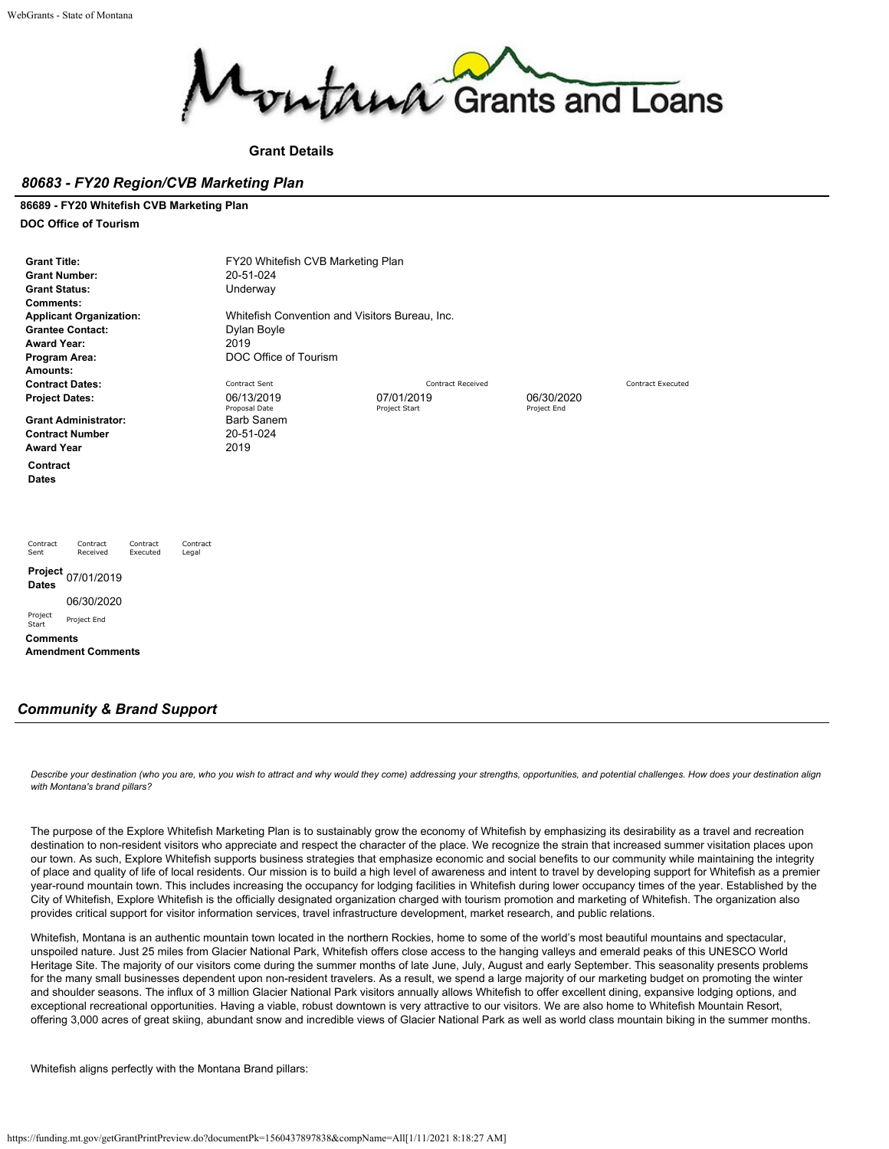

## **Grant Details**

## *80683 - FY20 Region/CVB Marketing Plan*

#### **86689 - FY20 Whitefish CVB Marketing Plan**

**DOC Office of Tourism**

| <b>Grant Title:</b><br><b>Grant Number:</b><br><b>Grant Status:</b><br>Comments:<br><b>Applicant Organization:</b><br><b>Grantee Contact:</b><br><b>Award Year:</b><br>Program Area:<br>Amounts: | FY20 Whitefish CVB Marketing Plan<br>20-51-024<br>Underway<br>Whitefish Convention and Visitors Bureau, Inc.<br>Dylan Boyle<br>2019<br>DOC Office of Tourism |                             |                           |                          |
|--------------------------------------------------------------------------------------------------------------------------------------------------------------------------------------------------|--------------------------------------------------------------------------------------------------------------------------------------------------------------|-----------------------------|---------------------------|--------------------------|
| <b>Contract Dates:</b>                                                                                                                                                                           | Contract Sent                                                                                                                                                | <b>Contract Received</b>    |                           | <b>Contract Executed</b> |
| <b>Project Dates:</b>                                                                                                                                                                            | 06/13/2019<br>Proposal Date                                                                                                                                  | 07/01/2019<br>Project Start | 06/30/2020<br>Project End |                          |
| <b>Grant Administrator:</b>                                                                                                                                                                      | <b>Barb Sanem</b>                                                                                                                                            |                             |                           |                          |
| <b>Contract Number</b>                                                                                                                                                                           | 20-51-024                                                                                                                                                    |                             |                           |                          |
| <b>Award Year</b>                                                                                                                                                                                | 2019                                                                                                                                                         |                             |                           |                          |
| Contract                                                                                                                                                                                         |                                                                                                                                                              |                             |                           |                          |
| <b>Dates</b>                                                                                                                                                                                     |                                                                                                                                                              |                             |                           |                          |
| Contract<br>Contract<br>Contract<br>Contract<br>Received<br>Executed<br>Sent<br>Legal                                                                                                            |                                                                                                                                                              |                             |                           |                          |
| Project<br>07/01/2019<br><b>Dates</b>                                                                                                                                                            |                                                                                                                                                              |                             |                           |                          |
| 06/30/2020                                                                                                                                                                                       |                                                                                                                                                              |                             |                           |                          |
| Project<br>Project End<br>Start                                                                                                                                                                  |                                                                                                                                                              |                             |                           |                          |
| <b>Comments</b>                                                                                                                                                                                  |                                                                                                                                                              |                             |                           |                          |
| <b>Amendment Comments</b>                                                                                                                                                                        |                                                                                                                                                              |                             |                           |                          |
| <b>Community &amp; Brand Support</b>                                                                                                                                                             |                                                                                                                                                              |                             |                           |                          |

*Describe your destination (who you are, who you wish to attract and why would they come) addressing your strengths, opportunities, and potential challenges. How does your destination align with Montana's brand pillars?*

The purpose of the Explore Whitefish Marketing Plan is to sustainably grow the economy of Whitefish by emphasizing its desirability as a travel and recreation destination to non-resident visitors who appreciate and respect the character of the place. We recognize the strain that increased summer visitation places upon our town. As such, Explore Whitefish supports business strategies that emphasize economic and social benefits to our community while maintaining the integrity of place and quality of life of local residents. Our mission is to build a high level of awareness and intent to travel by developing support for Whitefish as a premier year-round mountain town. This includes increasing the occupancy for lodging facilities in Whitefish during lower occupancy times of the year. Established by the City of Whitefish, Explore Whitefish is the officially designated organization charged with tourism promotion and marketing of Whitefish. The organization also provides critical support for visitor information services, travel infrastructure development, market research, and public relations.

Whitefish, Montana is an authentic mountain town located in the northern Rockies, home to some of the world's most beautiful mountains and spectacular, unspoiled nature. Just 25 miles from Glacier National Park, Whitefish offers close access to the hanging valleys and emerald peaks of this UNESCO World Heritage Site. The majority of our visitors come during the summer months of late June, July, August and early September. This seasonality presents problems for the many small businesses dependent upon non-resident travelers. As a result, we spend a large majority of our marketing budget on promoting the winter and shoulder seasons. The influx of 3 million Glacier National Park visitors annually allows Whitefish to offer excellent dining, expansive lodging options, and exceptional recreational opportunities. Having a viable, robust downtown is very attractive to our visitors. We are also home to Whitefish Mountain Resort, offering 3,000 acres of great skiing, abundant snow and incredible views of Glacier National Park as well as world class mountain biking in the summer months.

Whitefish aligns perfectly with the Montana Brand pillars: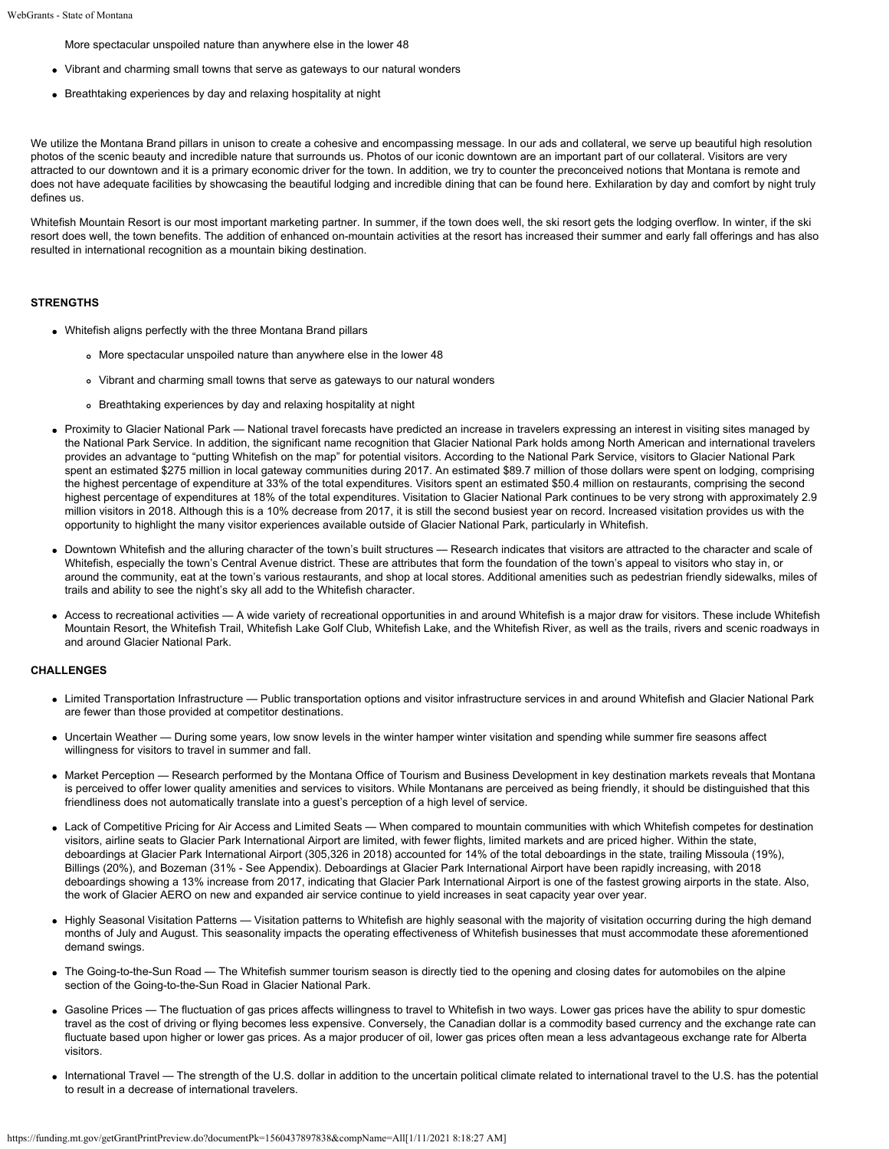More spectacular unspoiled nature than anywhere else in the lower 48

- Vibrant and charming small towns that serve as gateways to our natural wonders
- Breathtaking experiences by day and relaxing hospitality at night

We utilize the Montana Brand pillars in unison to create a cohesive and encompassing message. In our ads and collateral, we serve up beautiful high resolution photos of the scenic beauty and incredible nature that surrounds us. Photos of our iconic downtown are an important part of our collateral. Visitors are very attracted to our downtown and it is a primary economic driver for the town. In addition, we try to counter the preconceived notions that Montana is remote and does not have adequate facilities by showcasing the beautiful lodging and incredible dining that can be found here. Exhilaration by day and comfort by night truly defines us.

Whitefish Mountain Resort is our most important marketing partner. In summer, if the town does well, the ski resort gets the lodging overflow. In winter, if the ski resort does well, the town benefits. The addition of enhanced on-mountain activities at the resort has increased their summer and early fall offerings and has also resulted in international recognition as a mountain biking destination.

#### **STRENGTHS**

- Whitefish aligns perfectly with the three Montana Brand pillars
	- More spectacular unspoiled nature than anywhere else in the lower 48
	- Vibrant and charming small towns that serve as gateways to our natural wonders
	- Breathtaking experiences by day and relaxing hospitality at night
- Proximity to Glacier National Park National travel forecasts have predicted an increase in travelers expressing an interest in visiting sites managed by the National Park Service. In addition, the significant name recognition that Glacier National Park holds among North American and international travelers provides an advantage to "putting Whitefish on the map" for potential visitors. According to the National Park Service, visitors to Glacier National Park spent an estimated \$275 million in local gateway communities during 2017. An estimated \$89.7 million of those dollars were spent on lodging, comprising the highest percentage of expenditure at 33% of the total expenditures. Visitors spent an estimated \$50.4 million on restaurants, comprising the second highest percentage of expenditures at 18% of the total expenditures. Visitation to Glacier National Park continues to be very strong with approximately 2.9 million visitors in 2018. Although this is a 10% decrease from 2017, it is still the second busiest year on record. Increased visitation provides us with the opportunity to highlight the many visitor experiences available outside of Glacier National Park, particularly in Whitefish.
- Downtown Whitefish and the alluring character of the town's built structures Research indicates that visitors are attracted to the character and scale of Whitefish, especially the town's Central Avenue district. These are attributes that form the foundation of the town's appeal to visitors who stay in, or around the community, eat at the town's various restaurants, and shop at local stores. Additional amenities such as pedestrian friendly sidewalks, miles of trails and ability to see the night's sky all add to the Whitefish character.
- Access to recreational activities A wide variety of recreational opportunities in and around Whitefish is a major draw for visitors. These include Whitefish Mountain Resort, the Whitefish Trail, Whitefish Lake Golf Club, Whitefish Lake, and the Whitefish River, as well as the trails, rivers and scenic roadways in and around Glacier National Park.

#### **CHALLENGES**

- Limited Transportation Infrastructure Public transportation options and visitor infrastructure services in and around Whitefish and Glacier National Park are fewer than those provided at competitor destinations.
- Uncertain Weather During some years, low snow levels in the winter hamper winter visitation and spending while summer fire seasons affect willingness for visitors to travel in summer and fall.
- Market Perception Research performed by the Montana Office of Tourism and Business Development in key destination markets reveals that Montana is perceived to offer lower quality amenities and services to visitors. While Montanans are perceived as being friendly, it should be distinguished that this friendliness does not automatically translate into a guest's perception of a high level of service.
- Lack of Competitive Pricing for Air Access and Limited Seats When compared to mountain communities with which Whitefish competes for destination visitors, airline seats to Glacier Park International Airport are limited, with fewer flights, limited markets and are priced higher. Within the state, deboardings at Glacier Park International Airport (305,326 in 2018) accounted for 14% of the total deboardings in the state, trailing Missoula (19%), Billings (20%), and Bozeman (31% - See Appendix). Deboardings at Glacier Park International Airport have been rapidly increasing, with 2018 deboardings showing a 13% increase from 2017, indicating that Glacier Park International Airport is one of the fastest growing airports in the state. Also, the work of Glacier AERO on new and expanded air service continue to yield increases in seat capacity year over year.
- Highly Seasonal Visitation Patterns Visitation patterns to Whitefish are highly seasonal with the majority of visitation occurring during the high demand months of July and August. This seasonality impacts the operating effectiveness of Whitefish businesses that must accommodate these aforementioned demand swings.
- The Going-to-the-Sun Road The Whitefish summer tourism season is directly tied to the opening and closing dates for automobiles on the alpine section of the Going-to-the-Sun Road in Glacier National Park.
- Gasoline Prices The fluctuation of gas prices affects willingness to travel to Whitefish in two ways. Lower gas prices have the ability to spur domestic travel as the cost of driving or flying becomes less expensive. Conversely, the Canadian dollar is a commodity based currency and the exchange rate can fluctuate based upon higher or lower gas prices. As a major producer of oil, lower gas prices often mean a less advantageous exchange rate for Alberta visitors.
- International Travel The strength of the U.S. dollar in addition to the uncertain political climate related to international travel to the U.S. has the potential to result in a decrease of international travelers.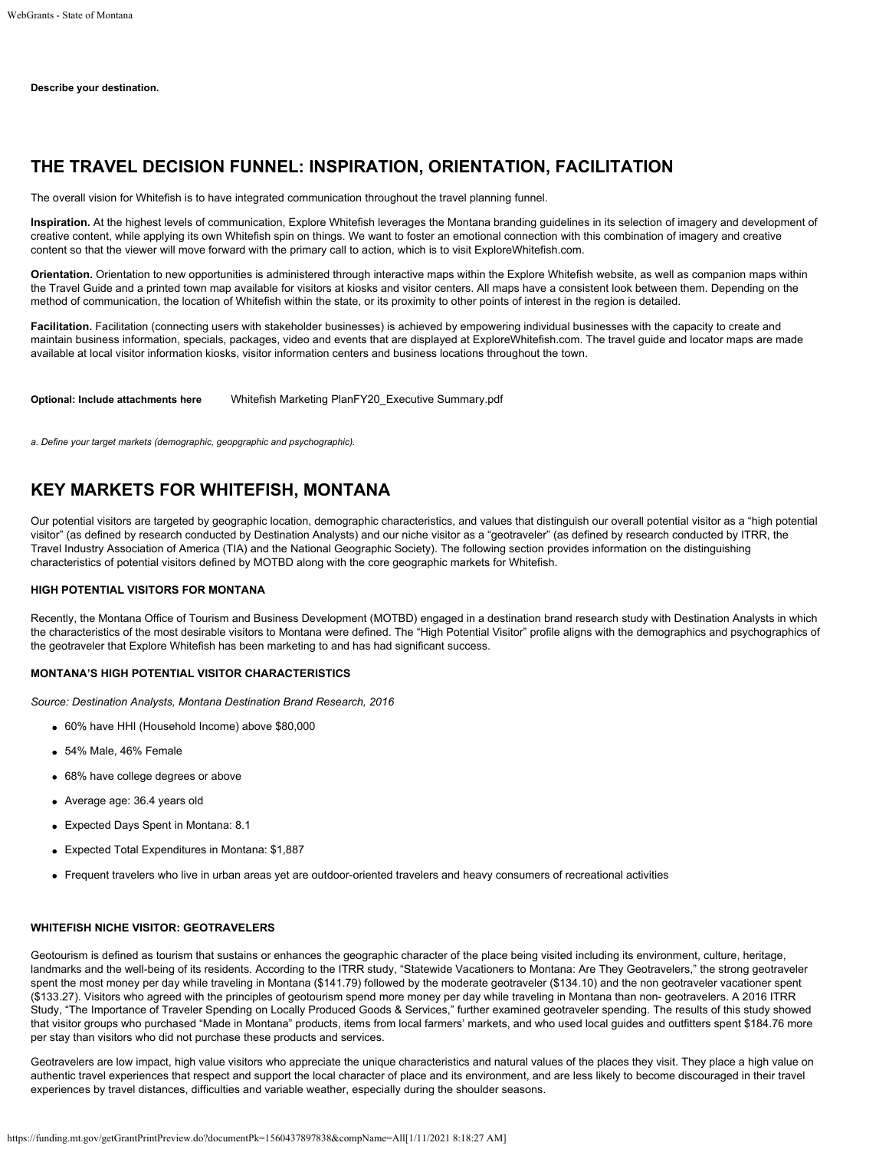**Describe your destination.**

# **THE TRAVEL DECISION FUNNEL: INSPIRATION, ORIENTATION, FACILITATION**

The overall vision for Whitefish is to have integrated communication throughout the travel planning funnel.

**Inspiration.** At the highest levels of communication, Explore Whitefish leverages the Montana branding guidelines in its selection of imagery and development of creative content, while applying its own Whitefish spin on things. We want to foster an emotional connection with this combination of imagery and creative content so that the viewer will move forward with the primary call to action, which is to visit ExploreWhitefish.com.

**Orientation.** Orientation to new opportunities is administered through interactive maps within the Explore Whitefish website, as well as companion maps within the Travel Guide and a printed town map available for visitors at kiosks and visitor centers. All maps have a consistent look between them. Depending on the method of communication, the location of Whitefish within the state, or its proximity to other points of interest in the region is detailed.

Facilitation. Facilitation (connecting users with stakeholder businesses) is achieved by empowering individual businesses with the capacity to create and maintain business information, specials, packages, video and events that are displayed at ExploreWhitefish.com. The travel guide and locator maps are made available at local visitor information kiosks, visitor information centers and business locations throughout the town.

**Optional: Include attachments here** [Whitefish Marketing PlanFY20\\_Executive Summary.pdf](https://funding.mt.gov/fileDownload.jsp?filename=1556906463560_Whitefish+Marketing+PlanFY20_Executive+Summary.pdf)

*a. Define your target markets (demographic, geopgraphic and psychographic).*

## **KEY MARKETS FOR WHITEFISH, MONTANA**

Our potential visitors are targeted by geographic location, demographic characteristics, and values that distinguish our overall potential visitor as a "high potential visitor" (as defined by research conducted by Destination Analysts) and our niche visitor as a "geotraveler" (as defined by research conducted by ITRR, the Travel Industry Association of America (TIA) and the National Geographic Society). The following section provides information on the distinguishing characteristics of potential visitors defined by MOTBD along with the core geographic markets for Whitefish.

#### **HIGH POTENTIAL VISITORS FOR MONTANA**

Recently, the Montana Office of Tourism and Business Development (MOTBD) engaged in a destination brand research study with Destination Analysts in which the characteristics of the most desirable visitors to Montana were defined. The "High Potential Visitor" profile aligns with the demographics and psychographics of the geotraveler that Explore Whitefish has been marketing to and has had significant success.

#### **MONTANA'S HIGH POTENTIAL VISITOR CHARACTERISTICS**

*Source: Destination Analysts, Montana Destination Brand Research, 2016*

- 60% have HHI (Household Income) above \$80,000
- 54% Male, 46% Female
- 68% have college degrees or above
- Average age: 36.4 years old
- Expected Days Spent in Montana: 8.1
- Expected Total Expenditures in Montana: \$1,887
- Frequent travelers who live in urban areas yet are outdoor-oriented travelers and heavy consumers of recreational activities

### **WHITEFISH NICHE VISITOR: GEOTRAVELERS**

Geotourism is defined as tourism that sustains or enhances the geographic character of the place being visited including its environment, culture, heritage, landmarks and the well-being of its residents. According to the ITRR study, "Statewide Vacationers to Montana: Are They Geotravelers," the strong geotraveler spent the most money per day while traveling in Montana (\$141.79) followed by the moderate geotraveler (\$134.10) and the non geotraveler vacationer spent (\$133.27). Visitors who agreed with the principles of geotourism spend more money per day while traveling in Montana than non- geotravelers. A 2016 ITRR Study, "The Importance of Traveler Spending on Locally Produced Goods & Services," further examined geotraveler spending. The results of this study showed that visitor groups who purchased "Made in Montana" products, items from local farmers' markets, and who used local guides and outfitters spent \$184.76 more per stay than visitors who did not purchase these products and services.

Geotravelers are low impact, high value visitors who appreciate the unique characteristics and natural values of the places they visit. They place a high value on authentic travel experiences that respect and support the local character of place and its environment, and are less likely to become discouraged in their travel experiences by travel distances, difficulties and variable weather, especially during the shoulder seasons.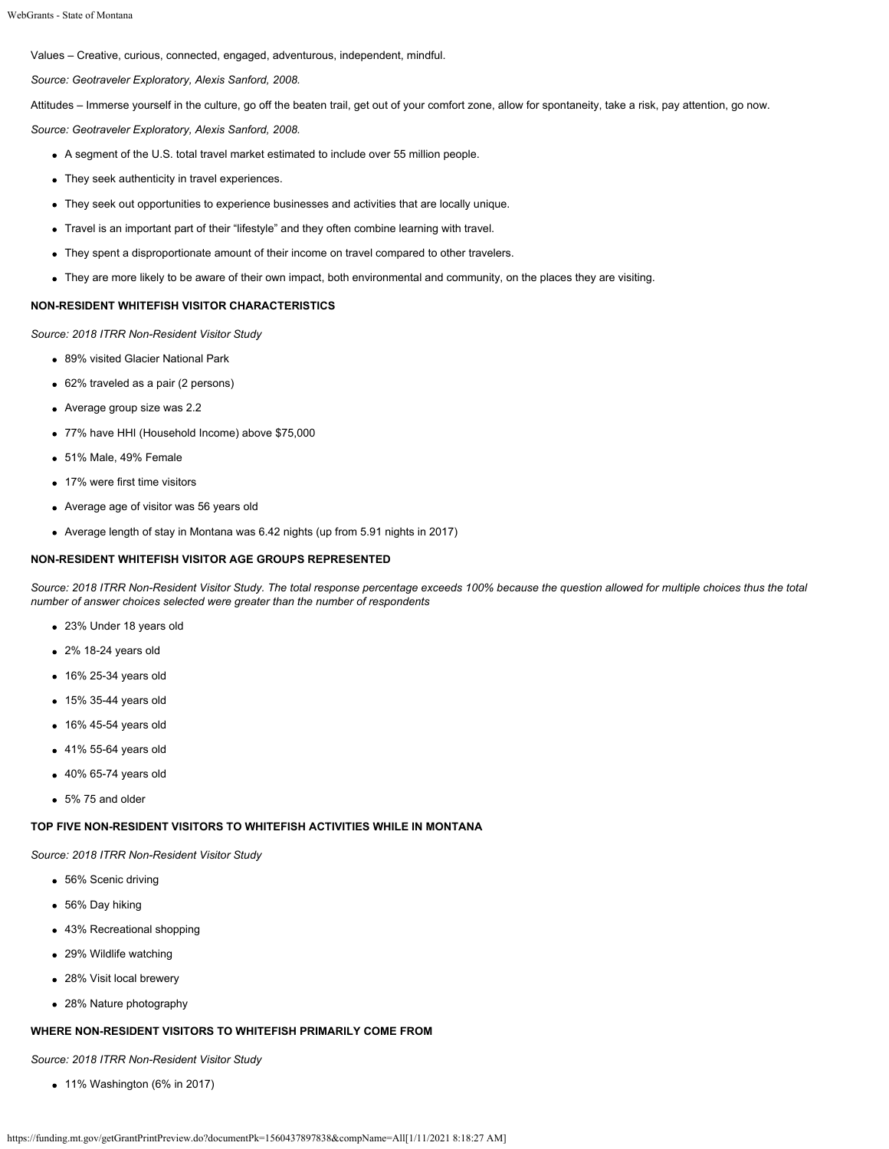Values – Creative, curious, connected, engaged, adventurous, independent, mindful.

*Source: Geotraveler Exploratory, Alexis Sanford, 2008.*

Attitudes – Immerse yourself in the culture, go off the beaten trail, get out of your comfort zone, allow for spontaneity, take a risk, pay attention, go now.

*Source: Geotraveler Exploratory, Alexis Sanford, 2008.*

- A segment of the U.S. total travel market estimated to include over 55 million people.
- They seek authenticity in travel experiences.
- They seek out opportunities to experience businesses and activities that are locally unique.
- Travel is an important part of their "lifestyle" and they often combine learning with travel.
- They spent a disproportionate amount of their income on travel compared to other travelers.
- They are more likely to be aware of their own impact, both environmental and community, on the places they are visiting.

#### **NON-RESIDENT WHITEFISH VISITOR CHARACTERISTICS**

*Source: 2018 ITRR Non-Resident Visitor Study*

- 89% visited Glacier National Park
- 62% traveled as a pair (2 persons)
- Average group size was 2.2
- 77% have HHI (Household Income) above \$75,000
- 51% Male, 49% Female
- 17% were first time visitors
- Average age of visitor was 56 years old
- Average length of stay in Montana was 6.42 nights (up from 5.91 nights in 2017)

#### **NON-RESIDENT WHITEFISH VISITOR AGE GROUPS REPRESENTED**

*Source: 2018 ITRR Non-Resident Visitor Study. The total response percentage exceeds 100% because the question allowed for multiple choices thus the total number of answer choices selected were greater than the number of respondents*

- 23% Under 18 years old
- 2% 18-24 years old
- 16% 25-34 years old
- 15% 35-44 years old
- 16% 45-54 years old
- 41% 55-64 years old
- 40% 65-74 years old
- 5% 75 and older

#### **TOP FIVE NON-RESIDENT VISITORS TO WHITEFISH ACTIVITIES WHILE IN MONTANA**

*Source: 2018 ITRR Non-Resident Visitor Study*

- 56% Scenic driving
- 56% Day hiking
- 43% Recreational shopping
- 29% Wildlife watching
- 28% Visit local brewery
- 28% Nature photography

## **WHERE NON-RESIDENT VISITORS TO WHITEFISH PRIMARILY COME FROM**

*Source: 2018 ITRR Non-Resident Visitor Study*

11% Washington (6% in 2017)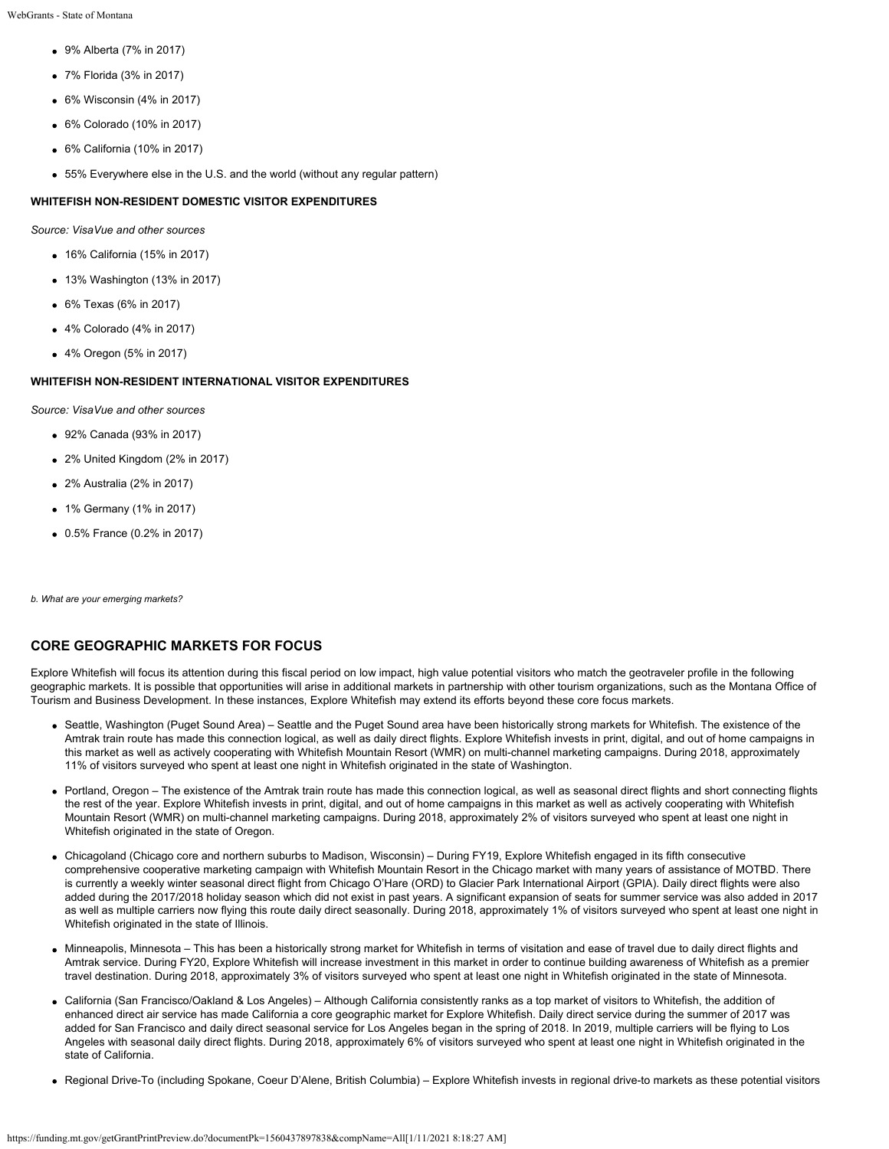- 9% Alberta (7% in 2017)
- 7% Florida (3% in 2017)
- 6% Wisconsin (4% in 2017)
- 6% Colorado (10% in 2017)
- 6% California (10% in 2017)
- 55% Everywhere else in the U.S. and the world (without any regular pattern)

#### **WHITEFISH NON-RESIDENT DOMESTIC VISITOR EXPENDITURES**

*Source: VisaVue and other sources*

- 16% California (15% in 2017)
- 13% Washington (13% in 2017)
- 6% Texas (6% in 2017)
- 4% Colorado (4% in 2017)
- 4% Oregon (5% in 2017)

## **WHITEFISH NON-RESIDENT INTERNATIONAL VISITOR EXPENDITURES**

*Source: VisaVue and other sources*

- 92% Canada (93% in 2017)
- 2% United Kingdom (2% in 2017)
- 2% Australia (2% in 2017)
- 1% Germany (1% in 2017)
- 0.5% France (0.2% in 2017)

*b. What are your emerging markets?*

## **CORE GEOGRAPHIC MARKETS FOR FOCUS**

Explore Whitefish will focus its attention during this fiscal period on low impact, high value potential visitors who match the geotraveler profile in the following geographic markets. It is possible that opportunities will arise in additional markets in partnership with other tourism organizations, such as the Montana Office of Tourism and Business Development. In these instances, Explore Whitefish may extend its efforts beyond these core focus markets.

- Seattle, Washington (Puget Sound Area) Seattle and the Puget Sound area have been historically strong markets for Whitefish. The existence of the Amtrak train route has made this connection logical, as well as daily direct flights. Explore Whitefish invests in print, digital, and out of home campaigns in this market as well as actively cooperating with Whitefish Mountain Resort (WMR) on multi-channel marketing campaigns. During 2018, approximately 11% of visitors surveyed who spent at least one night in Whitefish originated in the state of Washington.
- Portland, Oregon The existence of the Amtrak train route has made this connection logical, as well as seasonal direct flights and short connecting flights the rest of the year. Explore Whitefish invests in print, digital, and out of home campaigns in this market as well as actively cooperating with Whitefish Mountain Resort (WMR) on multi-channel marketing campaigns. During 2018, approximately 2% of visitors surveyed who spent at least one night in Whitefish originated in the state of Oregon.
- Chicagoland (Chicago core and northern suburbs to Madison, Wisconsin) During FY19, Explore Whitefish engaged in its fifth consecutive comprehensive cooperative marketing campaign with Whitefish Mountain Resort in the Chicago market with many years of assistance of MOTBD. There is currently a weekly winter seasonal direct flight from Chicago O'Hare (ORD) to Glacier Park International Airport (GPIA). Daily direct flights were also added during the 2017/2018 holiday season which did not exist in past years. A significant expansion of seats for summer service was also added in 2017 as well as multiple carriers now flying this route daily direct seasonally. During 2018, approximately 1% of visitors surveyed who spent at least one night in Whitefish originated in the state of Illinois.
- Minneapolis, Minnesota This has been a historically strong market for Whitefish in terms of visitation and ease of travel due to daily direct flights and Amtrak service. During FY20, Explore Whitefish will increase investment in this market in order to continue building awareness of Whitefish as a premier travel destination. During 2018, approximately 3% of visitors surveyed who spent at least one night in Whitefish originated in the state of Minnesota.
- California (San Francisco/Oakland & Los Angeles) Although California consistently ranks as a top market of visitors to Whitefish, the addition of enhanced direct air service has made California a core geographic market for Explore Whitefish. Daily direct service during the summer of 2017 was added for San Francisco and daily direct seasonal service for Los Angeles began in the spring of 2018. In 2019, multiple carriers will be flying to Los Angeles with seasonal daily direct flights. During 2018, approximately 6% of visitors surveyed who spent at least one night in Whitefish originated in the state of California.
- Regional Drive-To (including Spokane, Coeur D'Alene, British Columbia) Explore Whitefish invests in regional drive-to markets as these potential visitors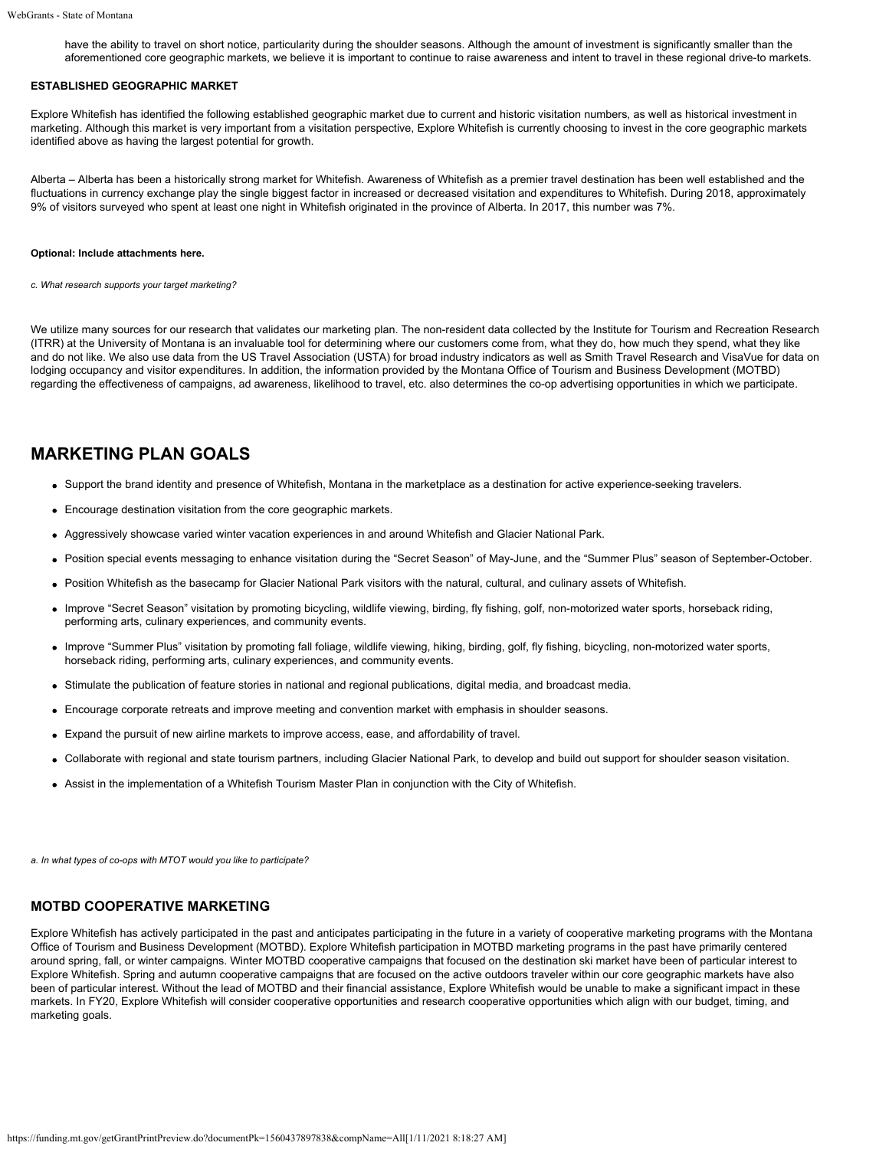have the ability to travel on short notice, particularity during the shoulder seasons. Although the amount of investment is significantly smaller than the aforementioned core geographic markets, we believe it is important to continue to raise awareness and intent to travel in these regional drive-to markets.

### **ESTABLISHED GEOGRAPHIC MARKET**

Explore Whitefish has identified the following established geographic market due to current and historic visitation numbers, as well as historical investment in marketing. Although this market is very important from a visitation perspective, Explore Whitefish is currently choosing to invest in the core geographic markets identified above as having the largest potential for growth.

Alberta – Alberta has been a historically strong market for Whitefish. Awareness of Whitefish as a premier travel destination has been well established and the fluctuations in currency exchange play the single biggest factor in increased or decreased visitation and expenditures to Whitefish. During 2018, approximately 9% of visitors surveyed who spent at least one night in Whitefish originated in the province of Alberta. In 2017, this number was 7%.

#### **Optional: Include attachments here.**

*c. What research supports your target marketing?*

We utilize many sources for our research that validates our marketing plan. The non-resident data collected by the Institute for Tourism and Recreation Research (ITRR) at the University of Montana is an invaluable tool for determining where our customers come from, what they do, how much they spend, what they like and do not like. We also use data from the US Travel Association (USTA) for broad industry indicators as well as Smith Travel Research and VisaVue for data on lodging occupancy and visitor expenditures. In addition, the information provided by the Montana Office of Tourism and Business Development (MOTBD) regarding the effectiveness of campaigns, ad awareness, likelihood to travel, etc. also determines the co-op advertising opportunities in which we participate.

# **MARKETING PLAN GOALS**

- Support the brand identity and presence of Whitefish, Montana in the marketplace as a destination for active experience-seeking travelers.
- Encourage destination visitation from the core geographic markets.
- Aggressively showcase varied winter vacation experiences in and around Whitefish and Glacier National Park.
- Position special events messaging to enhance visitation during the "Secret Season" of May-June, and the "Summer Plus" season of September-October.
- Position Whitefish as the basecamp for Glacier National Park visitors with the natural, cultural, and culinary assets of Whitefish.
- Improve "Secret Season" visitation by promoting bicycling, wildlife viewing, birding, fly fishing, golf, non-motorized water sports, horseback riding, performing arts, culinary experiences, and community events.
- Improve "Summer Plus" visitation by promoting fall foliage, wildlife viewing, hiking, birding, golf, fly fishing, bicycling, non-motorized water sports, horseback riding, performing arts, culinary experiences, and community events.
- Stimulate the publication of feature stories in national and regional publications, digital media, and broadcast media.
- Encourage corporate retreats and improve meeting and convention market with emphasis in shoulder seasons.
- Expand the pursuit of new airline markets to improve access, ease, and affordability of travel.
- Collaborate with regional and state tourism partners, including Glacier National Park, to develop and build out support for shoulder season visitation.
- Assist in the implementation of a Whitefish Tourism Master Plan in conjunction with the City of Whitefish.

*a. In what types of co-ops with MTOT would you like to participate?*

## **MOTBD COOPERATIVE MARKETING**

Explore Whitefish has actively participated in the past and anticipates participating in the future in a variety of cooperative marketing programs with the Montana Office of Tourism and Business Development (MOTBD). Explore Whitefish participation in MOTBD marketing programs in the past have primarily centered around spring, fall, or winter campaigns. Winter MOTBD cooperative campaigns that focused on the destination ski market have been of particular interest to Explore Whitefish. Spring and autumn cooperative campaigns that are focused on the active outdoors traveler within our core geographic markets have also been of particular interest. Without the lead of MOTBD and their financial assistance, Explore Whitefish would be unable to make a significant impact in these markets. In FY20, Explore Whitefish will consider cooperative opportunities and research cooperative opportunities which align with our budget, timing, and marketing goals.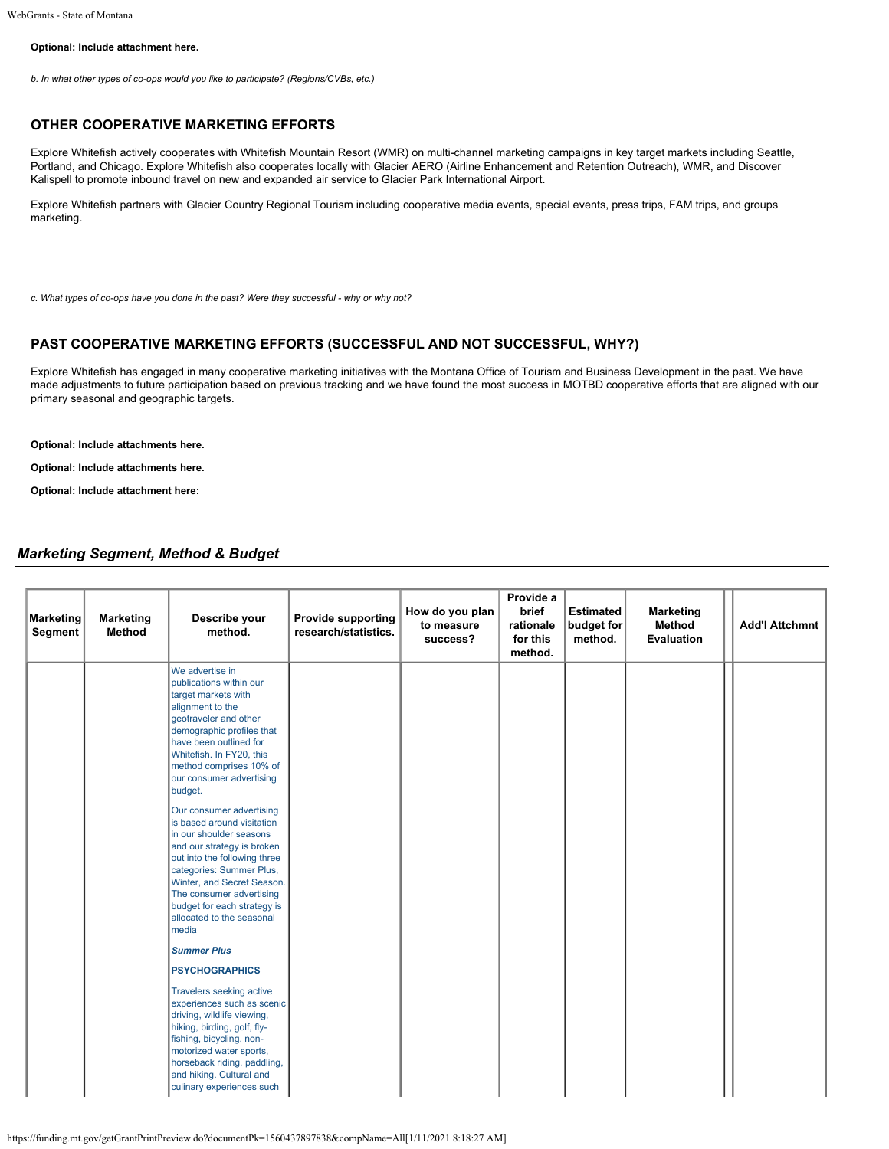#### **Optional: Include attachment here.**

*b. In what other types of co-ops would you like to participate? (Regions/CVBs, etc.)*

### **OTHER COOPERATIVE MARKETING EFFORTS**

Explore Whitefish actively cooperates with Whitefish Mountain Resort (WMR) on multi-channel marketing campaigns in key target markets including Seattle, Portland, and Chicago. Explore Whitefish also cooperates locally with Glacier AERO (Airline Enhancement and Retention Outreach), WMR, and Discover Kalispell to promote inbound travel on new and expanded air service to Glacier Park International Airport.

Explore Whitefish partners with Glacier Country Regional Tourism including cooperative media events, special events, press trips, FAM trips, and groups marketing.

*c. What types of co-ops have you done in the past? Were they successful - why or why not?*

## **PAST COOPERATIVE MARKETING EFFORTS (SUCCESSFUL AND NOT SUCCESSFUL, WHY?)**

Explore Whitefish has engaged in many cooperative marketing initiatives with the Montana Office of Tourism and Business Development in the past. We have made adjustments to future participation based on previous tracking and we have found the most success in MOTBD cooperative efforts that are aligned with our primary seasonal and geographic targets.

#### **Optional: Include attachments here.**

**Optional: Include attachments here.**

**Optional: Include attachment here:**

## *Marketing Segment, Method & Budget*

| <b>Marketing</b><br>Segment | <b>Marketing</b><br>Method | Describe your<br>method.                                                                                                                                                                                                                                                                                                                                                                                                                                                                                                                                                                                                                                                                                                                                                                                                                                                                               | <b>Provide supporting</b><br>research/statistics. | How do you plan<br>to measure<br>success? | Provide a<br>brief<br>rationale<br>for this<br>method. | Estimated<br>budget for<br>method. | <b>Marketing</b><br>Method<br><b>Evaluation</b> | <b>Add'l Attchmnt</b> |
|-----------------------------|----------------------------|--------------------------------------------------------------------------------------------------------------------------------------------------------------------------------------------------------------------------------------------------------------------------------------------------------------------------------------------------------------------------------------------------------------------------------------------------------------------------------------------------------------------------------------------------------------------------------------------------------------------------------------------------------------------------------------------------------------------------------------------------------------------------------------------------------------------------------------------------------------------------------------------------------|---------------------------------------------------|-------------------------------------------|--------------------------------------------------------|------------------------------------|-------------------------------------------------|-----------------------|
|                             |                            | We advertise in<br>publications within our<br>target markets with<br>alignment to the<br>geotraveler and other<br>demographic profiles that<br>have been outlined for<br>Whitefish. In FY20, this<br>method comprises 10% of<br>our consumer advertising<br>budget.<br>Our consumer advertising<br>is based around visitation<br>in our shoulder seasons<br>and our strategy is broken<br>out into the following three<br>categories: Summer Plus,<br>Winter, and Secret Season.<br>The consumer advertising<br>budget for each strategy is<br>allocated to the seasonal<br>media<br><b>Summer Plus</b><br><b>PSYCHOGRAPHICS</b><br>Travelers seeking active<br>experiences such as scenic<br>driving, wildlife viewing,<br>hiking, birding, golf, fly-<br>fishing, bicycling, non-<br>motorized water sports,<br>horseback riding, paddling,<br>and hiking. Cultural and<br>culinary experiences such |                                                   |                                           |                                                        |                                    |                                                 |                       |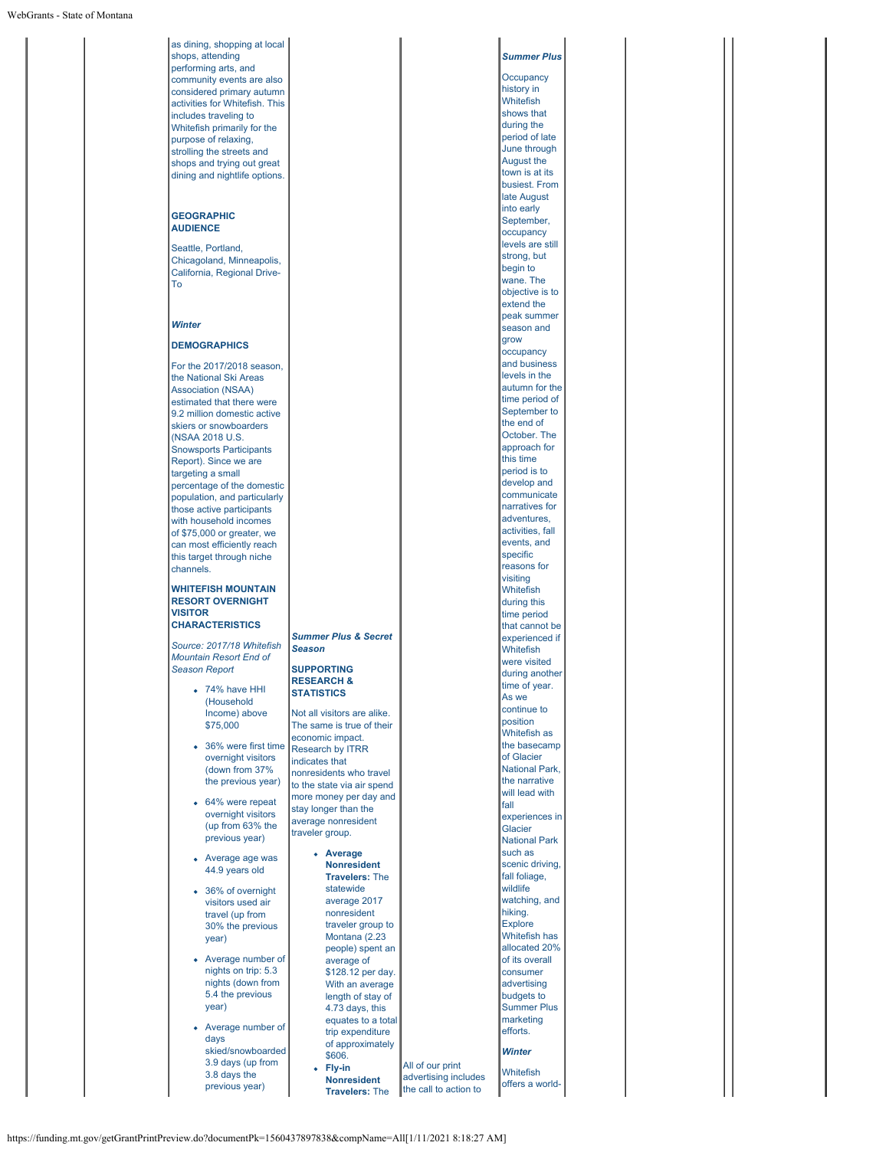| shops, attending<br><b>Summer Plus</b><br>performing arts, and<br>Occupancy<br>community events are also<br>history in<br>considered primary autumn<br>Whitefish<br>activities for Whitefish. This<br>shows that<br>includes traveling to<br>during the<br>Whitefish primarily for the<br>period of late<br>purpose of relaxing,<br>June through<br>strolling the streets and<br>August the<br>shops and trying out great<br>town is at its<br>dining and nightlife options.<br>busiest. From<br>late August<br>into early<br><b>GEOGRAPHIC</b><br>September,<br><b>AUDIENCE</b><br>occupancy<br>levels are still<br>Seattle, Portland,<br>strong, but<br>Chicagoland, Minneapolis,<br>begin to<br>California, Regional Drive-<br>wane. The<br>To<br>objective is to<br>extend the<br>peak summer<br>Winter<br>season and<br>grow<br><b>DEMOGRAPHICS</b><br>occupancy<br>and business<br>For the 2017/2018 season,<br>levels in the<br>the National Ski Areas<br>autumn for the<br><b>Association (NSAA)</b><br>time period of<br>estimated that there were<br>September to<br>9.2 million domestic active<br>the end of<br>skiers or snowboarders<br>October. The<br>(NSAA 2018 U.S.<br>approach for<br><b>Snowsports Participants</b><br>this time<br>Report). Since we are<br>period is to<br>targeting a small<br>develop and<br>percentage of the domestic<br>communicate<br>population, and particularly<br>narratives for<br>those active participants<br>adventures,<br>with household incomes<br>activities, fall<br>of \$75,000 or greater, we<br>events, and<br>can most efficiently reach<br>specific<br>this target through niche<br>reasons for<br>channels.<br>visiting<br><b>WHITEFISH MOUNTAIN</b><br>Whitefish<br><b>RESORT OVERNIGHT</b><br>during this<br><b>VISITOR</b><br>time period<br><b>CHARACTERISTICS</b><br>that cannot be<br><b>Summer Plus &amp; Secret</b><br>experienced if<br>Source: 2017/18 Whitefish<br><b>Season</b><br>Whitefish<br><b>Mountain Resort End of</b><br>were visited<br><b>SUPPORTING</b><br><b>Season Report</b><br>during another<br><b>RESEARCH &amp;</b><br>time of vear.<br>74% have HHI<br><b>STATISTICS</b><br>As we<br>(Household<br>continue to<br>Income) above<br>Not all visitors are alike.<br>position<br>\$75,000<br>The same is true of their<br>Whitefish as<br>economic impact.<br>the basecamp<br>36% were first time<br><b>Research by ITRR</b><br>of Glacier<br>overnight visitors<br>indicates that<br><b>National Park.</b><br>(down from 37%<br>nonresidents who travel<br>the narrative<br>the previous year)<br>to the state via air spend<br>will lead with<br>more money per day and<br>64% were repeat<br>fall<br>stay longer than the<br>overnight visitors<br>experiences in<br>average nonresident<br>(up from 63% the<br>Glacier<br>traveler group.<br>previous year)<br><b>National Park</b><br>such as<br>• Average<br>• Average age was<br><b>Nonresident</b><br>scenic driving,<br>44.9 years old<br><b>Travelers: The</b><br>fall foliage,<br>wildlife<br>statewide<br>36% of overnight<br>$\bullet$<br>watching, and<br>average 2017<br>visitors used air<br>hiking.<br>nonresident<br>travel (up from<br><b>Explore</b><br>traveler group to<br>30% the previous<br>Whitefish has<br>Montana (2.23<br>year)<br>allocated 20%<br>people) spent an<br>Average number of<br>average of<br>of its overall<br>nights on trip: 5.3<br>consumer<br>\$128.12 per day.<br>nights (down from<br>advertising<br>With an average<br>5.4 the previous<br>budgets to<br>length of stay of<br>year)<br><b>Summer Plus</b><br>4.73 days, this<br>marketing<br>equates to a total<br>Average number of<br>efforts.<br>trip expenditure<br>days<br>of approximately<br>skied/snowboarded<br><b>Winter</b><br>\$606.<br>3.9 days (up from<br>All of our print<br>• Fly-in<br>Whitefish<br>3.8 days the<br>advertising includes<br><b>Nonresident</b><br>offers a world-<br>previous year)<br>the call to action to<br><b>Travelers: The</b> |  |  |  |
|----------------------------------------------------------------------------------------------------------------------------------------------------------------------------------------------------------------------------------------------------------------------------------------------------------------------------------------------------------------------------------------------------------------------------------------------------------------------------------------------------------------------------------------------------------------------------------------------------------------------------------------------------------------------------------------------------------------------------------------------------------------------------------------------------------------------------------------------------------------------------------------------------------------------------------------------------------------------------------------------------------------------------------------------------------------------------------------------------------------------------------------------------------------------------------------------------------------------------------------------------------------------------------------------------------------------------------------------------------------------------------------------------------------------------------------------------------------------------------------------------------------------------------------------------------------------------------------------------------------------------------------------------------------------------------------------------------------------------------------------------------------------------------------------------------------------------------------------------------------------------------------------------------------------------------------------------------------------------------------------------------------------------------------------------------------------------------------------------------------------------------------------------------------------------------------------------------------------------------------------------------------------------------------------------------------------------------------------------------------------------------------------------------------------------------------------------------------------------------------------------------------------------------------------------------------------------------------------------------------------------------------------------------------------------------------------------------------------------------------------------------------------------------------------------------------------------------------------------------------------------------------------------------------------------------------------------------------------------------------------------------------------------------------------------------------------------------------------------------------------------------------------------------------------------------------------------------------------------------------------------------------------------------------------------------------------------------------------------------------------------------------------------------------------------------------------------------------------------------------------------------------------------------------------------------------------------------------------------------------------------------------------------------------------------------------------------------------------------------------------------------------------------------------------------------------------------------------------------------------------------------------------------------------------------------------------------------------------------------------------------------------------|--|--|--|
|                                                                                                                                                                                                                                                                                                                                                                                                                                                                                                                                                                                                                                                                                                                                                                                                                                                                                                                                                                                                                                                                                                                                                                                                                                                                                                                                                                                                                                                                                                                                                                                                                                                                                                                                                                                                                                                                                                                                                                                                                                                                                                                                                                                                                                                                                                                                                                                                                                                                                                                                                                                                                                                                                                                                                                                                                                                                                                                                                                                                                                                                                                                                                                                                                                                                                                                                                                                                                                                                                                                                                                                                                                                                                                                                                                                                                                                                                                                                                                                                                      |  |  |  |
|                                                                                                                                                                                                                                                                                                                                                                                                                                                                                                                                                                                                                                                                                                                                                                                                                                                                                                                                                                                                                                                                                                                                                                                                                                                                                                                                                                                                                                                                                                                                                                                                                                                                                                                                                                                                                                                                                                                                                                                                                                                                                                                                                                                                                                                                                                                                                                                                                                                                                                                                                                                                                                                                                                                                                                                                                                                                                                                                                                                                                                                                                                                                                                                                                                                                                                                                                                                                                                                                                                                                                                                                                                                                                                                                                                                                                                                                                                                                                                                                                      |  |  |  |
|                                                                                                                                                                                                                                                                                                                                                                                                                                                                                                                                                                                                                                                                                                                                                                                                                                                                                                                                                                                                                                                                                                                                                                                                                                                                                                                                                                                                                                                                                                                                                                                                                                                                                                                                                                                                                                                                                                                                                                                                                                                                                                                                                                                                                                                                                                                                                                                                                                                                                                                                                                                                                                                                                                                                                                                                                                                                                                                                                                                                                                                                                                                                                                                                                                                                                                                                                                                                                                                                                                                                                                                                                                                                                                                                                                                                                                                                                                                                                                                                                      |  |  |  |
|                                                                                                                                                                                                                                                                                                                                                                                                                                                                                                                                                                                                                                                                                                                                                                                                                                                                                                                                                                                                                                                                                                                                                                                                                                                                                                                                                                                                                                                                                                                                                                                                                                                                                                                                                                                                                                                                                                                                                                                                                                                                                                                                                                                                                                                                                                                                                                                                                                                                                                                                                                                                                                                                                                                                                                                                                                                                                                                                                                                                                                                                                                                                                                                                                                                                                                                                                                                                                                                                                                                                                                                                                                                                                                                                                                                                                                                                                                                                                                                                                      |  |  |  |
|                                                                                                                                                                                                                                                                                                                                                                                                                                                                                                                                                                                                                                                                                                                                                                                                                                                                                                                                                                                                                                                                                                                                                                                                                                                                                                                                                                                                                                                                                                                                                                                                                                                                                                                                                                                                                                                                                                                                                                                                                                                                                                                                                                                                                                                                                                                                                                                                                                                                                                                                                                                                                                                                                                                                                                                                                                                                                                                                                                                                                                                                                                                                                                                                                                                                                                                                                                                                                                                                                                                                                                                                                                                                                                                                                                                                                                                                                                                                                                                                                      |  |  |  |
|                                                                                                                                                                                                                                                                                                                                                                                                                                                                                                                                                                                                                                                                                                                                                                                                                                                                                                                                                                                                                                                                                                                                                                                                                                                                                                                                                                                                                                                                                                                                                                                                                                                                                                                                                                                                                                                                                                                                                                                                                                                                                                                                                                                                                                                                                                                                                                                                                                                                                                                                                                                                                                                                                                                                                                                                                                                                                                                                                                                                                                                                                                                                                                                                                                                                                                                                                                                                                                                                                                                                                                                                                                                                                                                                                                                                                                                                                                                                                                                                                      |  |  |  |
|                                                                                                                                                                                                                                                                                                                                                                                                                                                                                                                                                                                                                                                                                                                                                                                                                                                                                                                                                                                                                                                                                                                                                                                                                                                                                                                                                                                                                                                                                                                                                                                                                                                                                                                                                                                                                                                                                                                                                                                                                                                                                                                                                                                                                                                                                                                                                                                                                                                                                                                                                                                                                                                                                                                                                                                                                                                                                                                                                                                                                                                                                                                                                                                                                                                                                                                                                                                                                                                                                                                                                                                                                                                                                                                                                                                                                                                                                                                                                                                                                      |  |  |  |
|                                                                                                                                                                                                                                                                                                                                                                                                                                                                                                                                                                                                                                                                                                                                                                                                                                                                                                                                                                                                                                                                                                                                                                                                                                                                                                                                                                                                                                                                                                                                                                                                                                                                                                                                                                                                                                                                                                                                                                                                                                                                                                                                                                                                                                                                                                                                                                                                                                                                                                                                                                                                                                                                                                                                                                                                                                                                                                                                                                                                                                                                                                                                                                                                                                                                                                                                                                                                                                                                                                                                                                                                                                                                                                                                                                                                                                                                                                                                                                                                                      |  |  |  |
|                                                                                                                                                                                                                                                                                                                                                                                                                                                                                                                                                                                                                                                                                                                                                                                                                                                                                                                                                                                                                                                                                                                                                                                                                                                                                                                                                                                                                                                                                                                                                                                                                                                                                                                                                                                                                                                                                                                                                                                                                                                                                                                                                                                                                                                                                                                                                                                                                                                                                                                                                                                                                                                                                                                                                                                                                                                                                                                                                                                                                                                                                                                                                                                                                                                                                                                                                                                                                                                                                                                                                                                                                                                                                                                                                                                                                                                                                                                                                                                                                      |  |  |  |
|                                                                                                                                                                                                                                                                                                                                                                                                                                                                                                                                                                                                                                                                                                                                                                                                                                                                                                                                                                                                                                                                                                                                                                                                                                                                                                                                                                                                                                                                                                                                                                                                                                                                                                                                                                                                                                                                                                                                                                                                                                                                                                                                                                                                                                                                                                                                                                                                                                                                                                                                                                                                                                                                                                                                                                                                                                                                                                                                                                                                                                                                                                                                                                                                                                                                                                                                                                                                                                                                                                                                                                                                                                                                                                                                                                                                                                                                                                                                                                                                                      |  |  |  |
|                                                                                                                                                                                                                                                                                                                                                                                                                                                                                                                                                                                                                                                                                                                                                                                                                                                                                                                                                                                                                                                                                                                                                                                                                                                                                                                                                                                                                                                                                                                                                                                                                                                                                                                                                                                                                                                                                                                                                                                                                                                                                                                                                                                                                                                                                                                                                                                                                                                                                                                                                                                                                                                                                                                                                                                                                                                                                                                                                                                                                                                                                                                                                                                                                                                                                                                                                                                                                                                                                                                                                                                                                                                                                                                                                                                                                                                                                                                                                                                                                      |  |  |  |
|                                                                                                                                                                                                                                                                                                                                                                                                                                                                                                                                                                                                                                                                                                                                                                                                                                                                                                                                                                                                                                                                                                                                                                                                                                                                                                                                                                                                                                                                                                                                                                                                                                                                                                                                                                                                                                                                                                                                                                                                                                                                                                                                                                                                                                                                                                                                                                                                                                                                                                                                                                                                                                                                                                                                                                                                                                                                                                                                                                                                                                                                                                                                                                                                                                                                                                                                                                                                                                                                                                                                                                                                                                                                                                                                                                                                                                                                                                                                                                                                                      |  |  |  |
|                                                                                                                                                                                                                                                                                                                                                                                                                                                                                                                                                                                                                                                                                                                                                                                                                                                                                                                                                                                                                                                                                                                                                                                                                                                                                                                                                                                                                                                                                                                                                                                                                                                                                                                                                                                                                                                                                                                                                                                                                                                                                                                                                                                                                                                                                                                                                                                                                                                                                                                                                                                                                                                                                                                                                                                                                                                                                                                                                                                                                                                                                                                                                                                                                                                                                                                                                                                                                                                                                                                                                                                                                                                                                                                                                                                                                                                                                                                                                                                                                      |  |  |  |
|                                                                                                                                                                                                                                                                                                                                                                                                                                                                                                                                                                                                                                                                                                                                                                                                                                                                                                                                                                                                                                                                                                                                                                                                                                                                                                                                                                                                                                                                                                                                                                                                                                                                                                                                                                                                                                                                                                                                                                                                                                                                                                                                                                                                                                                                                                                                                                                                                                                                                                                                                                                                                                                                                                                                                                                                                                                                                                                                                                                                                                                                                                                                                                                                                                                                                                                                                                                                                                                                                                                                                                                                                                                                                                                                                                                                                                                                                                                                                                                                                      |  |  |  |
|                                                                                                                                                                                                                                                                                                                                                                                                                                                                                                                                                                                                                                                                                                                                                                                                                                                                                                                                                                                                                                                                                                                                                                                                                                                                                                                                                                                                                                                                                                                                                                                                                                                                                                                                                                                                                                                                                                                                                                                                                                                                                                                                                                                                                                                                                                                                                                                                                                                                                                                                                                                                                                                                                                                                                                                                                                                                                                                                                                                                                                                                                                                                                                                                                                                                                                                                                                                                                                                                                                                                                                                                                                                                                                                                                                                                                                                                                                                                                                                                                      |  |  |  |
|                                                                                                                                                                                                                                                                                                                                                                                                                                                                                                                                                                                                                                                                                                                                                                                                                                                                                                                                                                                                                                                                                                                                                                                                                                                                                                                                                                                                                                                                                                                                                                                                                                                                                                                                                                                                                                                                                                                                                                                                                                                                                                                                                                                                                                                                                                                                                                                                                                                                                                                                                                                                                                                                                                                                                                                                                                                                                                                                                                                                                                                                                                                                                                                                                                                                                                                                                                                                                                                                                                                                                                                                                                                                                                                                                                                                                                                                                                                                                                                                                      |  |  |  |
|                                                                                                                                                                                                                                                                                                                                                                                                                                                                                                                                                                                                                                                                                                                                                                                                                                                                                                                                                                                                                                                                                                                                                                                                                                                                                                                                                                                                                                                                                                                                                                                                                                                                                                                                                                                                                                                                                                                                                                                                                                                                                                                                                                                                                                                                                                                                                                                                                                                                                                                                                                                                                                                                                                                                                                                                                                                                                                                                                                                                                                                                                                                                                                                                                                                                                                                                                                                                                                                                                                                                                                                                                                                                                                                                                                                                                                                                                                                                                                                                                      |  |  |  |
|                                                                                                                                                                                                                                                                                                                                                                                                                                                                                                                                                                                                                                                                                                                                                                                                                                                                                                                                                                                                                                                                                                                                                                                                                                                                                                                                                                                                                                                                                                                                                                                                                                                                                                                                                                                                                                                                                                                                                                                                                                                                                                                                                                                                                                                                                                                                                                                                                                                                                                                                                                                                                                                                                                                                                                                                                                                                                                                                                                                                                                                                                                                                                                                                                                                                                                                                                                                                                                                                                                                                                                                                                                                                                                                                                                                                                                                                                                                                                                                                                      |  |  |  |
|                                                                                                                                                                                                                                                                                                                                                                                                                                                                                                                                                                                                                                                                                                                                                                                                                                                                                                                                                                                                                                                                                                                                                                                                                                                                                                                                                                                                                                                                                                                                                                                                                                                                                                                                                                                                                                                                                                                                                                                                                                                                                                                                                                                                                                                                                                                                                                                                                                                                                                                                                                                                                                                                                                                                                                                                                                                                                                                                                                                                                                                                                                                                                                                                                                                                                                                                                                                                                                                                                                                                                                                                                                                                                                                                                                                                                                                                                                                                                                                                                      |  |  |  |
|                                                                                                                                                                                                                                                                                                                                                                                                                                                                                                                                                                                                                                                                                                                                                                                                                                                                                                                                                                                                                                                                                                                                                                                                                                                                                                                                                                                                                                                                                                                                                                                                                                                                                                                                                                                                                                                                                                                                                                                                                                                                                                                                                                                                                                                                                                                                                                                                                                                                                                                                                                                                                                                                                                                                                                                                                                                                                                                                                                                                                                                                                                                                                                                                                                                                                                                                                                                                                                                                                                                                                                                                                                                                                                                                                                                                                                                                                                                                                                                                                      |  |  |  |
|                                                                                                                                                                                                                                                                                                                                                                                                                                                                                                                                                                                                                                                                                                                                                                                                                                                                                                                                                                                                                                                                                                                                                                                                                                                                                                                                                                                                                                                                                                                                                                                                                                                                                                                                                                                                                                                                                                                                                                                                                                                                                                                                                                                                                                                                                                                                                                                                                                                                                                                                                                                                                                                                                                                                                                                                                                                                                                                                                                                                                                                                                                                                                                                                                                                                                                                                                                                                                                                                                                                                                                                                                                                                                                                                                                                                                                                                                                                                                                                                                      |  |  |  |
|                                                                                                                                                                                                                                                                                                                                                                                                                                                                                                                                                                                                                                                                                                                                                                                                                                                                                                                                                                                                                                                                                                                                                                                                                                                                                                                                                                                                                                                                                                                                                                                                                                                                                                                                                                                                                                                                                                                                                                                                                                                                                                                                                                                                                                                                                                                                                                                                                                                                                                                                                                                                                                                                                                                                                                                                                                                                                                                                                                                                                                                                                                                                                                                                                                                                                                                                                                                                                                                                                                                                                                                                                                                                                                                                                                                                                                                                                                                                                                                                                      |  |  |  |
|                                                                                                                                                                                                                                                                                                                                                                                                                                                                                                                                                                                                                                                                                                                                                                                                                                                                                                                                                                                                                                                                                                                                                                                                                                                                                                                                                                                                                                                                                                                                                                                                                                                                                                                                                                                                                                                                                                                                                                                                                                                                                                                                                                                                                                                                                                                                                                                                                                                                                                                                                                                                                                                                                                                                                                                                                                                                                                                                                                                                                                                                                                                                                                                                                                                                                                                                                                                                                                                                                                                                                                                                                                                                                                                                                                                                                                                                                                                                                                                                                      |  |  |  |
|                                                                                                                                                                                                                                                                                                                                                                                                                                                                                                                                                                                                                                                                                                                                                                                                                                                                                                                                                                                                                                                                                                                                                                                                                                                                                                                                                                                                                                                                                                                                                                                                                                                                                                                                                                                                                                                                                                                                                                                                                                                                                                                                                                                                                                                                                                                                                                                                                                                                                                                                                                                                                                                                                                                                                                                                                                                                                                                                                                                                                                                                                                                                                                                                                                                                                                                                                                                                                                                                                                                                                                                                                                                                                                                                                                                                                                                                                                                                                                                                                      |  |  |  |
|                                                                                                                                                                                                                                                                                                                                                                                                                                                                                                                                                                                                                                                                                                                                                                                                                                                                                                                                                                                                                                                                                                                                                                                                                                                                                                                                                                                                                                                                                                                                                                                                                                                                                                                                                                                                                                                                                                                                                                                                                                                                                                                                                                                                                                                                                                                                                                                                                                                                                                                                                                                                                                                                                                                                                                                                                                                                                                                                                                                                                                                                                                                                                                                                                                                                                                                                                                                                                                                                                                                                                                                                                                                                                                                                                                                                                                                                                                                                                                                                                      |  |  |  |
|                                                                                                                                                                                                                                                                                                                                                                                                                                                                                                                                                                                                                                                                                                                                                                                                                                                                                                                                                                                                                                                                                                                                                                                                                                                                                                                                                                                                                                                                                                                                                                                                                                                                                                                                                                                                                                                                                                                                                                                                                                                                                                                                                                                                                                                                                                                                                                                                                                                                                                                                                                                                                                                                                                                                                                                                                                                                                                                                                                                                                                                                                                                                                                                                                                                                                                                                                                                                                                                                                                                                                                                                                                                                                                                                                                                                                                                                                                                                                                                                                      |  |  |  |
|                                                                                                                                                                                                                                                                                                                                                                                                                                                                                                                                                                                                                                                                                                                                                                                                                                                                                                                                                                                                                                                                                                                                                                                                                                                                                                                                                                                                                                                                                                                                                                                                                                                                                                                                                                                                                                                                                                                                                                                                                                                                                                                                                                                                                                                                                                                                                                                                                                                                                                                                                                                                                                                                                                                                                                                                                                                                                                                                                                                                                                                                                                                                                                                                                                                                                                                                                                                                                                                                                                                                                                                                                                                                                                                                                                                                                                                                                                                                                                                                                      |  |  |  |
|                                                                                                                                                                                                                                                                                                                                                                                                                                                                                                                                                                                                                                                                                                                                                                                                                                                                                                                                                                                                                                                                                                                                                                                                                                                                                                                                                                                                                                                                                                                                                                                                                                                                                                                                                                                                                                                                                                                                                                                                                                                                                                                                                                                                                                                                                                                                                                                                                                                                                                                                                                                                                                                                                                                                                                                                                                                                                                                                                                                                                                                                                                                                                                                                                                                                                                                                                                                                                                                                                                                                                                                                                                                                                                                                                                                                                                                                                                                                                                                                                      |  |  |  |
|                                                                                                                                                                                                                                                                                                                                                                                                                                                                                                                                                                                                                                                                                                                                                                                                                                                                                                                                                                                                                                                                                                                                                                                                                                                                                                                                                                                                                                                                                                                                                                                                                                                                                                                                                                                                                                                                                                                                                                                                                                                                                                                                                                                                                                                                                                                                                                                                                                                                                                                                                                                                                                                                                                                                                                                                                                                                                                                                                                                                                                                                                                                                                                                                                                                                                                                                                                                                                                                                                                                                                                                                                                                                                                                                                                                                                                                                                                                                                                                                                      |  |  |  |
|                                                                                                                                                                                                                                                                                                                                                                                                                                                                                                                                                                                                                                                                                                                                                                                                                                                                                                                                                                                                                                                                                                                                                                                                                                                                                                                                                                                                                                                                                                                                                                                                                                                                                                                                                                                                                                                                                                                                                                                                                                                                                                                                                                                                                                                                                                                                                                                                                                                                                                                                                                                                                                                                                                                                                                                                                                                                                                                                                                                                                                                                                                                                                                                                                                                                                                                                                                                                                                                                                                                                                                                                                                                                                                                                                                                                                                                                                                                                                                                                                      |  |  |  |
|                                                                                                                                                                                                                                                                                                                                                                                                                                                                                                                                                                                                                                                                                                                                                                                                                                                                                                                                                                                                                                                                                                                                                                                                                                                                                                                                                                                                                                                                                                                                                                                                                                                                                                                                                                                                                                                                                                                                                                                                                                                                                                                                                                                                                                                                                                                                                                                                                                                                                                                                                                                                                                                                                                                                                                                                                                                                                                                                                                                                                                                                                                                                                                                                                                                                                                                                                                                                                                                                                                                                                                                                                                                                                                                                                                                                                                                                                                                                                                                                                      |  |  |  |
|                                                                                                                                                                                                                                                                                                                                                                                                                                                                                                                                                                                                                                                                                                                                                                                                                                                                                                                                                                                                                                                                                                                                                                                                                                                                                                                                                                                                                                                                                                                                                                                                                                                                                                                                                                                                                                                                                                                                                                                                                                                                                                                                                                                                                                                                                                                                                                                                                                                                                                                                                                                                                                                                                                                                                                                                                                                                                                                                                                                                                                                                                                                                                                                                                                                                                                                                                                                                                                                                                                                                                                                                                                                                                                                                                                                                                                                                                                                                                                                                                      |  |  |  |
|                                                                                                                                                                                                                                                                                                                                                                                                                                                                                                                                                                                                                                                                                                                                                                                                                                                                                                                                                                                                                                                                                                                                                                                                                                                                                                                                                                                                                                                                                                                                                                                                                                                                                                                                                                                                                                                                                                                                                                                                                                                                                                                                                                                                                                                                                                                                                                                                                                                                                                                                                                                                                                                                                                                                                                                                                                                                                                                                                                                                                                                                                                                                                                                                                                                                                                                                                                                                                                                                                                                                                                                                                                                                                                                                                                                                                                                                                                                                                                                                                      |  |  |  |
|                                                                                                                                                                                                                                                                                                                                                                                                                                                                                                                                                                                                                                                                                                                                                                                                                                                                                                                                                                                                                                                                                                                                                                                                                                                                                                                                                                                                                                                                                                                                                                                                                                                                                                                                                                                                                                                                                                                                                                                                                                                                                                                                                                                                                                                                                                                                                                                                                                                                                                                                                                                                                                                                                                                                                                                                                                                                                                                                                                                                                                                                                                                                                                                                                                                                                                                                                                                                                                                                                                                                                                                                                                                                                                                                                                                                                                                                                                                                                                                                                      |  |  |  |
|                                                                                                                                                                                                                                                                                                                                                                                                                                                                                                                                                                                                                                                                                                                                                                                                                                                                                                                                                                                                                                                                                                                                                                                                                                                                                                                                                                                                                                                                                                                                                                                                                                                                                                                                                                                                                                                                                                                                                                                                                                                                                                                                                                                                                                                                                                                                                                                                                                                                                                                                                                                                                                                                                                                                                                                                                                                                                                                                                                                                                                                                                                                                                                                                                                                                                                                                                                                                                                                                                                                                                                                                                                                                                                                                                                                                                                                                                                                                                                                                                      |  |  |  |
|                                                                                                                                                                                                                                                                                                                                                                                                                                                                                                                                                                                                                                                                                                                                                                                                                                                                                                                                                                                                                                                                                                                                                                                                                                                                                                                                                                                                                                                                                                                                                                                                                                                                                                                                                                                                                                                                                                                                                                                                                                                                                                                                                                                                                                                                                                                                                                                                                                                                                                                                                                                                                                                                                                                                                                                                                                                                                                                                                                                                                                                                                                                                                                                                                                                                                                                                                                                                                                                                                                                                                                                                                                                                                                                                                                                                                                                                                                                                                                                                                      |  |  |  |
|                                                                                                                                                                                                                                                                                                                                                                                                                                                                                                                                                                                                                                                                                                                                                                                                                                                                                                                                                                                                                                                                                                                                                                                                                                                                                                                                                                                                                                                                                                                                                                                                                                                                                                                                                                                                                                                                                                                                                                                                                                                                                                                                                                                                                                                                                                                                                                                                                                                                                                                                                                                                                                                                                                                                                                                                                                                                                                                                                                                                                                                                                                                                                                                                                                                                                                                                                                                                                                                                                                                                                                                                                                                                                                                                                                                                                                                                                                                                                                                                                      |  |  |  |
|                                                                                                                                                                                                                                                                                                                                                                                                                                                                                                                                                                                                                                                                                                                                                                                                                                                                                                                                                                                                                                                                                                                                                                                                                                                                                                                                                                                                                                                                                                                                                                                                                                                                                                                                                                                                                                                                                                                                                                                                                                                                                                                                                                                                                                                                                                                                                                                                                                                                                                                                                                                                                                                                                                                                                                                                                                                                                                                                                                                                                                                                                                                                                                                                                                                                                                                                                                                                                                                                                                                                                                                                                                                                                                                                                                                                                                                                                                                                                                                                                      |  |  |  |
|                                                                                                                                                                                                                                                                                                                                                                                                                                                                                                                                                                                                                                                                                                                                                                                                                                                                                                                                                                                                                                                                                                                                                                                                                                                                                                                                                                                                                                                                                                                                                                                                                                                                                                                                                                                                                                                                                                                                                                                                                                                                                                                                                                                                                                                                                                                                                                                                                                                                                                                                                                                                                                                                                                                                                                                                                                                                                                                                                                                                                                                                                                                                                                                                                                                                                                                                                                                                                                                                                                                                                                                                                                                                                                                                                                                                                                                                                                                                                                                                                      |  |  |  |
|                                                                                                                                                                                                                                                                                                                                                                                                                                                                                                                                                                                                                                                                                                                                                                                                                                                                                                                                                                                                                                                                                                                                                                                                                                                                                                                                                                                                                                                                                                                                                                                                                                                                                                                                                                                                                                                                                                                                                                                                                                                                                                                                                                                                                                                                                                                                                                                                                                                                                                                                                                                                                                                                                                                                                                                                                                                                                                                                                                                                                                                                                                                                                                                                                                                                                                                                                                                                                                                                                                                                                                                                                                                                                                                                                                                                                                                                                                                                                                                                                      |  |  |  |
|                                                                                                                                                                                                                                                                                                                                                                                                                                                                                                                                                                                                                                                                                                                                                                                                                                                                                                                                                                                                                                                                                                                                                                                                                                                                                                                                                                                                                                                                                                                                                                                                                                                                                                                                                                                                                                                                                                                                                                                                                                                                                                                                                                                                                                                                                                                                                                                                                                                                                                                                                                                                                                                                                                                                                                                                                                                                                                                                                                                                                                                                                                                                                                                                                                                                                                                                                                                                                                                                                                                                                                                                                                                                                                                                                                                                                                                                                                                                                                                                                      |  |  |  |
|                                                                                                                                                                                                                                                                                                                                                                                                                                                                                                                                                                                                                                                                                                                                                                                                                                                                                                                                                                                                                                                                                                                                                                                                                                                                                                                                                                                                                                                                                                                                                                                                                                                                                                                                                                                                                                                                                                                                                                                                                                                                                                                                                                                                                                                                                                                                                                                                                                                                                                                                                                                                                                                                                                                                                                                                                                                                                                                                                                                                                                                                                                                                                                                                                                                                                                                                                                                                                                                                                                                                                                                                                                                                                                                                                                                                                                                                                                                                                                                                                      |  |  |  |
|                                                                                                                                                                                                                                                                                                                                                                                                                                                                                                                                                                                                                                                                                                                                                                                                                                                                                                                                                                                                                                                                                                                                                                                                                                                                                                                                                                                                                                                                                                                                                                                                                                                                                                                                                                                                                                                                                                                                                                                                                                                                                                                                                                                                                                                                                                                                                                                                                                                                                                                                                                                                                                                                                                                                                                                                                                                                                                                                                                                                                                                                                                                                                                                                                                                                                                                                                                                                                                                                                                                                                                                                                                                                                                                                                                                                                                                                                                                                                                                                                      |  |  |  |
|                                                                                                                                                                                                                                                                                                                                                                                                                                                                                                                                                                                                                                                                                                                                                                                                                                                                                                                                                                                                                                                                                                                                                                                                                                                                                                                                                                                                                                                                                                                                                                                                                                                                                                                                                                                                                                                                                                                                                                                                                                                                                                                                                                                                                                                                                                                                                                                                                                                                                                                                                                                                                                                                                                                                                                                                                                                                                                                                                                                                                                                                                                                                                                                                                                                                                                                                                                                                                                                                                                                                                                                                                                                                                                                                                                                                                                                                                                                                                                                                                      |  |  |  |
|                                                                                                                                                                                                                                                                                                                                                                                                                                                                                                                                                                                                                                                                                                                                                                                                                                                                                                                                                                                                                                                                                                                                                                                                                                                                                                                                                                                                                                                                                                                                                                                                                                                                                                                                                                                                                                                                                                                                                                                                                                                                                                                                                                                                                                                                                                                                                                                                                                                                                                                                                                                                                                                                                                                                                                                                                                                                                                                                                                                                                                                                                                                                                                                                                                                                                                                                                                                                                                                                                                                                                                                                                                                                                                                                                                                                                                                                                                                                                                                                                      |  |  |  |
|                                                                                                                                                                                                                                                                                                                                                                                                                                                                                                                                                                                                                                                                                                                                                                                                                                                                                                                                                                                                                                                                                                                                                                                                                                                                                                                                                                                                                                                                                                                                                                                                                                                                                                                                                                                                                                                                                                                                                                                                                                                                                                                                                                                                                                                                                                                                                                                                                                                                                                                                                                                                                                                                                                                                                                                                                                                                                                                                                                                                                                                                                                                                                                                                                                                                                                                                                                                                                                                                                                                                                                                                                                                                                                                                                                                                                                                                                                                                                                                                                      |  |  |  |
|                                                                                                                                                                                                                                                                                                                                                                                                                                                                                                                                                                                                                                                                                                                                                                                                                                                                                                                                                                                                                                                                                                                                                                                                                                                                                                                                                                                                                                                                                                                                                                                                                                                                                                                                                                                                                                                                                                                                                                                                                                                                                                                                                                                                                                                                                                                                                                                                                                                                                                                                                                                                                                                                                                                                                                                                                                                                                                                                                                                                                                                                                                                                                                                                                                                                                                                                                                                                                                                                                                                                                                                                                                                                                                                                                                                                                                                                                                                                                                                                                      |  |  |  |
|                                                                                                                                                                                                                                                                                                                                                                                                                                                                                                                                                                                                                                                                                                                                                                                                                                                                                                                                                                                                                                                                                                                                                                                                                                                                                                                                                                                                                                                                                                                                                                                                                                                                                                                                                                                                                                                                                                                                                                                                                                                                                                                                                                                                                                                                                                                                                                                                                                                                                                                                                                                                                                                                                                                                                                                                                                                                                                                                                                                                                                                                                                                                                                                                                                                                                                                                                                                                                                                                                                                                                                                                                                                                                                                                                                                                                                                                                                                                                                                                                      |  |  |  |
|                                                                                                                                                                                                                                                                                                                                                                                                                                                                                                                                                                                                                                                                                                                                                                                                                                                                                                                                                                                                                                                                                                                                                                                                                                                                                                                                                                                                                                                                                                                                                                                                                                                                                                                                                                                                                                                                                                                                                                                                                                                                                                                                                                                                                                                                                                                                                                                                                                                                                                                                                                                                                                                                                                                                                                                                                                                                                                                                                                                                                                                                                                                                                                                                                                                                                                                                                                                                                                                                                                                                                                                                                                                                                                                                                                                                                                                                                                                                                                                                                      |  |  |  |
|                                                                                                                                                                                                                                                                                                                                                                                                                                                                                                                                                                                                                                                                                                                                                                                                                                                                                                                                                                                                                                                                                                                                                                                                                                                                                                                                                                                                                                                                                                                                                                                                                                                                                                                                                                                                                                                                                                                                                                                                                                                                                                                                                                                                                                                                                                                                                                                                                                                                                                                                                                                                                                                                                                                                                                                                                                                                                                                                                                                                                                                                                                                                                                                                                                                                                                                                                                                                                                                                                                                                                                                                                                                                                                                                                                                                                                                                                                                                                                                                                      |  |  |  |
|                                                                                                                                                                                                                                                                                                                                                                                                                                                                                                                                                                                                                                                                                                                                                                                                                                                                                                                                                                                                                                                                                                                                                                                                                                                                                                                                                                                                                                                                                                                                                                                                                                                                                                                                                                                                                                                                                                                                                                                                                                                                                                                                                                                                                                                                                                                                                                                                                                                                                                                                                                                                                                                                                                                                                                                                                                                                                                                                                                                                                                                                                                                                                                                                                                                                                                                                                                                                                                                                                                                                                                                                                                                                                                                                                                                                                                                                                                                                                                                                                      |  |  |  |
|                                                                                                                                                                                                                                                                                                                                                                                                                                                                                                                                                                                                                                                                                                                                                                                                                                                                                                                                                                                                                                                                                                                                                                                                                                                                                                                                                                                                                                                                                                                                                                                                                                                                                                                                                                                                                                                                                                                                                                                                                                                                                                                                                                                                                                                                                                                                                                                                                                                                                                                                                                                                                                                                                                                                                                                                                                                                                                                                                                                                                                                                                                                                                                                                                                                                                                                                                                                                                                                                                                                                                                                                                                                                                                                                                                                                                                                                                                                                                                                                                      |  |  |  |
|                                                                                                                                                                                                                                                                                                                                                                                                                                                                                                                                                                                                                                                                                                                                                                                                                                                                                                                                                                                                                                                                                                                                                                                                                                                                                                                                                                                                                                                                                                                                                                                                                                                                                                                                                                                                                                                                                                                                                                                                                                                                                                                                                                                                                                                                                                                                                                                                                                                                                                                                                                                                                                                                                                                                                                                                                                                                                                                                                                                                                                                                                                                                                                                                                                                                                                                                                                                                                                                                                                                                                                                                                                                                                                                                                                                                                                                                                                                                                                                                                      |  |  |  |
|                                                                                                                                                                                                                                                                                                                                                                                                                                                                                                                                                                                                                                                                                                                                                                                                                                                                                                                                                                                                                                                                                                                                                                                                                                                                                                                                                                                                                                                                                                                                                                                                                                                                                                                                                                                                                                                                                                                                                                                                                                                                                                                                                                                                                                                                                                                                                                                                                                                                                                                                                                                                                                                                                                                                                                                                                                                                                                                                                                                                                                                                                                                                                                                                                                                                                                                                                                                                                                                                                                                                                                                                                                                                                                                                                                                                                                                                                                                                                                                                                      |  |  |  |
|                                                                                                                                                                                                                                                                                                                                                                                                                                                                                                                                                                                                                                                                                                                                                                                                                                                                                                                                                                                                                                                                                                                                                                                                                                                                                                                                                                                                                                                                                                                                                                                                                                                                                                                                                                                                                                                                                                                                                                                                                                                                                                                                                                                                                                                                                                                                                                                                                                                                                                                                                                                                                                                                                                                                                                                                                                                                                                                                                                                                                                                                                                                                                                                                                                                                                                                                                                                                                                                                                                                                                                                                                                                                                                                                                                                                                                                                                                                                                                                                                      |  |  |  |
|                                                                                                                                                                                                                                                                                                                                                                                                                                                                                                                                                                                                                                                                                                                                                                                                                                                                                                                                                                                                                                                                                                                                                                                                                                                                                                                                                                                                                                                                                                                                                                                                                                                                                                                                                                                                                                                                                                                                                                                                                                                                                                                                                                                                                                                                                                                                                                                                                                                                                                                                                                                                                                                                                                                                                                                                                                                                                                                                                                                                                                                                                                                                                                                                                                                                                                                                                                                                                                                                                                                                                                                                                                                                                                                                                                                                                                                                                                                                                                                                                      |  |  |  |
|                                                                                                                                                                                                                                                                                                                                                                                                                                                                                                                                                                                                                                                                                                                                                                                                                                                                                                                                                                                                                                                                                                                                                                                                                                                                                                                                                                                                                                                                                                                                                                                                                                                                                                                                                                                                                                                                                                                                                                                                                                                                                                                                                                                                                                                                                                                                                                                                                                                                                                                                                                                                                                                                                                                                                                                                                                                                                                                                                                                                                                                                                                                                                                                                                                                                                                                                                                                                                                                                                                                                                                                                                                                                                                                                                                                                                                                                                                                                                                                                                      |  |  |  |
|                                                                                                                                                                                                                                                                                                                                                                                                                                                                                                                                                                                                                                                                                                                                                                                                                                                                                                                                                                                                                                                                                                                                                                                                                                                                                                                                                                                                                                                                                                                                                                                                                                                                                                                                                                                                                                                                                                                                                                                                                                                                                                                                                                                                                                                                                                                                                                                                                                                                                                                                                                                                                                                                                                                                                                                                                                                                                                                                                                                                                                                                                                                                                                                                                                                                                                                                                                                                                                                                                                                                                                                                                                                                                                                                                                                                                                                                                                                                                                                                                      |  |  |  |
|                                                                                                                                                                                                                                                                                                                                                                                                                                                                                                                                                                                                                                                                                                                                                                                                                                                                                                                                                                                                                                                                                                                                                                                                                                                                                                                                                                                                                                                                                                                                                                                                                                                                                                                                                                                                                                                                                                                                                                                                                                                                                                                                                                                                                                                                                                                                                                                                                                                                                                                                                                                                                                                                                                                                                                                                                                                                                                                                                                                                                                                                                                                                                                                                                                                                                                                                                                                                                                                                                                                                                                                                                                                                                                                                                                                                                                                                                                                                                                                                                      |  |  |  |
|                                                                                                                                                                                                                                                                                                                                                                                                                                                                                                                                                                                                                                                                                                                                                                                                                                                                                                                                                                                                                                                                                                                                                                                                                                                                                                                                                                                                                                                                                                                                                                                                                                                                                                                                                                                                                                                                                                                                                                                                                                                                                                                                                                                                                                                                                                                                                                                                                                                                                                                                                                                                                                                                                                                                                                                                                                                                                                                                                                                                                                                                                                                                                                                                                                                                                                                                                                                                                                                                                                                                                                                                                                                                                                                                                                                                                                                                                                                                                                                                                      |  |  |  |
|                                                                                                                                                                                                                                                                                                                                                                                                                                                                                                                                                                                                                                                                                                                                                                                                                                                                                                                                                                                                                                                                                                                                                                                                                                                                                                                                                                                                                                                                                                                                                                                                                                                                                                                                                                                                                                                                                                                                                                                                                                                                                                                                                                                                                                                                                                                                                                                                                                                                                                                                                                                                                                                                                                                                                                                                                                                                                                                                                                                                                                                                                                                                                                                                                                                                                                                                                                                                                                                                                                                                                                                                                                                                                                                                                                                                                                                                                                                                                                                                                      |  |  |  |
|                                                                                                                                                                                                                                                                                                                                                                                                                                                                                                                                                                                                                                                                                                                                                                                                                                                                                                                                                                                                                                                                                                                                                                                                                                                                                                                                                                                                                                                                                                                                                                                                                                                                                                                                                                                                                                                                                                                                                                                                                                                                                                                                                                                                                                                                                                                                                                                                                                                                                                                                                                                                                                                                                                                                                                                                                                                                                                                                                                                                                                                                                                                                                                                                                                                                                                                                                                                                                                                                                                                                                                                                                                                                                                                                                                                                                                                                                                                                                                                                                      |  |  |  |
|                                                                                                                                                                                                                                                                                                                                                                                                                                                                                                                                                                                                                                                                                                                                                                                                                                                                                                                                                                                                                                                                                                                                                                                                                                                                                                                                                                                                                                                                                                                                                                                                                                                                                                                                                                                                                                                                                                                                                                                                                                                                                                                                                                                                                                                                                                                                                                                                                                                                                                                                                                                                                                                                                                                                                                                                                                                                                                                                                                                                                                                                                                                                                                                                                                                                                                                                                                                                                                                                                                                                                                                                                                                                                                                                                                                                                                                                                                                                                                                                                      |  |  |  |
|                                                                                                                                                                                                                                                                                                                                                                                                                                                                                                                                                                                                                                                                                                                                                                                                                                                                                                                                                                                                                                                                                                                                                                                                                                                                                                                                                                                                                                                                                                                                                                                                                                                                                                                                                                                                                                                                                                                                                                                                                                                                                                                                                                                                                                                                                                                                                                                                                                                                                                                                                                                                                                                                                                                                                                                                                                                                                                                                                                                                                                                                                                                                                                                                                                                                                                                                                                                                                                                                                                                                                                                                                                                                                                                                                                                                                                                                                                                                                                                                                      |  |  |  |
|                                                                                                                                                                                                                                                                                                                                                                                                                                                                                                                                                                                                                                                                                                                                                                                                                                                                                                                                                                                                                                                                                                                                                                                                                                                                                                                                                                                                                                                                                                                                                                                                                                                                                                                                                                                                                                                                                                                                                                                                                                                                                                                                                                                                                                                                                                                                                                                                                                                                                                                                                                                                                                                                                                                                                                                                                                                                                                                                                                                                                                                                                                                                                                                                                                                                                                                                                                                                                                                                                                                                                                                                                                                                                                                                                                                                                                                                                                                                                                                                                      |  |  |  |
|                                                                                                                                                                                                                                                                                                                                                                                                                                                                                                                                                                                                                                                                                                                                                                                                                                                                                                                                                                                                                                                                                                                                                                                                                                                                                                                                                                                                                                                                                                                                                                                                                                                                                                                                                                                                                                                                                                                                                                                                                                                                                                                                                                                                                                                                                                                                                                                                                                                                                                                                                                                                                                                                                                                                                                                                                                                                                                                                                                                                                                                                                                                                                                                                                                                                                                                                                                                                                                                                                                                                                                                                                                                                                                                                                                                                                                                                                                                                                                                                                      |  |  |  |
|                                                                                                                                                                                                                                                                                                                                                                                                                                                                                                                                                                                                                                                                                                                                                                                                                                                                                                                                                                                                                                                                                                                                                                                                                                                                                                                                                                                                                                                                                                                                                                                                                                                                                                                                                                                                                                                                                                                                                                                                                                                                                                                                                                                                                                                                                                                                                                                                                                                                                                                                                                                                                                                                                                                                                                                                                                                                                                                                                                                                                                                                                                                                                                                                                                                                                                                                                                                                                                                                                                                                                                                                                                                                                                                                                                                                                                                                                                                                                                                                                      |  |  |  |
|                                                                                                                                                                                                                                                                                                                                                                                                                                                                                                                                                                                                                                                                                                                                                                                                                                                                                                                                                                                                                                                                                                                                                                                                                                                                                                                                                                                                                                                                                                                                                                                                                                                                                                                                                                                                                                                                                                                                                                                                                                                                                                                                                                                                                                                                                                                                                                                                                                                                                                                                                                                                                                                                                                                                                                                                                                                                                                                                                                                                                                                                                                                                                                                                                                                                                                                                                                                                                                                                                                                                                                                                                                                                                                                                                                                                                                                                                                                                                                                                                      |  |  |  |
|                                                                                                                                                                                                                                                                                                                                                                                                                                                                                                                                                                                                                                                                                                                                                                                                                                                                                                                                                                                                                                                                                                                                                                                                                                                                                                                                                                                                                                                                                                                                                                                                                                                                                                                                                                                                                                                                                                                                                                                                                                                                                                                                                                                                                                                                                                                                                                                                                                                                                                                                                                                                                                                                                                                                                                                                                                                                                                                                                                                                                                                                                                                                                                                                                                                                                                                                                                                                                                                                                                                                                                                                                                                                                                                                                                                                                                                                                                                                                                                                                      |  |  |  |
|                                                                                                                                                                                                                                                                                                                                                                                                                                                                                                                                                                                                                                                                                                                                                                                                                                                                                                                                                                                                                                                                                                                                                                                                                                                                                                                                                                                                                                                                                                                                                                                                                                                                                                                                                                                                                                                                                                                                                                                                                                                                                                                                                                                                                                                                                                                                                                                                                                                                                                                                                                                                                                                                                                                                                                                                                                                                                                                                                                                                                                                                                                                                                                                                                                                                                                                                                                                                                                                                                                                                                                                                                                                                                                                                                                                                                                                                                                                                                                                                                      |  |  |  |
|                                                                                                                                                                                                                                                                                                                                                                                                                                                                                                                                                                                                                                                                                                                                                                                                                                                                                                                                                                                                                                                                                                                                                                                                                                                                                                                                                                                                                                                                                                                                                                                                                                                                                                                                                                                                                                                                                                                                                                                                                                                                                                                                                                                                                                                                                                                                                                                                                                                                                                                                                                                                                                                                                                                                                                                                                                                                                                                                                                                                                                                                                                                                                                                                                                                                                                                                                                                                                                                                                                                                                                                                                                                                                                                                                                                                                                                                                                                                                                                                                      |  |  |  |
|                                                                                                                                                                                                                                                                                                                                                                                                                                                                                                                                                                                                                                                                                                                                                                                                                                                                                                                                                                                                                                                                                                                                                                                                                                                                                                                                                                                                                                                                                                                                                                                                                                                                                                                                                                                                                                                                                                                                                                                                                                                                                                                                                                                                                                                                                                                                                                                                                                                                                                                                                                                                                                                                                                                                                                                                                                                                                                                                                                                                                                                                                                                                                                                                                                                                                                                                                                                                                                                                                                                                                                                                                                                                                                                                                                                                                                                                                                                                                                                                                      |  |  |  |
|                                                                                                                                                                                                                                                                                                                                                                                                                                                                                                                                                                                                                                                                                                                                                                                                                                                                                                                                                                                                                                                                                                                                                                                                                                                                                                                                                                                                                                                                                                                                                                                                                                                                                                                                                                                                                                                                                                                                                                                                                                                                                                                                                                                                                                                                                                                                                                                                                                                                                                                                                                                                                                                                                                                                                                                                                                                                                                                                                                                                                                                                                                                                                                                                                                                                                                                                                                                                                                                                                                                                                                                                                                                                                                                                                                                                                                                                                                                                                                                                                      |  |  |  |

https://funding.mt.gov/getGrantPrintPreview.do?documentPk=1560437897838&compName=All[1/11/2021 8:18:27 AM]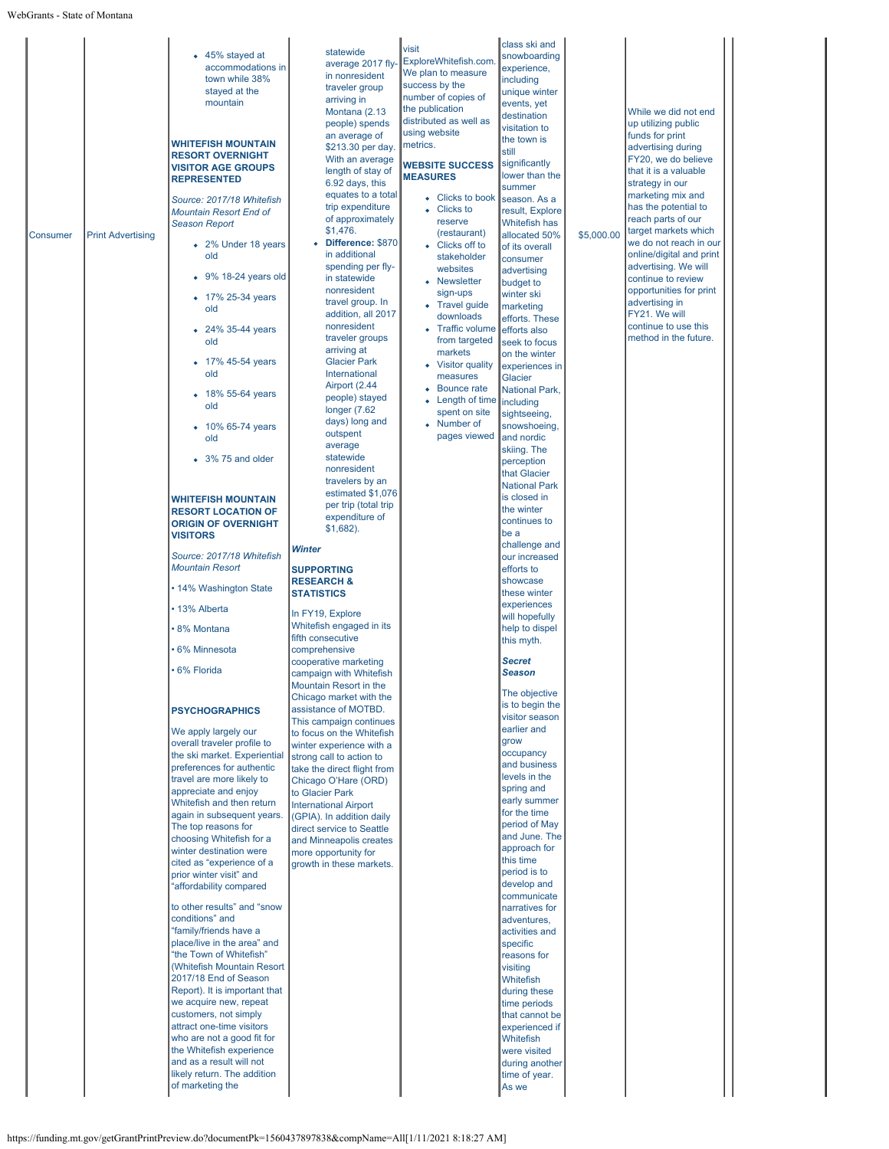|                 |                          | • 45% stayed at                                        | statewide                                                 | visit                                  | class ski and<br>snowboarding        |            |                                               |  |
|-----------------|--------------------------|--------------------------------------------------------|-----------------------------------------------------------|----------------------------------------|--------------------------------------|------------|-----------------------------------------------|--|
|                 |                          | accommodations in                                      | average 2017 fly-                                         | ExploreWhitefish.com.                  | experience,                          |            |                                               |  |
|                 |                          | town while 38%                                         | in nonresident                                            | We plan to measure                     | including                            |            |                                               |  |
|                 |                          | stayed at the                                          | traveler group                                            | success by the                         | unique winter                        |            |                                               |  |
|                 |                          | mountain                                               | arriving in                                               | number of copies of<br>the publication | events, yet                          |            |                                               |  |
|                 |                          |                                                        | Montana (2.13<br>people) spends                           | distributed as well as                 | destination                          |            | While we did not end<br>up utilizing public   |  |
|                 |                          |                                                        | an average of                                             | using website                          | visitation to                        |            | funds for print                               |  |
|                 |                          | <b>WHITEFISH MOUNTAIN</b>                              | \$213.30 per day.                                         | metrics.                               | the town is<br>still                 |            | advertising during                            |  |
|                 |                          | <b>RESORT OVERNIGHT</b>                                | With an average                                           | <b>WEBSITE SUCCESS</b>                 | significantly                        |            | FY20, we do believe                           |  |
|                 |                          | <b>VISITOR AGE GROUPS</b><br><b>REPRESENTED</b>        | length of stay of                                         | <b>MEASURES</b>                        | lower than the                       |            | that it is a valuable                         |  |
|                 |                          |                                                        | 6.92 days, this                                           |                                        | summer                               |            | strategy in our                               |  |
|                 |                          | Source: 2017/18 Whitefish                              | equates to a total<br>trip expenditure                    | • Clicks to book                       | season. As a                         |            | marketing mix and<br>has the potential to     |  |
|                 |                          | Mountain Resort End of                                 | of approximately                                          | • Clicks to<br>reserve                 | result, Explore                      |            | reach parts of our                            |  |
| <b>Consumer</b> | <b>Print Advertising</b> | <b>Season Report</b>                                   | \$1,476.                                                  | (restaurant)                           | Whitefish has<br>allocated 50%       | \$5,000.00 | target markets which                          |  |
|                 |                          | • 2% Under 18 years                                    | • Difference: \$870                                       | • Clicks off to                        | of its overall                       |            | we do not reach in our                        |  |
|                 |                          | old                                                    | in additional                                             | stakeholder                            | consumer                             |            | online/digital and print                      |  |
|                 |                          | 9% 18-24 years old                                     | spending per fly-                                         | websites                               | advertising                          |            | advertising. We will                          |  |
|                 |                          |                                                        | in statewide<br>nonresident                               | • Newsletter                           | budget to                            |            | continue to review<br>opportunities for print |  |
|                 |                          | • 17% 25-34 years                                      | travel group. In                                          | sign-ups<br>• Travel guide             | winter ski                           |            | advertising in                                |  |
|                 |                          | old                                                    | addition, all 2017                                        | downloads                              | marketing<br>efforts. These          |            | FY21. We will                                 |  |
|                 |                          | 24% 35-44 years                                        | nonresident                                               | • Traffic volume                       | efforts also                         |            | continue to use this                          |  |
|                 |                          | old                                                    | traveler groups                                           | from targeted                          | seek to focus                        |            | method in the future.                         |  |
|                 |                          |                                                        | arriving at                                               | markets                                | on the winter                        |            |                                               |  |
|                 |                          | • 17% 45-54 years<br>old                               | <b>Glacier Park</b><br>International                      | <b>Visitor quality</b>                 | experiences in                       |            |                                               |  |
|                 |                          |                                                        | Airport (2.44                                             | measures                               | Glacier                              |            |                                               |  |
|                 |                          | • 18% 55-64 years                                      | people) stayed                                            | Bounce rate<br>Length of time          | National Park,                       |            |                                               |  |
|                 |                          | old                                                    | longer $(7.62)$                                           | spent on site                          | including<br>sightseeing,            |            |                                               |  |
|                 |                          | 10% 65-74 years                                        | days) long and                                            | Number of                              | snowshoeing,                         |            |                                               |  |
|                 |                          | old                                                    | outspent                                                  | pages viewed                           | and nordic                           |            |                                               |  |
|                 |                          |                                                        | average<br>statewide                                      |                                        | skiing. The                          |            |                                               |  |
|                 |                          | • 3% 75 and older                                      | nonresident                                               |                                        | perception                           |            |                                               |  |
|                 |                          |                                                        | travelers by an                                           |                                        | that Glacier                         |            |                                               |  |
|                 |                          |                                                        | estimated \$1,076                                         |                                        | <b>National Park</b><br>is closed in |            |                                               |  |
|                 |                          | <b>WHITEFISH MOUNTAIN</b><br><b>RESORT LOCATION OF</b> | per trip (total trip                                      |                                        | the winter                           |            |                                               |  |
|                 |                          | <b>ORIGIN OF OVERNIGHT</b>                             | expenditure of                                            |                                        | continues to                         |            |                                               |  |
|                 |                          | <b>VISITORS</b>                                        | $$1,682$ ).                                               |                                        | be a                                 |            |                                               |  |
|                 |                          |                                                        | Winter                                                    |                                        | challenge and                        |            |                                               |  |
|                 |                          | Source: 2017/18 Whitefish                              |                                                           |                                        | our increased                        |            |                                               |  |
|                 |                          | <b>Mountain Resort</b>                                 | <b>SUPPORTING</b><br><b>RESEARCH &amp;</b>                |                                        | efforts to<br>showcase               |            |                                               |  |
|                 |                          | • 14% Washington State                                 | <b>STATISTICS</b>                                         |                                        | these winter                         |            |                                               |  |
|                 |                          | • 13% Alberta                                          |                                                           |                                        | experiences                          |            |                                               |  |
|                 |                          |                                                        | In FY19, Explore                                          |                                        | will hopefully                       |            |                                               |  |
|                 |                          | · 8% Montana                                           | Whitefish engaged in its                                  |                                        | help to dispel                       |            |                                               |  |
|                 |                          | 6% Minnesota                                           | fifth consecutive<br>comprehensive                        |                                        | this myth.                           |            |                                               |  |
|                 |                          |                                                        | cooperative marketing                                     |                                        | <b>Secret</b>                        |            |                                               |  |
|                 |                          | · 6% Florida                                           | campaign with Whitefish                                   |                                        | <b>Season</b>                        |            |                                               |  |
|                 |                          |                                                        | Mountain Resort in the                                    |                                        |                                      |            |                                               |  |
|                 |                          |                                                        | Chicago market with the                                   |                                        | The objective<br>is to begin the     |            |                                               |  |
|                 |                          | <b>PSYCHOGRAPHICS</b>                                  | assistance of MOTBD.                                      |                                        | visitor season                       |            |                                               |  |
|                 |                          | We apply largely our                                   | This campaign continues<br>to focus on the Whitefish      |                                        | earlier and                          |            |                                               |  |
|                 |                          | overall traveler profile to                            | winter experience with a                                  |                                        | grow                                 |            |                                               |  |
|                 |                          | the ski market. Experiential                           | strong call to action to                                  |                                        | occupancy                            |            |                                               |  |
|                 |                          | preferences for authentic                              | take the direct flight from                               |                                        | and business                         |            |                                               |  |
|                 |                          | travel are more likely to                              | Chicago O'Hare (ORD)                                      |                                        | levels in the<br>spring and          |            |                                               |  |
|                 |                          | appreciate and enjoy<br>Whitefish and then return      | to Glacier Park                                           |                                        | early summer                         |            |                                               |  |
|                 |                          | again in subsequent years.                             | <b>International Airport</b><br>(GPIA). In addition daily |                                        | for the time                         |            |                                               |  |
|                 |                          | The top reasons for                                    | direct service to Seattle                                 |                                        | period of May                        |            |                                               |  |
|                 |                          | choosing Whitefish for a                               | and Minneapolis creates                                   |                                        | and June. The                        |            |                                               |  |
|                 |                          | winter destination were                                | more opportunity for                                      |                                        | approach for                         |            |                                               |  |
|                 |                          | cited as "experience of a                              | growth in these markets.                                  |                                        | this time<br>period is to            |            |                                               |  |
|                 |                          | prior winter visit" and<br>"affordability compared     |                                                           |                                        | develop and                          |            |                                               |  |
|                 |                          |                                                        |                                                           |                                        | communicate                          |            |                                               |  |
|                 |                          | to other results" and "snow                            |                                                           |                                        | narratives for                       |            |                                               |  |
|                 |                          | conditions" and                                        |                                                           |                                        | adventures,                          |            |                                               |  |
|                 |                          | "family/friends have a<br>place/live in the area" and  |                                                           |                                        | activities and                       |            |                                               |  |
|                 |                          | "the Town of Whitefish"                                |                                                           |                                        | specific<br>reasons for              |            |                                               |  |
|                 |                          | (Whitefish Mountain Resort                             |                                                           |                                        | visiting                             |            |                                               |  |
|                 |                          | 2017/18 End of Season                                  |                                                           |                                        | Whitefish                            |            |                                               |  |
|                 |                          | Report). It is important that                          |                                                           |                                        | during these                         |            |                                               |  |
|                 |                          | we acquire new, repeat                                 |                                                           |                                        | time periods                         |            |                                               |  |
|                 |                          | customers, not simply<br>attract one-time visitors     |                                                           |                                        | that cannot be                       |            |                                               |  |
|                 |                          | who are not a good fit for                             |                                                           |                                        | experienced if<br>Whitefish          |            |                                               |  |
|                 |                          |                                                        |                                                           |                                        |                                      |            |                                               |  |
|                 |                          | the Whitefish experience                               |                                                           |                                        | were visited                         |            |                                               |  |
|                 |                          | and as a result will not                               |                                                           |                                        | during another                       |            |                                               |  |
|                 |                          | likely return. The addition                            |                                                           |                                        | time of year.                        |            |                                               |  |
|                 |                          | of marketing the                                       |                                                           |                                        | As we                                |            |                                               |  |
|                 |                          |                                                        |                                                           |                                        |                                      |            |                                               |  |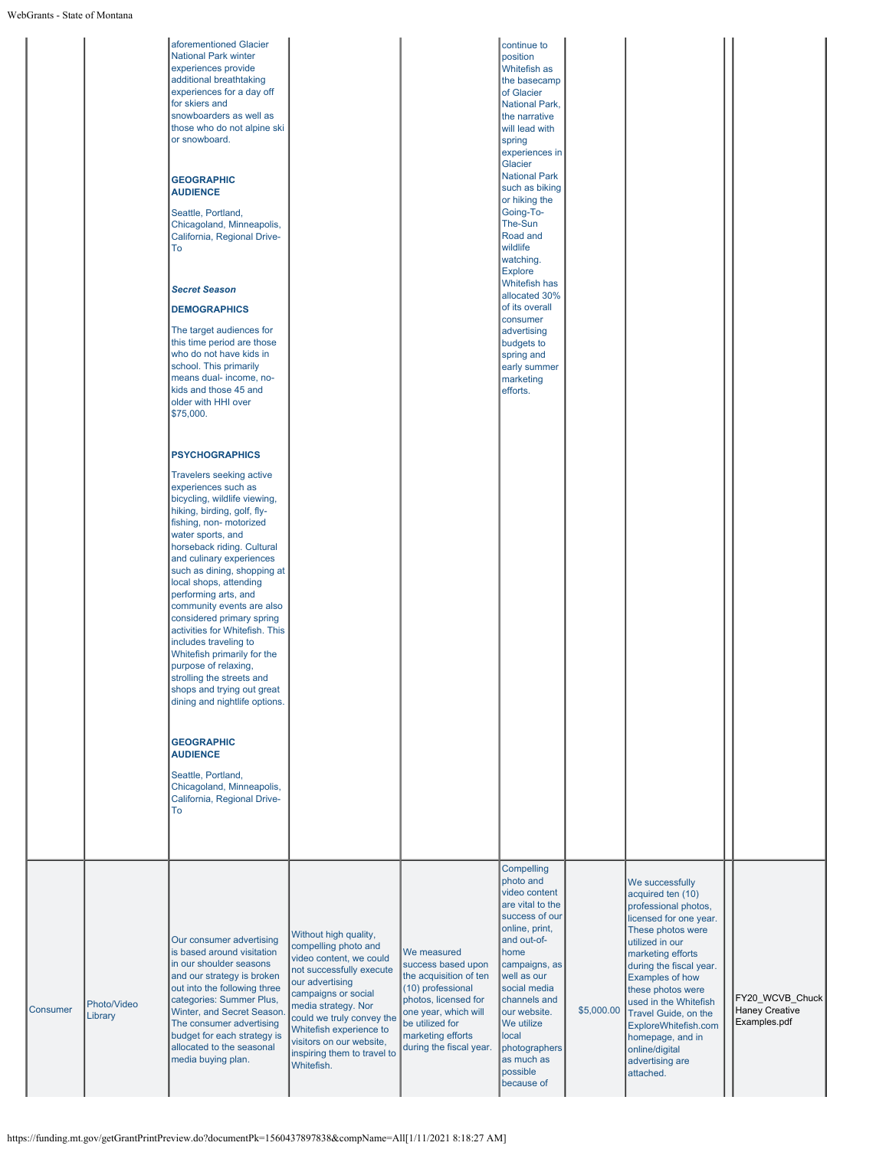|                 |                        | aforementioned Glacier<br><b>National Park winter</b><br>experiences provide<br>additional breathtaking<br>experiences for a day off<br>for skiers and<br>snowboarders as well as<br>those who do not alpine ski<br>or snowboard.<br><b>GEOGRAPHIC</b><br><b>AUDIENCE</b><br>Seattle, Portland,<br>Chicagoland, Minneapolis,<br>California, Regional Drive-<br>To<br><b>Secret Season</b><br><b>DEMOGRAPHICS</b><br>The target audiences for<br>this time period are those<br>who do not have kids in<br>school. This primarily<br>means dual- income, no-<br>kids and those 45 and<br>older with HHI over<br>\$75,000.<br><b>PSYCHOGRAPHICS</b><br><b>Travelers seeking active</b><br>experiences such as<br>bicycling, wildlife viewing,<br>hiking, birding, golf, fly-<br>fishing, non- motorized<br>water sports, and<br>horseback riding. Cultural<br>and culinary experiences<br>such as dining, shopping at<br>local shops, attending<br>performing arts, and<br>community events are also<br>considered primary spring<br>activities for Whitefish. This<br>includes traveling to<br>Whitefish primarily for the<br>purpose of relaxing,<br>strolling the streets and<br>shops and trying out great<br>dining and nightlife options.<br><b>GEOGRAPHIC</b><br><b>AUDIENCE</b><br>Seattle, Portland,<br>Chicagoland, Minneapolis,<br>California, Regional Drive-<br>To |                                                                                                                                                                                                                                                                                                        |                                                                                                                                                                                                     | continue to<br>position<br>Whitefish as<br>the basecamp<br>of Glacier<br>National Park,<br>the narrative<br>will lead with<br>spring<br>experiences in<br>Glacier<br><b>National Park</b><br>such as biking<br>or hiking the<br>Going-To-<br>The-Sun<br>Road and<br>wildlife<br>watching.<br><b>Explore</b><br>Whitefish has<br>allocated 30%<br>of its overall<br>consumer<br>advertising<br>budgets to<br>spring and<br>early summer<br>marketing<br>efforts. |            |                                                                                                                                                                                                                                                                                                                                                                       |                                                          |
|-----------------|------------------------|------------------------------------------------------------------------------------------------------------------------------------------------------------------------------------------------------------------------------------------------------------------------------------------------------------------------------------------------------------------------------------------------------------------------------------------------------------------------------------------------------------------------------------------------------------------------------------------------------------------------------------------------------------------------------------------------------------------------------------------------------------------------------------------------------------------------------------------------------------------------------------------------------------------------------------------------------------------------------------------------------------------------------------------------------------------------------------------------------------------------------------------------------------------------------------------------------------------------------------------------------------------------------------------------------------------------------------------------------------------------------|--------------------------------------------------------------------------------------------------------------------------------------------------------------------------------------------------------------------------------------------------------------------------------------------------------|-----------------------------------------------------------------------------------------------------------------------------------------------------------------------------------------------------|-----------------------------------------------------------------------------------------------------------------------------------------------------------------------------------------------------------------------------------------------------------------------------------------------------------------------------------------------------------------------------------------------------------------------------------------------------------------|------------|-----------------------------------------------------------------------------------------------------------------------------------------------------------------------------------------------------------------------------------------------------------------------------------------------------------------------------------------------------------------------|----------------------------------------------------------|
| <b>Consumer</b> | Photo/Video<br>Library | Our consumer advertising<br>is based around visitation<br>in our shoulder seasons<br>and our strategy is broken<br>out into the following three<br>categories: Summer Plus,<br>Winter, and Secret Season.<br>The consumer advertising<br>budget for each strategy is<br>allocated to the seasonal<br>media buying plan.                                                                                                                                                                                                                                                                                                                                                                                                                                                                                                                                                                                                                                                                                                                                                                                                                                                                                                                                                                                                                                                      | Without high quality,<br>compelling photo and<br>video content, we could<br>not successfully execute<br>our advertising<br>campaigns or social<br>media strategy. Nor<br>could we truly convey the<br>Whitefish experience to<br>visitors on our website,<br>inspiring them to travel to<br>Whitefish. | We measured<br>success based upon<br>the acquisition of ten<br>(10) professional<br>photos, licensed for<br>one year, which will<br>be utilized for<br>marketing efforts<br>during the fiscal year. | Compelling<br>photo and<br>video content<br>are vital to the<br>success of our<br>online, print,<br>and out-of-<br>home<br>campaigns, as<br>well as our<br>social media<br>channels and<br>our website.<br>We utilize<br>local<br>photographers<br>as much as<br>possible<br>because of                                                                                                                                                                         | \$5,000.00 | We successfully<br>acquired ten (10)<br>professional photos,<br>licensed for one year.<br>These photos were<br>utilized in our<br>marketing efforts<br>during the fiscal year.<br>Examples of how<br>these photos were<br>used in the Whitefish<br>Travel Guide, on the<br>ExploreWhitefish.com<br>homepage, and in<br>online/digital<br>advertising are<br>attached. | FY20_WCVB_Chuck<br><b>Haney Creative</b><br>Examples.pdf |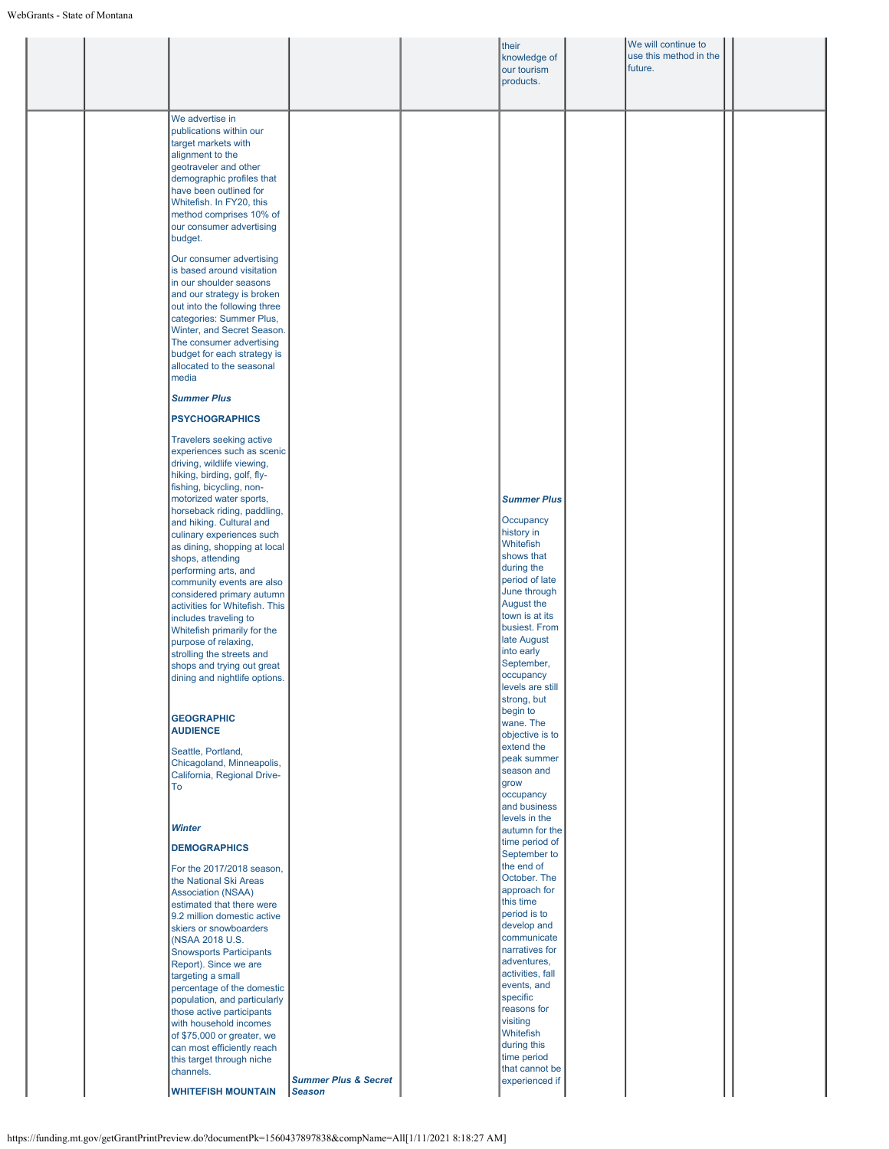à.

|  |                                                                                                                                                                                                                                                                                                            |                                 | their<br>knowledge of<br>our tourism<br>products. | We will continue to<br>use this method in the<br>future. |  |
|--|------------------------------------------------------------------------------------------------------------------------------------------------------------------------------------------------------------------------------------------------------------------------------------------------------------|---------------------------------|---------------------------------------------------|----------------------------------------------------------|--|
|  | We advertise in<br>publications within our<br>target markets with<br>alignment to the<br>geotraveler and other<br>demographic profiles that<br>have been outlined for<br>Whitefish. In FY20, this<br>method comprises 10% of<br>our consumer advertising<br>budget.                                        |                                 |                                                   |                                                          |  |
|  | Our consumer advertising<br>is based around visitation<br>in our shoulder seasons<br>and our strategy is broken<br>out into the following three<br>categories: Summer Plus,<br>Winter, and Secret Season.<br>The consumer advertising<br>budget for each strategy is<br>allocated to the seasonal<br>media |                                 |                                                   |                                                          |  |
|  | <b>Summer Plus</b>                                                                                                                                                                                                                                                                                         |                                 |                                                   |                                                          |  |
|  | <b>PSYCHOGRAPHICS</b>                                                                                                                                                                                                                                                                                      |                                 |                                                   |                                                          |  |
|  | <b>Travelers seeking active</b><br>experiences such as scenic<br>driving, wildlife viewing,<br>hiking, birding, golf, fly-<br>fishing, bicycling, non-<br>motorized water sports,                                                                                                                          |                                 | <b>Summer Plus</b>                                |                                                          |  |
|  | horseback riding, paddling,                                                                                                                                                                                                                                                                                |                                 | Occupancy                                         |                                                          |  |
|  | and hiking. Cultural and<br>culinary experiences such                                                                                                                                                                                                                                                      |                                 | history in                                        |                                                          |  |
|  | as dining, shopping at local                                                                                                                                                                                                                                                                               |                                 | Whitefish<br>shows that                           |                                                          |  |
|  | shops, attending<br>performing arts, and                                                                                                                                                                                                                                                                   |                                 | during the                                        |                                                          |  |
|  | community events are also                                                                                                                                                                                                                                                                                  |                                 | period of late<br>June through                    |                                                          |  |
|  | considered primary autumn<br>activities for Whitefish. This                                                                                                                                                                                                                                                |                                 | August the                                        |                                                          |  |
|  | includes traveling to                                                                                                                                                                                                                                                                                      |                                 | town is at its<br>busiest. From                   |                                                          |  |
|  | Whitefish primarily for the<br>purpose of relaxing,                                                                                                                                                                                                                                                        |                                 | late August                                       |                                                          |  |
|  | strolling the streets and                                                                                                                                                                                                                                                                                  |                                 | into early                                        |                                                          |  |
|  | shops and trying out great<br>dining and nightlife options.                                                                                                                                                                                                                                                |                                 | September,<br>occupancy                           |                                                          |  |
|  |                                                                                                                                                                                                                                                                                                            |                                 | levels are still<br>strong, but                   |                                                          |  |
|  |                                                                                                                                                                                                                                                                                                            |                                 | begin to                                          |                                                          |  |
|  | <b>GEOGRAPHIC</b><br><b>AUDIENCE</b>                                                                                                                                                                                                                                                                       |                                 | wane. The<br>objective is to                      |                                                          |  |
|  | Seattle, Portland,                                                                                                                                                                                                                                                                                         |                                 | extend the                                        |                                                          |  |
|  | Chicagoland, Minneapolis,                                                                                                                                                                                                                                                                                  |                                 | peak summer<br>season and                         |                                                          |  |
|  | California, Regional Drive-<br>To                                                                                                                                                                                                                                                                          |                                 | grow                                              |                                                          |  |
|  |                                                                                                                                                                                                                                                                                                            |                                 | occupancy<br>and business                         |                                                          |  |
|  | <b>Winter</b>                                                                                                                                                                                                                                                                                              |                                 | levels in the                                     |                                                          |  |
|  |                                                                                                                                                                                                                                                                                                            |                                 | autumn for the<br>time period of                  |                                                          |  |
|  | <b>DEMOGRAPHICS</b>                                                                                                                                                                                                                                                                                        |                                 | September to                                      |                                                          |  |
|  | For the 2017/2018 season,<br>the National Ski Areas                                                                                                                                                                                                                                                        |                                 | the end of<br>October. The                        |                                                          |  |
|  | <b>Association (NSAA)</b>                                                                                                                                                                                                                                                                                  |                                 | approach for                                      |                                                          |  |
|  | estimated that there were<br>9.2 million domestic active                                                                                                                                                                                                                                                   |                                 | this time<br>period is to                         |                                                          |  |
|  | skiers or snowboarders                                                                                                                                                                                                                                                                                     |                                 | develop and                                       |                                                          |  |
|  | (NSAA 2018 U.S.                                                                                                                                                                                                                                                                                            |                                 | communicate<br>narratives for                     |                                                          |  |
|  | <b>Snowsports Participants</b><br>Report). Since we are                                                                                                                                                                                                                                                    |                                 | adventures,                                       |                                                          |  |
|  | targeting a small                                                                                                                                                                                                                                                                                          |                                 | activities, fall<br>events, and                   |                                                          |  |
|  | percentage of the domestic<br>population, and particularly                                                                                                                                                                                                                                                 |                                 | specific                                          |                                                          |  |
|  | those active participants                                                                                                                                                                                                                                                                                  |                                 | reasons for<br>visiting                           |                                                          |  |
|  | with household incomes<br>of \$75,000 or greater, we                                                                                                                                                                                                                                                       |                                 | Whitefish                                         |                                                          |  |
|  | can most efficiently reach                                                                                                                                                                                                                                                                                 |                                 | during this                                       |                                                          |  |
|  | this target through niche<br>channels.                                                                                                                                                                                                                                                                     |                                 | time period<br>that cannot be                     |                                                          |  |
|  |                                                                                                                                                                                                                                                                                                            | <b>Summer Plus &amp; Secret</b> | experienced if                                    |                                                          |  |
|  | <b>WHITEFISH MOUNTAIN</b>                                                                                                                                                                                                                                                                                  | Season                          |                                                   |                                                          |  |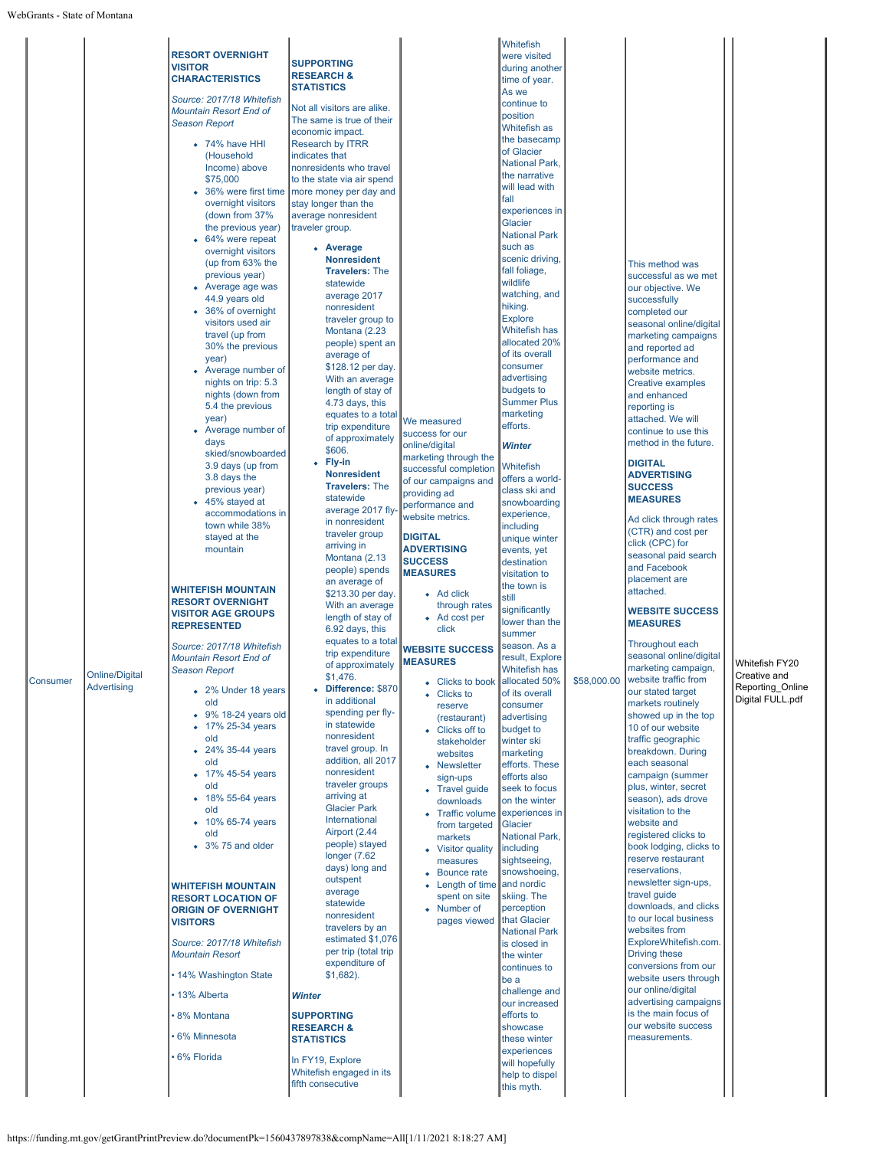| Consumer | Online/Digital<br>Advertising | <b>RESORT OVERNIGHT</b><br><b>VISITOR</b><br><b>CHARACTERISTICS</b><br>Source: 2017/18 Whitefish<br>Mountain Resort End of<br><b>Season Report</b><br>$\bullet$ 74% have HHI<br>(Household<br>Income) above<br>\$75,000<br>overnight visitors<br>(down from 37%<br>the previous year)<br>• 64% were repeat<br>overnight visitors<br>(up from 63% the<br>previous year)<br>• Average age was<br>44.9 years old<br>• 36% of overnight<br>visitors used air<br>travel (up from<br>30% the previous<br>year)<br>• Average number of<br>nights on trip: 5.3<br>nights (down from<br>5.4 the previous<br>year)<br>• Average number of<br>days<br>skied/snowboarded<br>3.9 days (up from<br>3.8 days the<br>previous year)<br>• 45% stayed at<br>accommodations in<br>town while 38%<br>stayed at the<br>mountain<br><b>WHITEFISH MOUNTAIN</b><br><b>RESORT OVERNIGHT</b><br><b>VISITOR AGE GROUPS</b><br><b>REPRESENTED</b><br>Source: 2017/18 Whitefish<br><b>Mountain Resort End of</b><br><b>Season Report</b><br>• 2% Under 18 years<br>old<br>$\bullet$ 9% 18-24 years old<br>17% 25-34 years<br>old<br>• 24% 35-44 years<br>old<br>• 17% 45-54 years<br>old<br>• 18% 55-64 years<br>old<br>• 10% 65-74 years<br>old<br>$\bullet$ 3% 75 and older<br><b>WHITEFISH MOUNTAIN</b><br><b>RESORT LOCATION OF</b><br><b>ORIGIN OF OVERNIGHT</b><br><b>VISITORS</b><br>Source: 2017/18 Whitefish<br><b>Mountain Resort</b><br>• 14% Washington State<br>• 13% Alberta<br>8% Montana<br>6% Minnesota<br>6% Florida | <b>SUPPORTING</b><br><b>RESEARCH &amp;</b><br><b>STATISTICS</b><br>Not all visitors are alike.<br>The same is true of their<br>economic impact.<br><b>Research by ITRR</b><br>indicates that<br>nonresidents who travel<br>to the state via air spend<br>36% were first time   more money per day and<br>stay longer than the<br>average nonresident<br>traveler group.<br>• Average<br><b>Nonresident</b><br><b>Travelers: The</b><br>statewide<br>average 2017<br>nonresident<br>traveler group to<br>Montana (2.23<br>people) spent an<br>average of<br>\$128.12 per day.<br>With an average<br>length of stay of<br>4.73 days, this<br>equates to a total<br>trip expenditure<br>of approximately<br>\$606.<br>• Fly-in<br><b>Nonresident</b><br><b>Travelers: The</b><br>statewide<br>average 2017 fly<br>in nonresident<br>traveler group<br>arriving in<br>Montana (2.13<br>people) spends<br>an average of<br>\$213.30 per day.<br>With an average<br>length of stay of<br>6.92 days, this<br>equates to a total<br>trip expenditure<br>of approximately<br>\$1,476.<br>• Difference: \$870<br>in additional<br>spending per fly-<br>in statewide<br>nonresident<br>travel group. In<br>addition, all 2017<br>nonresident<br>traveler groups<br>arriving at<br><b>Glacier Park</b><br>International<br>Airport (2.44<br>people) stayed<br>longer (7.62<br>days) long and<br>outspent<br>average<br>statewide<br>nonresident<br>travelers by an<br>estimated \$1,076<br>per trip (total trip<br>expenditure of<br>$$1,682$ ).<br>Winter<br><b>SUPPORTING</b><br><b>RESEARCH &amp;</b><br><b>STATISTICS</b><br>In FY19, Explore<br>Whitefish engaged in its | We measured<br>success for our<br>online/digital<br>marketing through the<br>successful completion<br>of our campaigns and<br>providing ad<br>performance and<br>website metrics.<br><b>DIGITAL</b><br><b>ADVERTISING</b><br><b>SUCCESS</b><br><b>MEASURES</b><br>• Ad click<br>through rates<br>• Ad cost per<br>click<br><b>WEBSITE SUCCESS</b><br><b>MEASURES</b><br>• Clicks to book allocated 50%<br>• Clicks to<br>reserve<br>(restaurant)<br>• Clicks off to<br>stakeholder<br>websites<br>• Newsletter<br>sign-ups<br>• Travel guide<br>downloads<br>• Traffic volume<br>from targeted<br>markets<br>• Visitor quality<br>measures<br>• Bounce rate<br>• Length of time and nordic<br>spent on site<br>• Number of<br>pages viewed | Whitefish<br>were visited<br>during another<br>time of year.<br>As we<br>continue to<br>position<br>Whitefish as<br>the basecamp<br>of Glacier<br><b>National Park</b><br>the narrative<br>will lead with<br>fall<br>experiences in<br>Glacier<br><b>National Park</b><br>such as<br>scenic driving,<br>fall foliage,<br>wildlife<br>watching, and<br>hiking.<br><b>Explore</b><br>Whitefish has<br>allocated 20%<br>of its overall<br>consumer<br>advertising<br>budgets to<br><b>Summer Plus</b><br>marketing<br>efforts.<br><b>Winter</b><br>Whitefish<br>offers a world-<br>class ski and<br>snowboarding<br>experience,<br>including<br>unique winter<br>events, yet<br>destination<br>visitation to<br>the town is<br>still<br>significantly<br>lower than the<br>summer<br>season. As a<br>result, Explore<br>Whitefish has<br>of its overall<br>consumer<br>advertising<br>budget to<br>winter ski<br>marketing<br>efforts. These<br>efforts also<br>seek to focus<br>on the winter<br>experiences in<br>Glacier<br><b>National Park,</b><br>including<br>sightseeing,<br>snowshoeing,<br>skiing. The<br>perception<br>that Glacier<br><b>National Park</b><br>is closed in<br>the winter<br>continues to<br>be a<br>challenge and<br>our increased<br>efforts to<br>showcase<br>these winter<br>experiences<br>will hopefully<br>help to dispel | \$58,000.00 | This method was<br>successful as we met<br>our objective. We<br>successfully<br>completed our<br>seasonal online/digital<br>marketing campaigns<br>and reported ad<br>performance and<br>website metrics.<br><b>Creative examples</b><br>and enhanced<br>reporting is<br>attached. We will<br>continue to use this<br>method in the future.<br><b>DIGITAL</b><br><b>ADVERTISING</b><br><b>SUCCESS</b><br><b>MEASURES</b><br>Ad click through rates<br>(CTR) and cost per<br>click (CPC) for<br>seasonal paid search<br>and Facebook<br>placement are<br>attached.<br><b>WEBSITE SUCCESS</b><br><b>MEASURES</b><br>Throughout each<br>seasonal online/digital<br>marketing campaign,<br>website traffic from<br>our stated target<br>markets routinely<br>showed up in the top<br>10 of our website<br>traffic geographic<br>breakdown. During<br>each seasonal<br>campaign (summer<br>plus, winter, secret<br>season), ads drove<br>visitation to the<br>website and<br>registered clicks to<br>book lodging, clicks to<br>reserve restaurant<br>reservations,<br>newsletter sign-ups,<br>travel guide<br>downloads, and clicks<br>to our local business<br>websites from<br>ExploreWhitefish.com.<br><b>Driving these</b><br>conversions from our<br>website users through<br>our online/digital<br>advertising campaigns<br>is the main focus of<br>our website success<br>measurements. | Whitefish FY20<br>Creative and<br>Reporting_Online<br>Digital FULL.pdf |
|----------|-------------------------------|-----------------------------------------------------------------------------------------------------------------------------------------------------------------------------------------------------------------------------------------------------------------------------------------------------------------------------------------------------------------------------------------------------------------------------------------------------------------------------------------------------------------------------------------------------------------------------------------------------------------------------------------------------------------------------------------------------------------------------------------------------------------------------------------------------------------------------------------------------------------------------------------------------------------------------------------------------------------------------------------------------------------------------------------------------------------------------------------------------------------------------------------------------------------------------------------------------------------------------------------------------------------------------------------------------------------------------------------------------------------------------------------------------------------------------------------------------------------------------------------------------------|-------------------------------------------------------------------------------------------------------------------------------------------------------------------------------------------------------------------------------------------------------------------------------------------------------------------------------------------------------------------------------------------------------------------------------------------------------------------------------------------------------------------------------------------------------------------------------------------------------------------------------------------------------------------------------------------------------------------------------------------------------------------------------------------------------------------------------------------------------------------------------------------------------------------------------------------------------------------------------------------------------------------------------------------------------------------------------------------------------------------------------------------------------------------------------------------------------------------------------------------------------------------------------------------------------------------------------------------------------------------------------------------------------------------------------------------------------------------------------------------------------------------------------------------------------------------------------------------------------------------------------------------------------------------|--------------------------------------------------------------------------------------------------------------------------------------------------------------------------------------------------------------------------------------------------------------------------------------------------------------------------------------------------------------------------------------------------------------------------------------------------------------------------------------------------------------------------------------------------------------------------------------------------------------------------------------------------------------------------------------------------------------------------------------------|----------------------------------------------------------------------------------------------------------------------------------------------------------------------------------------------------------------------------------------------------------------------------------------------------------------------------------------------------------------------------------------------------------------------------------------------------------------------------------------------------------------------------------------------------------------------------------------------------------------------------------------------------------------------------------------------------------------------------------------------------------------------------------------------------------------------------------------------------------------------------------------------------------------------------------------------------------------------------------------------------------------------------------------------------------------------------------------------------------------------------------------------------------------------------------------------------------------------------------------------------------------------------------------------------------------------------------------------------------|-------------|--------------------------------------------------------------------------------------------------------------------------------------------------------------------------------------------------------------------------------------------------------------------------------------------------------------------------------------------------------------------------------------------------------------------------------------------------------------------------------------------------------------------------------------------------------------------------------------------------------------------------------------------------------------------------------------------------------------------------------------------------------------------------------------------------------------------------------------------------------------------------------------------------------------------------------------------------------------------------------------------------------------------------------------------------------------------------------------------------------------------------------------------------------------------------------------------------------------------------------------------------------------------------------------------------------------------------------------------------------------------------------------------|------------------------------------------------------------------------|
|          |                               |                                                                                                                                                                                                                                                                                                                                                                                                                                                                                                                                                                                                                                                                                                                                                                                                                                                                                                                                                                                                                                                                                                                                                                                                                                                                                                                                                                                                                                                                                                           | fifth consecutive                                                                                                                                                                                                                                                                                                                                                                                                                                                                                                                                                                                                                                                                                                                                                                                                                                                                                                                                                                                                                                                                                                                                                                                                                                                                                                                                                                                                                                                                                                                                                                                                                                                 |                                                                                                                                                                                                                                                                                                                                                                                                                                                                                                                                                                                                                                                                                                                                            | this myth.                                                                                                                                                                                                                                                                                                                                                                                                                                                                                                                                                                                                                                                                                                                                                                                                                                                                                                                                                                                                                                                                                                                                                                                                                                                                                                                                               |             |                                                                                                                                                                                                                                                                                                                                                                                                                                                                                                                                                                                                                                                                                                                                                                                                                                                                                                                                                                                                                                                                                                                                                                                                                                                                                                                                                                                            |                                                                        |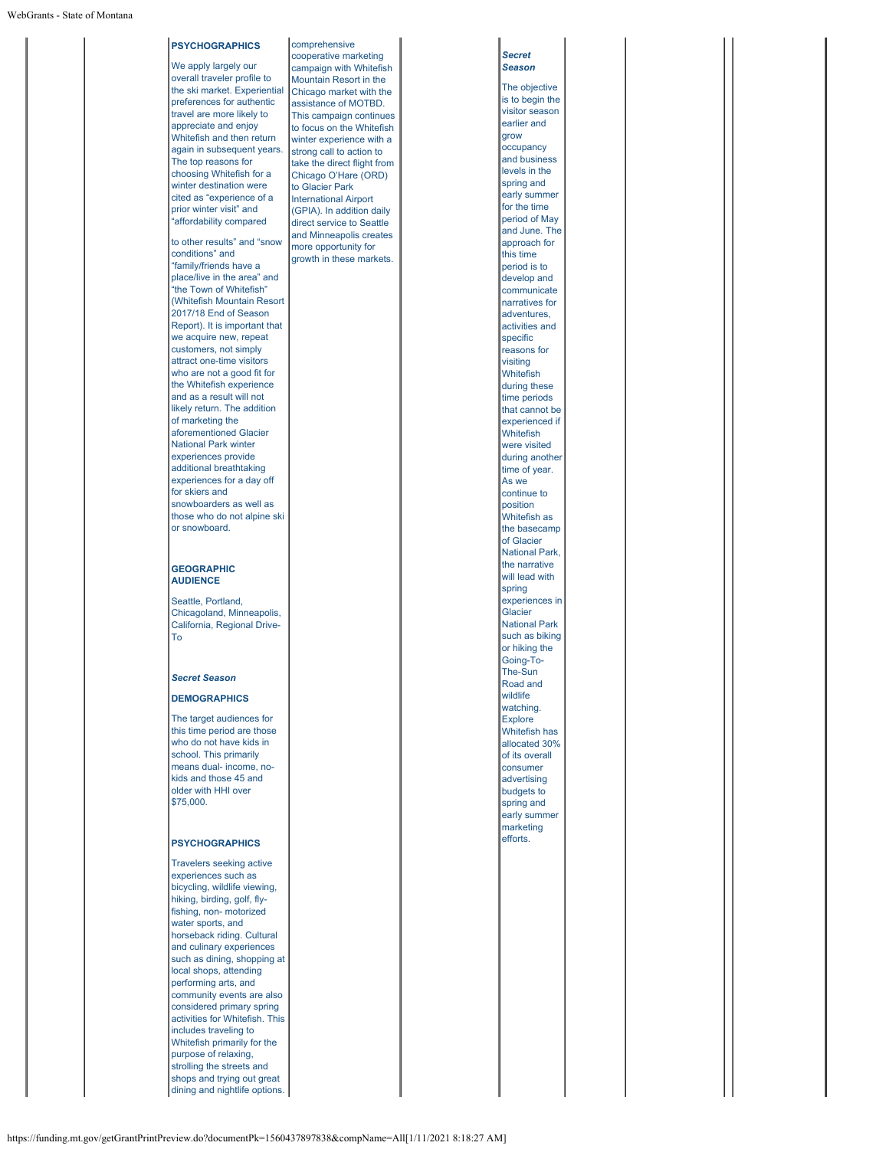### **PSYCHOGRAPHICS** We apply largely our overall traveler profile to the ski market. Experiential preferences for authentic travel are more likely to appreciate and enjoy Whitefish and then return again in subsequent years. The top reasons for choosing Whitefish for a winter destination were cited as "experience of a prior winter visit" and "affordability compared to other results" and "snow conditions" and "family/friends have a place/live in the area" and "the Town of Whitefish" (Whitefish Mountain Resort 2017/18 End of Season Report). It is important that we acquire new, repeat customers, not simply attract one-time visitors who are not a good fit for the Whitefish experience and as a result will not likely return. The addition of marketing the aforementioned Glacier National Park winter experiences provide additional breathtaking experiences for a day off for skiers and snowboarders as well as those who do not alpine ski or snowboard. **GEOGRAPHIC AUDIENCE** Seattle, Portland, Chicagoland, Minneapolis, California, Regional Drive-To *Secret Season* **DEMOGRAPHICS**

The target audiences for this time period are those who do not have kids in school. This primarily means dual- income, nokids and those 45 and older with HHI over \$75,000.

#### **PSYCHOGRAPHICS**

Travelers seeking active experiences such as bicycling, wildlife viewing, hiking, birding, golf, flyfishing, non- motorized water sports, and horseback riding. Cultural and culinary experiences such as dining, shopping at local shops, attending performing arts, and community events are also considered primary spring activities for Whitefish. This includes traveling to Whitefish primarily for the purpose of relaxing, strolling the streets and shops and trying out great dining and nightlife options.

comprehensive cooperative marketing campaign with Whitefish Mountain Resort in the Chicago market with the assistance of MOTBD. This campaign continues to focus on the Whitefish winter experience with a strong call to action to take the direct flight from Chicago O'Hare (ORD) to Glacier Park International Airport (GPIA). In addition daily direct service to Seattle and Minneapolis creates more opportunity for growth in these markets.

*Secret Season* The objective is to begin the visitor season earlier and grow occupancy and business levels in the spring and early summer for the time period of May and June. The approach for this time period is to develop and communicate narratives for adventures, activities and specific reasons for visiting Whitefish during these time periods that cannot be experienced if Whitefish were visited during another time of year. As we continue to position Whitefish as the basecamp of Glacier National Park, the narrative will lead with spring experiences in Glacier National Park such as biking or hiking the Going-To-The-Sun Road and wildlife watching. **Explore** Whitefish has allocated 30% of its overall consumer advertising budgets to spring and early summer marketing efforts.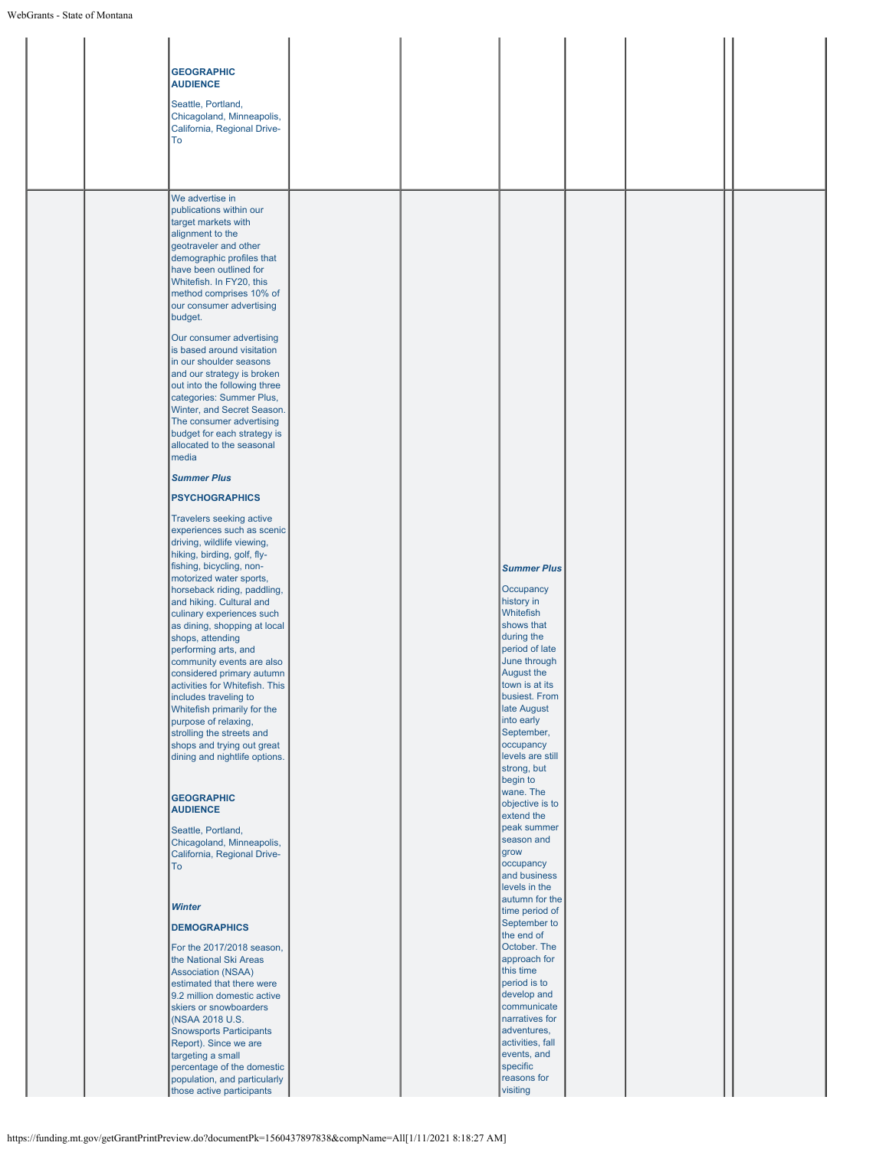|  | <b>GEOGRAPHIC</b><br><b>AUDIENCE</b><br>Seattle, Portland,<br>Chicagoland, Minneapolis,<br>California, Regional Drive-<br>To                                                                                                                                                                                                                                                                                                                                                                                                                                                                                                                                                                                                                                                                                                                                                                                                                                                                                                                                                                                                                                                                                                                                                                                                                          |  |                                                                                                                                                                                                                                                                                                                                                             |  |  |
|--|-------------------------------------------------------------------------------------------------------------------------------------------------------------------------------------------------------------------------------------------------------------------------------------------------------------------------------------------------------------------------------------------------------------------------------------------------------------------------------------------------------------------------------------------------------------------------------------------------------------------------------------------------------------------------------------------------------------------------------------------------------------------------------------------------------------------------------------------------------------------------------------------------------------------------------------------------------------------------------------------------------------------------------------------------------------------------------------------------------------------------------------------------------------------------------------------------------------------------------------------------------------------------------------------------------------------------------------------------------|--|-------------------------------------------------------------------------------------------------------------------------------------------------------------------------------------------------------------------------------------------------------------------------------------------------------------------------------------------------------------|--|--|
|  | We advertise in<br>publications within our<br>target markets with<br>alignment to the<br>geotraveler and other<br>demographic profiles that<br>have been outlined for<br>Whitefish. In FY20, this<br>method comprises 10% of<br>our consumer advertising<br>budget.<br>Our consumer advertising<br>is based around visitation<br>in our shoulder seasons<br>and our strategy is broken<br>out into the following three<br>categories: Summer Plus,<br>Winter, and Secret Season.<br>The consumer advertising<br>budget for each strategy is<br>allocated to the seasonal<br>media<br><b>Summer Plus</b><br><b>PSYCHOGRAPHICS</b><br>Travelers seeking active<br>experiences such as scenic<br>driving, wildlife viewing,<br>hiking, birding, golf, fly-<br>fishing, bicycling, non-<br>motorized water sports,<br>horseback riding, paddling,<br>and hiking. Cultural and<br>culinary experiences such<br>as dining, shopping at local<br>shops, attending<br>performing arts, and<br>community events are also<br>considered primary autumn<br>activities for Whitefish. This<br>includes traveling to<br>Whitefish primarily for the<br>purpose of relaxing,<br>strolling the streets and<br>shops and trying out great<br>dining and nightlife options.<br><b>GEOGRAPHIC</b><br><b>AUDIENCE</b><br>Seattle, Portland,<br>Chicagoland, Minneapolis, |  | <b>Summer Plus</b><br>Occupancy<br>history in<br>Whitefish<br>shows that<br>during the<br>period of late<br>June through<br>August the<br>town is at its<br>busiest. From<br>late August<br>into early<br>September,<br>occupancy<br>levels are still<br>strong, but<br>begin to<br>wane. The<br>objective is to<br>extend the<br>peak summer<br>season and |  |  |
|  | California, Regional Drive-<br>To<br><b>Winter</b><br><b>DEMOGRAPHICS</b><br>For the 2017/2018 season,<br>the National Ski Areas<br><b>Association (NSAA)</b><br>estimated that there were<br>9.2 million domestic active<br>skiers or snowboarders<br>(NSAA 2018 U.S.<br><b>Snowsports Participants</b><br>Report). Since we are<br>targeting a small<br>percentage of the domestic<br>population, and particularly<br>those active participants                                                                                                                                                                                                                                                                                                                                                                                                                                                                                                                                                                                                                                                                                                                                                                                                                                                                                                     |  | grow<br>occupancy<br>and business<br>levels in the<br>autumn for the<br>time period of<br>September to<br>the end of<br>October. The<br>approach for<br>this time<br>period is to<br>develop and<br>communicate<br>narratives for<br>adventures,<br>activities, fall<br>events, and<br>specific<br>reasons for<br>visiting                                  |  |  |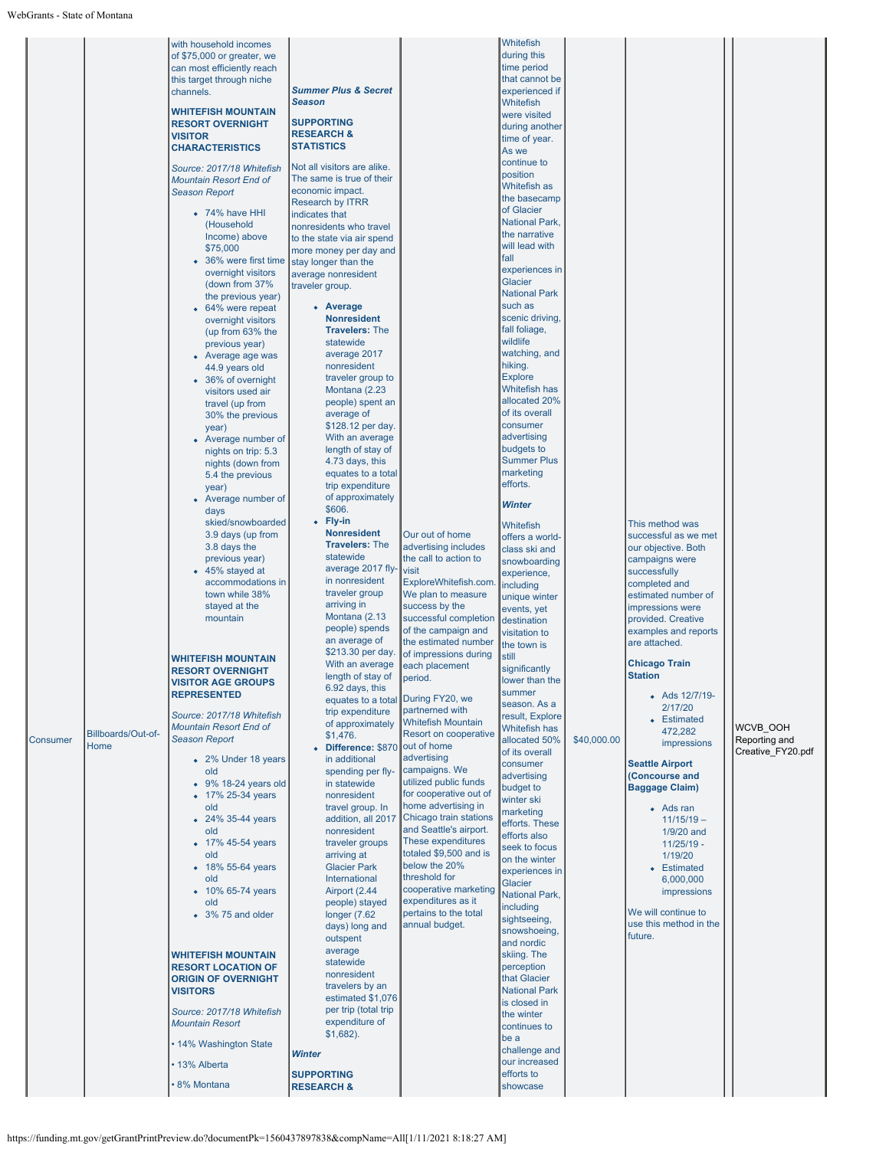| Billboards/Out-of-<br>Consumer<br>Home | with household incomes<br>of \$75,000 or greater, we<br>can most efficiently reach<br>this target through niche<br>channels.<br><b>WHITEFISH MOUNTAIN</b><br><b>RESORT OVERNIGHT</b><br><b>VISITOR</b><br><b>CHARACTERISTICS</b><br>Source: 2017/18 Whitefish<br><b>Mountain Resort End of</b><br><b>Season Report</b><br>$\bullet$ 74% have HHI<br>(Household<br>Income) above<br>\$75,000<br>• 36% were first time stay longer than the<br>overnight visitors<br>(down from 37%)<br>the previous year)<br>• 64% were repeat<br>overnight visitors<br>(up from 63% the<br>previous year)<br>• Average age was<br>44.9 years old<br>• 36% of overnight<br>visitors used air<br>travel (up from<br>30% the previous<br>year)<br>• Average number of<br>nights on trip: 5.3<br>nights (down from<br>5.4 the previous<br>year)<br>• Average number of<br>days<br>skied/snowboarded<br>3.9 days (up from<br>3.8 days the<br>previous year)<br>• 45% stayed at<br>accommodations in<br>town while 38%<br>stayed at the<br>mountain<br><b>WHITEFISH MOUNTAIN</b><br><b>RESORT OVERNIGHT</b><br><b>VISITOR AGE GROUPS</b><br><b>REPRESENTED</b><br>Source: 2017/18 Whitefish<br>Mountain Resort End of<br><b>Season Report</b><br>• 2% Under 18 years<br>old<br>$\bullet$ 9% 18-24 years old<br>• 17% 25-34 years<br>old<br>• 24% 35-44 years<br>old<br>• 17% 45-54 years<br>old<br>• 18% 55-64 years<br>old<br>• 10% 65-74 years<br>old<br>• 3% 75 and older<br><b>WHITEFISH MOUNTAIN</b><br><b>RESORT LOCATION OF</b><br><b>ORIGIN OF OVERNIGHT</b><br><b>VISITORS</b><br>Source: 2017/18 Whitefish<br><b>Mountain Resort</b><br>• 14% Washington State | <b>Summer Plus &amp; Secret</b><br><b>Season</b><br><b>SUPPORTING</b><br><b>RESEARCH &amp;</b><br><b>STATISTICS</b><br>Not all visitors are alike.<br>The same is true of their<br>economic impact.<br><b>Research by ITRR</b><br>indicates that<br>nonresidents who travel<br>to the state via air spend<br>more money per day and<br>average nonresident<br>traveler group.<br>• Average<br><b>Nonresident</b><br><b>Travelers: The</b><br>statewide<br>average 2017<br>nonresident<br>traveler group to<br>Montana (2.23<br>people) spent an<br>average of<br>\$128.12 per day.<br>With an average<br>length of stay of<br>4.73 days, this<br>equates to a total<br>trip expenditure<br>of approximately<br>\$606.<br>• Fly-in<br><b>Nonresident</b><br><b>Travelers: The</b><br>statewide<br>average 2017 fly-<br>in nonresident<br>traveler group<br>arriving in<br>Montana (2.13)<br>people) spends<br>an average of<br>\$213.30 per day.<br>With an average<br>length of stay of<br>6.92 days, this<br>equates to a total During FY20, we<br>trip expenditure<br>of approximately<br>\$1,476.<br>• Difference: \$870<br>in additional<br>spending per fly-<br>in statewide<br>nonresident<br>travel group. In<br>addition, all 2017<br>nonresident<br>traveler groups<br>arriving at<br><b>Glacier Park</b><br>International<br>Airport (2.44<br>people) stayed<br>longer $(7.62)$<br>days) long and<br>outspent<br>average<br>statewide<br>nonresident<br>travelers by an<br>estimated \$1,076<br>per trip (total trip<br>expenditure of<br>$$1,682$ ).<br><b>Winter</b> | Our out of home<br>advertising includes<br>the call to action to<br>visit<br>ExploreWhitefish.com<br>We plan to measure<br>success by the<br>successful completion<br>of the campaign and<br>the estimated number<br>of impressions during<br>each placement<br>period.<br>partnerned with<br><b>Whitefish Mountain</b><br>Resort on cooperative<br>out of home<br>advertising<br>campaigns. We<br>utilized public funds<br>for cooperative out of<br>home advertising in<br>Chicago train stations<br>and Seattle's airport.<br>These expenditures<br>totaled \$9,500 and is<br>below the 20%<br>threshold for<br>cooperative marketing<br>expenditures as it<br>pertains to the total<br>annual budget. | Whitefish<br>during this<br>time period<br>that cannot be<br>experienced if<br>Whitefish<br>were visited<br>during another<br>time of year.<br>As we<br>continue to<br>position<br>Whitefish as<br>the basecamp<br>of Glacier<br><b>National Park,</b><br>the narrative<br>will lead with<br>fall<br>experiences in<br>Glacier<br><b>National Park</b><br>such as<br>scenic driving<br>fall foliage,<br>wildlife<br>watching, and<br>hiking.<br><b>Explore</b><br><b>Whitefish has</b><br>allocated 20%<br>of its overall<br>consumer<br>advertising<br>budgets to<br><b>Summer Plus</b><br>marketing<br>efforts.<br><b>Winter</b><br>Whitefish<br>offers a world-<br>class ski and<br>snowboarding<br>experience,<br>including<br>unique winter<br>events, yet<br>destination<br>visitation to<br>the town is<br>still<br>significantly<br>lower than the<br>summer<br>season. As a<br>result, Explore<br>Whitefish has<br>allocated 50%<br>of its overall<br>consumer<br>advertising<br>budget to<br>winter ski<br>marketing<br>efforts. These<br>efforts also<br>seek to focus<br>on the winter<br>experiences in<br>Glacier<br>National Park,<br>including<br>sightseeing,<br>snowshoeing,<br>and nordic<br>skiing. The<br>perception<br>that Glacier<br><b>National Park</b><br>is closed in<br>the winter<br>continues to<br>be a<br>challenge and | \$40,000.00 | This method was<br>successful as we met<br>our objective. Both<br>campaigns were<br>successfully<br>completed and<br>estimated number of<br>impressions were<br>provided, Creative<br>examples and reports<br>are attached.<br><b>Chicago Train</b><br><b>Station</b><br>• Ads 12/7/19-<br>2/17/20<br>• Estimated<br>472,282<br>impressions<br><b>Seattle Airport</b><br><b>Concourse and</b><br><b>Baggage Claim)</b><br>• Ads ran<br>$11/15/19 -$<br>1/9/20 and<br>$11/25/19$ -<br>1/19/20<br>• Estimated<br>6,000,000<br><i>impressions</i><br>We will continue to<br>use this method in the<br>future. | <b>WCVB OOH</b><br>Reporting and<br>Creative FY20.pdf |
|----------------------------------------|----------------------------------------------------------------------------------------------------------------------------------------------------------------------------------------------------------------------------------------------------------------------------------------------------------------------------------------------------------------------------------------------------------------------------------------------------------------------------------------------------------------------------------------------------------------------------------------------------------------------------------------------------------------------------------------------------------------------------------------------------------------------------------------------------------------------------------------------------------------------------------------------------------------------------------------------------------------------------------------------------------------------------------------------------------------------------------------------------------------------------------------------------------------------------------------------------------------------------------------------------------------------------------------------------------------------------------------------------------------------------------------------------------------------------------------------------------------------------------------------------------------------------------------------------------------------------------------------------------------------------------------------------|----------------------------------------------------------------------------------------------------------------------------------------------------------------------------------------------------------------------------------------------------------------------------------------------------------------------------------------------------------------------------------------------------------------------------------------------------------------------------------------------------------------------------------------------------------------------------------------------------------------------------------------------------------------------------------------------------------------------------------------------------------------------------------------------------------------------------------------------------------------------------------------------------------------------------------------------------------------------------------------------------------------------------------------------------------------------------------------------------------------------------------------------------------------------------------------------------------------------------------------------------------------------------------------------------------------------------------------------------------------------------------------------------------------------------------------------------------------------------------------------------------------------------------------------------------------------------------|-----------------------------------------------------------------------------------------------------------------------------------------------------------------------------------------------------------------------------------------------------------------------------------------------------------------------------------------------------------------------------------------------------------------------------------------------------------------------------------------------------------------------------------------------------------------------------------------------------------------------------------------------------------------------------------------------------------|----------------------------------------------------------------------------------------------------------------------------------------------------------------------------------------------------------------------------------------------------------------------------------------------------------------------------------------------------------------------------------------------------------------------------------------------------------------------------------------------------------------------------------------------------------------------------------------------------------------------------------------------------------------------------------------------------------------------------------------------------------------------------------------------------------------------------------------------------------------------------------------------------------------------------------------------------------------------------------------------------------------------------------------------------------------------------------------------------------------------------------------------------------------------------------------------------------------------------------------------------------------------------------------------------------------------------------------------------------|-------------|------------------------------------------------------------------------------------------------------------------------------------------------------------------------------------------------------------------------------------------------------------------------------------------------------------------------------------------------------------------------------------------------------------------------------------------------------------------------------------------------------------------------------------------------------------------------------------------------------------|-------------------------------------------------------|
|                                        | • 13% Alberta<br>8% Montana                                                                                                                                                                                                                                                                                                                                                                                                                                                                                                                                                                                                                                                                                                                                                                                                                                                                                                                                                                                                                                                                                                                                                                                                                                                                                                                                                                                                                                                                                                                                                                                                                        | <b>SUPPORTING</b><br><b>RESEARCH &amp;</b>                                                                                                                                                                                                                                                                                                                                                                                                                                                                                                                                                                                                                                                                                                                                                                                                                                                                                                                                                                                                                                                                                                                                                                                                                                                                                                                                                                                                                                                                                                                                       |                                                                                                                                                                                                                                                                                                                                                                                                                                                                                                                                                                                                                                                                                                           | our increased<br>efforts to<br>showcase                                                                                                                                                                                                                                                                                                                                                                                                                                                                                                                                                                                                                                                                                                                                                                                                                                                                                                                                                                                                                                                                                                                                                                                                                                                                                                                  |             |                                                                                                                                                                                                                                                                                                                                                                                                                                                                                                                                                                                                            |                                                       |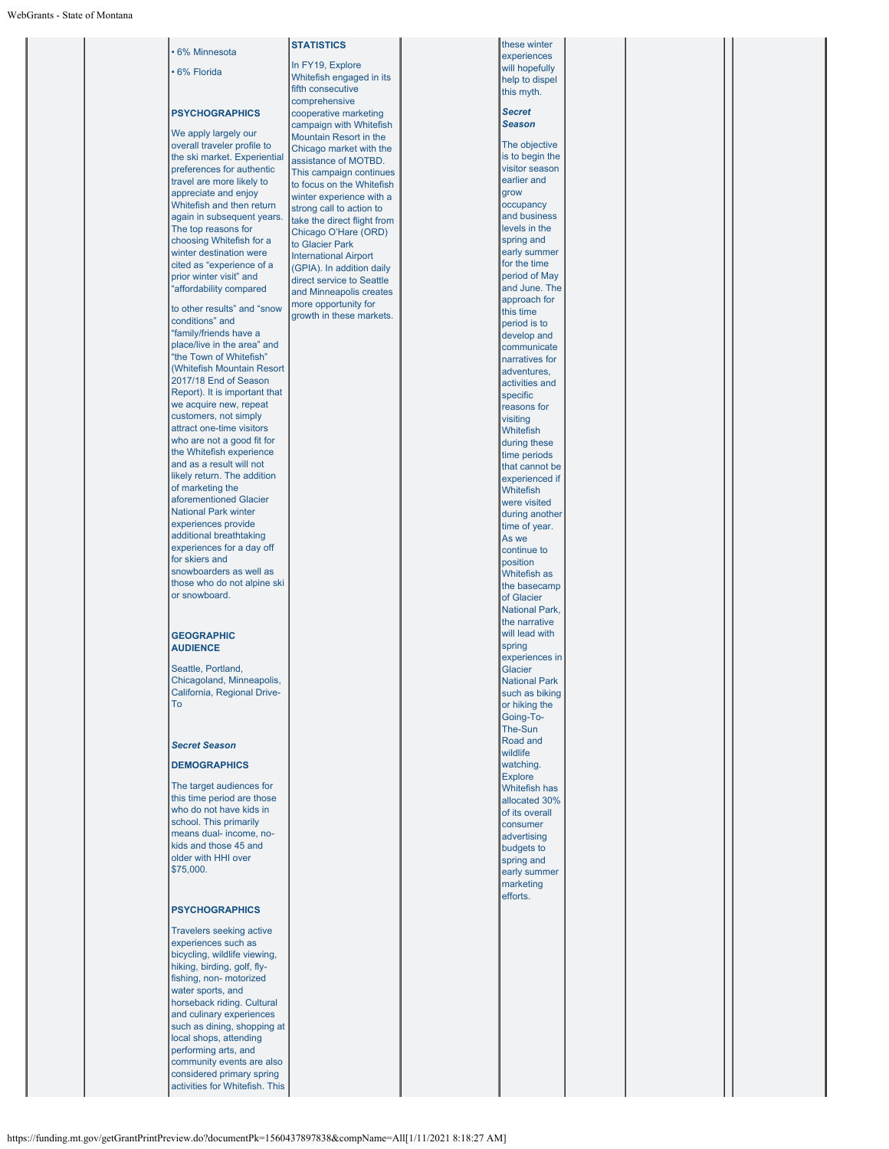| experiences<br>In FY19, Explore<br>will hopefully<br>6% Florida<br>Whitefish engaged in its<br>help to dispel<br>fifth consecutive<br>this myth.<br>comprehensive<br><b>Secret</b><br><b>PSYCHOGRAPHICS</b><br>cooperative marketing<br>Season<br>campaign with Whitefish<br>We apply largely our<br>Mountain Resort in the<br>The objective<br>overall traveler profile to<br>Chicago market with the<br>is to begin the<br>the ski market. Experiential<br>assistance of MOTBD.<br>visitor season<br>preferences for authentic<br>This campaign continues<br>earlier and<br>travel are more likely to<br>to focus on the Whitefish<br>appreciate and enjoy<br>grow<br>winter experience with a<br>Whitefish and then return<br>occupancy<br>strong call to action to<br>and business<br>again in subsequent years.<br>take the direct flight from<br>levels in the<br>The top reasons for<br>Chicago O'Hare (ORD)<br>spring and<br>choosing Whitefish for a<br>to Glacier Park<br>early summer<br>winter destination were<br><b>International Airport</b><br>for the time<br>cited as "experience of a<br>(GPIA). In addition daily<br>period of May<br>prior winter visit" and<br>direct service to Seattle<br>and June. The<br>"affordability compared<br>and Minneapolis creates<br>approach for<br>more opportunity for<br>to other results" and "snow<br>this time<br>growth in these markets.<br>conditions" and<br>period is to<br>"family/friends have a<br>develop and<br>place/live in the area" and<br>communicate<br>"the Town of Whitefish"<br>narratives for<br>(Whitefish Mountain Resort<br>adventures,<br>2017/18 End of Season<br>activities and<br>Report). It is important that<br>specific<br>we acquire new, repeat<br>reasons for<br>customers, not simply<br>visiting<br>attract one-time visitors<br>Whitefish<br>who are not a good fit for<br>during these<br>the Whitefish experience<br>time periods<br>and as a result will not<br>that cannot be<br>likely return. The addition<br>experienced if<br>of marketing the<br>Whitefish<br>aforementioned Glacier<br>were visited<br><b>National Park winter</b><br>during another<br>experiences provide<br>time of year.<br>additional breathtaking<br>As we<br>experiences for a day off<br>continue to<br>for skiers and<br>position<br>snowboarders as well as<br>Whitefish as<br>those who do not alpine ski<br>the basecamp<br>or snowboard.<br>of Glacier<br><b>National Park,</b><br>the narrative<br>will lead with<br><b>GEOGRAPHIC</b><br>spring<br><b>AUDIENCE</b><br>experiences in<br>Seattle, Portland,<br>Glacier<br>Chicagoland, Minneapolis,<br><b>National Park</b><br>California, Regional Drive-<br>such as biking<br>To<br>or hiking the<br>Going-To-<br>The-Sun<br>Road and<br><b>Secret Season</b><br>wildlife<br>watching.<br><b>DEMOGRAPHICS</b><br><b>Explore</b><br>The target audiences for<br>Whitefish has<br>this time period are those<br>allocated 30%<br>who do not have kids in<br>of its overall<br>school. This primarily<br>consumer<br>means dual- income, no-<br>advertising<br>kids and those 45 and<br>budgets to<br>older with HHI over<br>spring and<br>\$75,000.<br>early summer<br>marketing<br>efforts.<br><b>PSYCHOGRAPHICS</b><br>Travelers seeking active<br>experiences such as<br>bicycling, wildlife viewing,<br>hiking, birding, golf, fly-<br>fishing, non- motorized<br>water sports, and<br>horseback riding. Cultural<br>and culinary experiences<br>such as dining, shopping at<br>local shops, attending<br>performing arts, and<br>community events are also<br>considered primary spring<br>activities for Whitefish. This |              | <b>STATISTICS</b> | these winter |  |
|------------------------------------------------------------------------------------------------------------------------------------------------------------------------------------------------------------------------------------------------------------------------------------------------------------------------------------------------------------------------------------------------------------------------------------------------------------------------------------------------------------------------------------------------------------------------------------------------------------------------------------------------------------------------------------------------------------------------------------------------------------------------------------------------------------------------------------------------------------------------------------------------------------------------------------------------------------------------------------------------------------------------------------------------------------------------------------------------------------------------------------------------------------------------------------------------------------------------------------------------------------------------------------------------------------------------------------------------------------------------------------------------------------------------------------------------------------------------------------------------------------------------------------------------------------------------------------------------------------------------------------------------------------------------------------------------------------------------------------------------------------------------------------------------------------------------------------------------------------------------------------------------------------------------------------------------------------------------------------------------------------------------------------------------------------------------------------------------------------------------------------------------------------------------------------------------------------------------------------------------------------------------------------------------------------------------------------------------------------------------------------------------------------------------------------------------------------------------------------------------------------------------------------------------------------------------------------------------------------------------------------------------------------------------------------------------------------------------------------------------------------------------------------------------------------------------------------------------------------------------------------------------------------------------------------------------------------------------------------------------------------------------------------------------------------------------------------------------------------------------------------------------------------------------------------------------------------------------------------------------------------------------------------------------------------------------------------------------------------------------------------------------------------------------------------------------------------------------------------------------------------------------------------------------------------------------------------------------------------------------------------------------------------------------|--------------|-------------------|--------------|--|
|                                                                                                                                                                                                                                                                                                                                                                                                                                                                                                                                                                                                                                                                                                                                                                                                                                                                                                                                                                                                                                                                                                                                                                                                                                                                                                                                                                                                                                                                                                                                                                                                                                                                                                                                                                                                                                                                                                                                                                                                                                                                                                                                                                                                                                                                                                                                                                                                                                                                                                                                                                                                                                                                                                                                                                                                                                                                                                                                                                                                                                                                                                                                                                                                                                                                                                                                                                                                                                                                                                                                                                                                                                                                        | 6% Minnesota |                   |              |  |
|                                                                                                                                                                                                                                                                                                                                                                                                                                                                                                                                                                                                                                                                                                                                                                                                                                                                                                                                                                                                                                                                                                                                                                                                                                                                                                                                                                                                                                                                                                                                                                                                                                                                                                                                                                                                                                                                                                                                                                                                                                                                                                                                                                                                                                                                                                                                                                                                                                                                                                                                                                                                                                                                                                                                                                                                                                                                                                                                                                                                                                                                                                                                                                                                                                                                                                                                                                                                                                                                                                                                                                                                                                                                        |              |                   |              |  |
|                                                                                                                                                                                                                                                                                                                                                                                                                                                                                                                                                                                                                                                                                                                                                                                                                                                                                                                                                                                                                                                                                                                                                                                                                                                                                                                                                                                                                                                                                                                                                                                                                                                                                                                                                                                                                                                                                                                                                                                                                                                                                                                                                                                                                                                                                                                                                                                                                                                                                                                                                                                                                                                                                                                                                                                                                                                                                                                                                                                                                                                                                                                                                                                                                                                                                                                                                                                                                                                                                                                                                                                                                                                                        |              |                   |              |  |
|                                                                                                                                                                                                                                                                                                                                                                                                                                                                                                                                                                                                                                                                                                                                                                                                                                                                                                                                                                                                                                                                                                                                                                                                                                                                                                                                                                                                                                                                                                                                                                                                                                                                                                                                                                                                                                                                                                                                                                                                                                                                                                                                                                                                                                                                                                                                                                                                                                                                                                                                                                                                                                                                                                                                                                                                                                                                                                                                                                                                                                                                                                                                                                                                                                                                                                                                                                                                                                                                                                                                                                                                                                                                        |              |                   |              |  |
|                                                                                                                                                                                                                                                                                                                                                                                                                                                                                                                                                                                                                                                                                                                                                                                                                                                                                                                                                                                                                                                                                                                                                                                                                                                                                                                                                                                                                                                                                                                                                                                                                                                                                                                                                                                                                                                                                                                                                                                                                                                                                                                                                                                                                                                                                                                                                                                                                                                                                                                                                                                                                                                                                                                                                                                                                                                                                                                                                                                                                                                                                                                                                                                                                                                                                                                                                                                                                                                                                                                                                                                                                                                                        |              |                   |              |  |
|                                                                                                                                                                                                                                                                                                                                                                                                                                                                                                                                                                                                                                                                                                                                                                                                                                                                                                                                                                                                                                                                                                                                                                                                                                                                                                                                                                                                                                                                                                                                                                                                                                                                                                                                                                                                                                                                                                                                                                                                                                                                                                                                                                                                                                                                                                                                                                                                                                                                                                                                                                                                                                                                                                                                                                                                                                                                                                                                                                                                                                                                                                                                                                                                                                                                                                                                                                                                                                                                                                                                                                                                                                                                        |              |                   |              |  |
|                                                                                                                                                                                                                                                                                                                                                                                                                                                                                                                                                                                                                                                                                                                                                                                                                                                                                                                                                                                                                                                                                                                                                                                                                                                                                                                                                                                                                                                                                                                                                                                                                                                                                                                                                                                                                                                                                                                                                                                                                                                                                                                                                                                                                                                                                                                                                                                                                                                                                                                                                                                                                                                                                                                                                                                                                                                                                                                                                                                                                                                                                                                                                                                                                                                                                                                                                                                                                                                                                                                                                                                                                                                                        |              |                   |              |  |
|                                                                                                                                                                                                                                                                                                                                                                                                                                                                                                                                                                                                                                                                                                                                                                                                                                                                                                                                                                                                                                                                                                                                                                                                                                                                                                                                                                                                                                                                                                                                                                                                                                                                                                                                                                                                                                                                                                                                                                                                                                                                                                                                                                                                                                                                                                                                                                                                                                                                                                                                                                                                                                                                                                                                                                                                                                                                                                                                                                                                                                                                                                                                                                                                                                                                                                                                                                                                                                                                                                                                                                                                                                                                        |              |                   |              |  |
|                                                                                                                                                                                                                                                                                                                                                                                                                                                                                                                                                                                                                                                                                                                                                                                                                                                                                                                                                                                                                                                                                                                                                                                                                                                                                                                                                                                                                                                                                                                                                                                                                                                                                                                                                                                                                                                                                                                                                                                                                                                                                                                                                                                                                                                                                                                                                                                                                                                                                                                                                                                                                                                                                                                                                                                                                                                                                                                                                                                                                                                                                                                                                                                                                                                                                                                                                                                                                                                                                                                                                                                                                                                                        |              |                   |              |  |
|                                                                                                                                                                                                                                                                                                                                                                                                                                                                                                                                                                                                                                                                                                                                                                                                                                                                                                                                                                                                                                                                                                                                                                                                                                                                                                                                                                                                                                                                                                                                                                                                                                                                                                                                                                                                                                                                                                                                                                                                                                                                                                                                                                                                                                                                                                                                                                                                                                                                                                                                                                                                                                                                                                                                                                                                                                                                                                                                                                                                                                                                                                                                                                                                                                                                                                                                                                                                                                                                                                                                                                                                                                                                        |              |                   |              |  |
|                                                                                                                                                                                                                                                                                                                                                                                                                                                                                                                                                                                                                                                                                                                                                                                                                                                                                                                                                                                                                                                                                                                                                                                                                                                                                                                                                                                                                                                                                                                                                                                                                                                                                                                                                                                                                                                                                                                                                                                                                                                                                                                                                                                                                                                                                                                                                                                                                                                                                                                                                                                                                                                                                                                                                                                                                                                                                                                                                                                                                                                                                                                                                                                                                                                                                                                                                                                                                                                                                                                                                                                                                                                                        |              |                   |              |  |
|                                                                                                                                                                                                                                                                                                                                                                                                                                                                                                                                                                                                                                                                                                                                                                                                                                                                                                                                                                                                                                                                                                                                                                                                                                                                                                                                                                                                                                                                                                                                                                                                                                                                                                                                                                                                                                                                                                                                                                                                                                                                                                                                                                                                                                                                                                                                                                                                                                                                                                                                                                                                                                                                                                                                                                                                                                                                                                                                                                                                                                                                                                                                                                                                                                                                                                                                                                                                                                                                                                                                                                                                                                                                        |              |                   |              |  |
|                                                                                                                                                                                                                                                                                                                                                                                                                                                                                                                                                                                                                                                                                                                                                                                                                                                                                                                                                                                                                                                                                                                                                                                                                                                                                                                                                                                                                                                                                                                                                                                                                                                                                                                                                                                                                                                                                                                                                                                                                                                                                                                                                                                                                                                                                                                                                                                                                                                                                                                                                                                                                                                                                                                                                                                                                                                                                                                                                                                                                                                                                                                                                                                                                                                                                                                                                                                                                                                                                                                                                                                                                                                                        |              |                   |              |  |
|                                                                                                                                                                                                                                                                                                                                                                                                                                                                                                                                                                                                                                                                                                                                                                                                                                                                                                                                                                                                                                                                                                                                                                                                                                                                                                                                                                                                                                                                                                                                                                                                                                                                                                                                                                                                                                                                                                                                                                                                                                                                                                                                                                                                                                                                                                                                                                                                                                                                                                                                                                                                                                                                                                                                                                                                                                                                                                                                                                                                                                                                                                                                                                                                                                                                                                                                                                                                                                                                                                                                                                                                                                                                        |              |                   |              |  |
|                                                                                                                                                                                                                                                                                                                                                                                                                                                                                                                                                                                                                                                                                                                                                                                                                                                                                                                                                                                                                                                                                                                                                                                                                                                                                                                                                                                                                                                                                                                                                                                                                                                                                                                                                                                                                                                                                                                                                                                                                                                                                                                                                                                                                                                                                                                                                                                                                                                                                                                                                                                                                                                                                                                                                                                                                                                                                                                                                                                                                                                                                                                                                                                                                                                                                                                                                                                                                                                                                                                                                                                                                                                                        |              |                   |              |  |
|                                                                                                                                                                                                                                                                                                                                                                                                                                                                                                                                                                                                                                                                                                                                                                                                                                                                                                                                                                                                                                                                                                                                                                                                                                                                                                                                                                                                                                                                                                                                                                                                                                                                                                                                                                                                                                                                                                                                                                                                                                                                                                                                                                                                                                                                                                                                                                                                                                                                                                                                                                                                                                                                                                                                                                                                                                                                                                                                                                                                                                                                                                                                                                                                                                                                                                                                                                                                                                                                                                                                                                                                                                                                        |              |                   |              |  |
|                                                                                                                                                                                                                                                                                                                                                                                                                                                                                                                                                                                                                                                                                                                                                                                                                                                                                                                                                                                                                                                                                                                                                                                                                                                                                                                                                                                                                                                                                                                                                                                                                                                                                                                                                                                                                                                                                                                                                                                                                                                                                                                                                                                                                                                                                                                                                                                                                                                                                                                                                                                                                                                                                                                                                                                                                                                                                                                                                                                                                                                                                                                                                                                                                                                                                                                                                                                                                                                                                                                                                                                                                                                                        |              |                   |              |  |
|                                                                                                                                                                                                                                                                                                                                                                                                                                                                                                                                                                                                                                                                                                                                                                                                                                                                                                                                                                                                                                                                                                                                                                                                                                                                                                                                                                                                                                                                                                                                                                                                                                                                                                                                                                                                                                                                                                                                                                                                                                                                                                                                                                                                                                                                                                                                                                                                                                                                                                                                                                                                                                                                                                                                                                                                                                                                                                                                                                                                                                                                                                                                                                                                                                                                                                                                                                                                                                                                                                                                                                                                                                                                        |              |                   |              |  |
|                                                                                                                                                                                                                                                                                                                                                                                                                                                                                                                                                                                                                                                                                                                                                                                                                                                                                                                                                                                                                                                                                                                                                                                                                                                                                                                                                                                                                                                                                                                                                                                                                                                                                                                                                                                                                                                                                                                                                                                                                                                                                                                                                                                                                                                                                                                                                                                                                                                                                                                                                                                                                                                                                                                                                                                                                                                                                                                                                                                                                                                                                                                                                                                                                                                                                                                                                                                                                                                                                                                                                                                                                                                                        |              |                   |              |  |
|                                                                                                                                                                                                                                                                                                                                                                                                                                                                                                                                                                                                                                                                                                                                                                                                                                                                                                                                                                                                                                                                                                                                                                                                                                                                                                                                                                                                                                                                                                                                                                                                                                                                                                                                                                                                                                                                                                                                                                                                                                                                                                                                                                                                                                                                                                                                                                                                                                                                                                                                                                                                                                                                                                                                                                                                                                                                                                                                                                                                                                                                                                                                                                                                                                                                                                                                                                                                                                                                                                                                                                                                                                                                        |              |                   |              |  |
|                                                                                                                                                                                                                                                                                                                                                                                                                                                                                                                                                                                                                                                                                                                                                                                                                                                                                                                                                                                                                                                                                                                                                                                                                                                                                                                                                                                                                                                                                                                                                                                                                                                                                                                                                                                                                                                                                                                                                                                                                                                                                                                                                                                                                                                                                                                                                                                                                                                                                                                                                                                                                                                                                                                                                                                                                                                                                                                                                                                                                                                                                                                                                                                                                                                                                                                                                                                                                                                                                                                                                                                                                                                                        |              |                   |              |  |
|                                                                                                                                                                                                                                                                                                                                                                                                                                                                                                                                                                                                                                                                                                                                                                                                                                                                                                                                                                                                                                                                                                                                                                                                                                                                                                                                                                                                                                                                                                                                                                                                                                                                                                                                                                                                                                                                                                                                                                                                                                                                                                                                                                                                                                                                                                                                                                                                                                                                                                                                                                                                                                                                                                                                                                                                                                                                                                                                                                                                                                                                                                                                                                                                                                                                                                                                                                                                                                                                                                                                                                                                                                                                        |              |                   |              |  |
|                                                                                                                                                                                                                                                                                                                                                                                                                                                                                                                                                                                                                                                                                                                                                                                                                                                                                                                                                                                                                                                                                                                                                                                                                                                                                                                                                                                                                                                                                                                                                                                                                                                                                                                                                                                                                                                                                                                                                                                                                                                                                                                                                                                                                                                                                                                                                                                                                                                                                                                                                                                                                                                                                                                                                                                                                                                                                                                                                                                                                                                                                                                                                                                                                                                                                                                                                                                                                                                                                                                                                                                                                                                                        |              |                   |              |  |
|                                                                                                                                                                                                                                                                                                                                                                                                                                                                                                                                                                                                                                                                                                                                                                                                                                                                                                                                                                                                                                                                                                                                                                                                                                                                                                                                                                                                                                                                                                                                                                                                                                                                                                                                                                                                                                                                                                                                                                                                                                                                                                                                                                                                                                                                                                                                                                                                                                                                                                                                                                                                                                                                                                                                                                                                                                                                                                                                                                                                                                                                                                                                                                                                                                                                                                                                                                                                                                                                                                                                                                                                                                                                        |              |                   |              |  |
|                                                                                                                                                                                                                                                                                                                                                                                                                                                                                                                                                                                                                                                                                                                                                                                                                                                                                                                                                                                                                                                                                                                                                                                                                                                                                                                                                                                                                                                                                                                                                                                                                                                                                                                                                                                                                                                                                                                                                                                                                                                                                                                                                                                                                                                                                                                                                                                                                                                                                                                                                                                                                                                                                                                                                                                                                                                                                                                                                                                                                                                                                                                                                                                                                                                                                                                                                                                                                                                                                                                                                                                                                                                                        |              |                   |              |  |
|                                                                                                                                                                                                                                                                                                                                                                                                                                                                                                                                                                                                                                                                                                                                                                                                                                                                                                                                                                                                                                                                                                                                                                                                                                                                                                                                                                                                                                                                                                                                                                                                                                                                                                                                                                                                                                                                                                                                                                                                                                                                                                                                                                                                                                                                                                                                                                                                                                                                                                                                                                                                                                                                                                                                                                                                                                                                                                                                                                                                                                                                                                                                                                                                                                                                                                                                                                                                                                                                                                                                                                                                                                                                        |              |                   |              |  |
|                                                                                                                                                                                                                                                                                                                                                                                                                                                                                                                                                                                                                                                                                                                                                                                                                                                                                                                                                                                                                                                                                                                                                                                                                                                                                                                                                                                                                                                                                                                                                                                                                                                                                                                                                                                                                                                                                                                                                                                                                                                                                                                                                                                                                                                                                                                                                                                                                                                                                                                                                                                                                                                                                                                                                                                                                                                                                                                                                                                                                                                                                                                                                                                                                                                                                                                                                                                                                                                                                                                                                                                                                                                                        |              |                   |              |  |
|                                                                                                                                                                                                                                                                                                                                                                                                                                                                                                                                                                                                                                                                                                                                                                                                                                                                                                                                                                                                                                                                                                                                                                                                                                                                                                                                                                                                                                                                                                                                                                                                                                                                                                                                                                                                                                                                                                                                                                                                                                                                                                                                                                                                                                                                                                                                                                                                                                                                                                                                                                                                                                                                                                                                                                                                                                                                                                                                                                                                                                                                                                                                                                                                                                                                                                                                                                                                                                                                                                                                                                                                                                                                        |              |                   |              |  |
|                                                                                                                                                                                                                                                                                                                                                                                                                                                                                                                                                                                                                                                                                                                                                                                                                                                                                                                                                                                                                                                                                                                                                                                                                                                                                                                                                                                                                                                                                                                                                                                                                                                                                                                                                                                                                                                                                                                                                                                                                                                                                                                                                                                                                                                                                                                                                                                                                                                                                                                                                                                                                                                                                                                                                                                                                                                                                                                                                                                                                                                                                                                                                                                                                                                                                                                                                                                                                                                                                                                                                                                                                                                                        |              |                   |              |  |
|                                                                                                                                                                                                                                                                                                                                                                                                                                                                                                                                                                                                                                                                                                                                                                                                                                                                                                                                                                                                                                                                                                                                                                                                                                                                                                                                                                                                                                                                                                                                                                                                                                                                                                                                                                                                                                                                                                                                                                                                                                                                                                                                                                                                                                                                                                                                                                                                                                                                                                                                                                                                                                                                                                                                                                                                                                                                                                                                                                                                                                                                                                                                                                                                                                                                                                                                                                                                                                                                                                                                                                                                                                                                        |              |                   |              |  |
|                                                                                                                                                                                                                                                                                                                                                                                                                                                                                                                                                                                                                                                                                                                                                                                                                                                                                                                                                                                                                                                                                                                                                                                                                                                                                                                                                                                                                                                                                                                                                                                                                                                                                                                                                                                                                                                                                                                                                                                                                                                                                                                                                                                                                                                                                                                                                                                                                                                                                                                                                                                                                                                                                                                                                                                                                                                                                                                                                                                                                                                                                                                                                                                                                                                                                                                                                                                                                                                                                                                                                                                                                                                                        |              |                   |              |  |
|                                                                                                                                                                                                                                                                                                                                                                                                                                                                                                                                                                                                                                                                                                                                                                                                                                                                                                                                                                                                                                                                                                                                                                                                                                                                                                                                                                                                                                                                                                                                                                                                                                                                                                                                                                                                                                                                                                                                                                                                                                                                                                                                                                                                                                                                                                                                                                                                                                                                                                                                                                                                                                                                                                                                                                                                                                                                                                                                                                                                                                                                                                                                                                                                                                                                                                                                                                                                                                                                                                                                                                                                                                                                        |              |                   |              |  |
|                                                                                                                                                                                                                                                                                                                                                                                                                                                                                                                                                                                                                                                                                                                                                                                                                                                                                                                                                                                                                                                                                                                                                                                                                                                                                                                                                                                                                                                                                                                                                                                                                                                                                                                                                                                                                                                                                                                                                                                                                                                                                                                                                                                                                                                                                                                                                                                                                                                                                                                                                                                                                                                                                                                                                                                                                                                                                                                                                                                                                                                                                                                                                                                                                                                                                                                                                                                                                                                                                                                                                                                                                                                                        |              |                   |              |  |
|                                                                                                                                                                                                                                                                                                                                                                                                                                                                                                                                                                                                                                                                                                                                                                                                                                                                                                                                                                                                                                                                                                                                                                                                                                                                                                                                                                                                                                                                                                                                                                                                                                                                                                                                                                                                                                                                                                                                                                                                                                                                                                                                                                                                                                                                                                                                                                                                                                                                                                                                                                                                                                                                                                                                                                                                                                                                                                                                                                                                                                                                                                                                                                                                                                                                                                                                                                                                                                                                                                                                                                                                                                                                        |              |                   |              |  |
|                                                                                                                                                                                                                                                                                                                                                                                                                                                                                                                                                                                                                                                                                                                                                                                                                                                                                                                                                                                                                                                                                                                                                                                                                                                                                                                                                                                                                                                                                                                                                                                                                                                                                                                                                                                                                                                                                                                                                                                                                                                                                                                                                                                                                                                                                                                                                                                                                                                                                                                                                                                                                                                                                                                                                                                                                                                                                                                                                                                                                                                                                                                                                                                                                                                                                                                                                                                                                                                                                                                                                                                                                                                                        |              |                   |              |  |
|                                                                                                                                                                                                                                                                                                                                                                                                                                                                                                                                                                                                                                                                                                                                                                                                                                                                                                                                                                                                                                                                                                                                                                                                                                                                                                                                                                                                                                                                                                                                                                                                                                                                                                                                                                                                                                                                                                                                                                                                                                                                                                                                                                                                                                                                                                                                                                                                                                                                                                                                                                                                                                                                                                                                                                                                                                                                                                                                                                                                                                                                                                                                                                                                                                                                                                                                                                                                                                                                                                                                                                                                                                                                        |              |                   |              |  |
|                                                                                                                                                                                                                                                                                                                                                                                                                                                                                                                                                                                                                                                                                                                                                                                                                                                                                                                                                                                                                                                                                                                                                                                                                                                                                                                                                                                                                                                                                                                                                                                                                                                                                                                                                                                                                                                                                                                                                                                                                                                                                                                                                                                                                                                                                                                                                                                                                                                                                                                                                                                                                                                                                                                                                                                                                                                                                                                                                                                                                                                                                                                                                                                                                                                                                                                                                                                                                                                                                                                                                                                                                                                                        |              |                   |              |  |
|                                                                                                                                                                                                                                                                                                                                                                                                                                                                                                                                                                                                                                                                                                                                                                                                                                                                                                                                                                                                                                                                                                                                                                                                                                                                                                                                                                                                                                                                                                                                                                                                                                                                                                                                                                                                                                                                                                                                                                                                                                                                                                                                                                                                                                                                                                                                                                                                                                                                                                                                                                                                                                                                                                                                                                                                                                                                                                                                                                                                                                                                                                                                                                                                                                                                                                                                                                                                                                                                                                                                                                                                                                                                        |              |                   |              |  |
|                                                                                                                                                                                                                                                                                                                                                                                                                                                                                                                                                                                                                                                                                                                                                                                                                                                                                                                                                                                                                                                                                                                                                                                                                                                                                                                                                                                                                                                                                                                                                                                                                                                                                                                                                                                                                                                                                                                                                                                                                                                                                                                                                                                                                                                                                                                                                                                                                                                                                                                                                                                                                                                                                                                                                                                                                                                                                                                                                                                                                                                                                                                                                                                                                                                                                                                                                                                                                                                                                                                                                                                                                                                                        |              |                   |              |  |
|                                                                                                                                                                                                                                                                                                                                                                                                                                                                                                                                                                                                                                                                                                                                                                                                                                                                                                                                                                                                                                                                                                                                                                                                                                                                                                                                                                                                                                                                                                                                                                                                                                                                                                                                                                                                                                                                                                                                                                                                                                                                                                                                                                                                                                                                                                                                                                                                                                                                                                                                                                                                                                                                                                                                                                                                                                                                                                                                                                                                                                                                                                                                                                                                                                                                                                                                                                                                                                                                                                                                                                                                                                                                        |              |                   |              |  |
|                                                                                                                                                                                                                                                                                                                                                                                                                                                                                                                                                                                                                                                                                                                                                                                                                                                                                                                                                                                                                                                                                                                                                                                                                                                                                                                                                                                                                                                                                                                                                                                                                                                                                                                                                                                                                                                                                                                                                                                                                                                                                                                                                                                                                                                                                                                                                                                                                                                                                                                                                                                                                                                                                                                                                                                                                                                                                                                                                                                                                                                                                                                                                                                                                                                                                                                                                                                                                                                                                                                                                                                                                                                                        |              |                   |              |  |
|                                                                                                                                                                                                                                                                                                                                                                                                                                                                                                                                                                                                                                                                                                                                                                                                                                                                                                                                                                                                                                                                                                                                                                                                                                                                                                                                                                                                                                                                                                                                                                                                                                                                                                                                                                                                                                                                                                                                                                                                                                                                                                                                                                                                                                                                                                                                                                                                                                                                                                                                                                                                                                                                                                                                                                                                                                                                                                                                                                                                                                                                                                                                                                                                                                                                                                                                                                                                                                                                                                                                                                                                                                                                        |              |                   |              |  |
|                                                                                                                                                                                                                                                                                                                                                                                                                                                                                                                                                                                                                                                                                                                                                                                                                                                                                                                                                                                                                                                                                                                                                                                                                                                                                                                                                                                                                                                                                                                                                                                                                                                                                                                                                                                                                                                                                                                                                                                                                                                                                                                                                                                                                                                                                                                                                                                                                                                                                                                                                                                                                                                                                                                                                                                                                                                                                                                                                                                                                                                                                                                                                                                                                                                                                                                                                                                                                                                                                                                                                                                                                                                                        |              |                   |              |  |
|                                                                                                                                                                                                                                                                                                                                                                                                                                                                                                                                                                                                                                                                                                                                                                                                                                                                                                                                                                                                                                                                                                                                                                                                                                                                                                                                                                                                                                                                                                                                                                                                                                                                                                                                                                                                                                                                                                                                                                                                                                                                                                                                                                                                                                                                                                                                                                                                                                                                                                                                                                                                                                                                                                                                                                                                                                                                                                                                                                                                                                                                                                                                                                                                                                                                                                                                                                                                                                                                                                                                                                                                                                                                        |              |                   |              |  |
|                                                                                                                                                                                                                                                                                                                                                                                                                                                                                                                                                                                                                                                                                                                                                                                                                                                                                                                                                                                                                                                                                                                                                                                                                                                                                                                                                                                                                                                                                                                                                                                                                                                                                                                                                                                                                                                                                                                                                                                                                                                                                                                                                                                                                                                                                                                                                                                                                                                                                                                                                                                                                                                                                                                                                                                                                                                                                                                                                                                                                                                                                                                                                                                                                                                                                                                                                                                                                                                                                                                                                                                                                                                                        |              |                   |              |  |
|                                                                                                                                                                                                                                                                                                                                                                                                                                                                                                                                                                                                                                                                                                                                                                                                                                                                                                                                                                                                                                                                                                                                                                                                                                                                                                                                                                                                                                                                                                                                                                                                                                                                                                                                                                                                                                                                                                                                                                                                                                                                                                                                                                                                                                                                                                                                                                                                                                                                                                                                                                                                                                                                                                                                                                                                                                                                                                                                                                                                                                                                                                                                                                                                                                                                                                                                                                                                                                                                                                                                                                                                                                                                        |              |                   |              |  |
|                                                                                                                                                                                                                                                                                                                                                                                                                                                                                                                                                                                                                                                                                                                                                                                                                                                                                                                                                                                                                                                                                                                                                                                                                                                                                                                                                                                                                                                                                                                                                                                                                                                                                                                                                                                                                                                                                                                                                                                                                                                                                                                                                                                                                                                                                                                                                                                                                                                                                                                                                                                                                                                                                                                                                                                                                                                                                                                                                                                                                                                                                                                                                                                                                                                                                                                                                                                                                                                                                                                                                                                                                                                                        |              |                   |              |  |
|                                                                                                                                                                                                                                                                                                                                                                                                                                                                                                                                                                                                                                                                                                                                                                                                                                                                                                                                                                                                                                                                                                                                                                                                                                                                                                                                                                                                                                                                                                                                                                                                                                                                                                                                                                                                                                                                                                                                                                                                                                                                                                                                                                                                                                                                                                                                                                                                                                                                                                                                                                                                                                                                                                                                                                                                                                                                                                                                                                                                                                                                                                                                                                                                                                                                                                                                                                                                                                                                                                                                                                                                                                                                        |              |                   |              |  |
|                                                                                                                                                                                                                                                                                                                                                                                                                                                                                                                                                                                                                                                                                                                                                                                                                                                                                                                                                                                                                                                                                                                                                                                                                                                                                                                                                                                                                                                                                                                                                                                                                                                                                                                                                                                                                                                                                                                                                                                                                                                                                                                                                                                                                                                                                                                                                                                                                                                                                                                                                                                                                                                                                                                                                                                                                                                                                                                                                                                                                                                                                                                                                                                                                                                                                                                                                                                                                                                                                                                                                                                                                                                                        |              |                   |              |  |
|                                                                                                                                                                                                                                                                                                                                                                                                                                                                                                                                                                                                                                                                                                                                                                                                                                                                                                                                                                                                                                                                                                                                                                                                                                                                                                                                                                                                                                                                                                                                                                                                                                                                                                                                                                                                                                                                                                                                                                                                                                                                                                                                                                                                                                                                                                                                                                                                                                                                                                                                                                                                                                                                                                                                                                                                                                                                                                                                                                                                                                                                                                                                                                                                                                                                                                                                                                                                                                                                                                                                                                                                                                                                        |              |                   |              |  |
|                                                                                                                                                                                                                                                                                                                                                                                                                                                                                                                                                                                                                                                                                                                                                                                                                                                                                                                                                                                                                                                                                                                                                                                                                                                                                                                                                                                                                                                                                                                                                                                                                                                                                                                                                                                                                                                                                                                                                                                                                                                                                                                                                                                                                                                                                                                                                                                                                                                                                                                                                                                                                                                                                                                                                                                                                                                                                                                                                                                                                                                                                                                                                                                                                                                                                                                                                                                                                                                                                                                                                                                                                                                                        |              |                   |              |  |
|                                                                                                                                                                                                                                                                                                                                                                                                                                                                                                                                                                                                                                                                                                                                                                                                                                                                                                                                                                                                                                                                                                                                                                                                                                                                                                                                                                                                                                                                                                                                                                                                                                                                                                                                                                                                                                                                                                                                                                                                                                                                                                                                                                                                                                                                                                                                                                                                                                                                                                                                                                                                                                                                                                                                                                                                                                                                                                                                                                                                                                                                                                                                                                                                                                                                                                                                                                                                                                                                                                                                                                                                                                                                        |              |                   |              |  |
|                                                                                                                                                                                                                                                                                                                                                                                                                                                                                                                                                                                                                                                                                                                                                                                                                                                                                                                                                                                                                                                                                                                                                                                                                                                                                                                                                                                                                                                                                                                                                                                                                                                                                                                                                                                                                                                                                                                                                                                                                                                                                                                                                                                                                                                                                                                                                                                                                                                                                                                                                                                                                                                                                                                                                                                                                                                                                                                                                                                                                                                                                                                                                                                                                                                                                                                                                                                                                                                                                                                                                                                                                                                                        |              |                   |              |  |
|                                                                                                                                                                                                                                                                                                                                                                                                                                                                                                                                                                                                                                                                                                                                                                                                                                                                                                                                                                                                                                                                                                                                                                                                                                                                                                                                                                                                                                                                                                                                                                                                                                                                                                                                                                                                                                                                                                                                                                                                                                                                                                                                                                                                                                                                                                                                                                                                                                                                                                                                                                                                                                                                                                                                                                                                                                                                                                                                                                                                                                                                                                                                                                                                                                                                                                                                                                                                                                                                                                                                                                                                                                                                        |              |                   |              |  |
|                                                                                                                                                                                                                                                                                                                                                                                                                                                                                                                                                                                                                                                                                                                                                                                                                                                                                                                                                                                                                                                                                                                                                                                                                                                                                                                                                                                                                                                                                                                                                                                                                                                                                                                                                                                                                                                                                                                                                                                                                                                                                                                                                                                                                                                                                                                                                                                                                                                                                                                                                                                                                                                                                                                                                                                                                                                                                                                                                                                                                                                                                                                                                                                                                                                                                                                                                                                                                                                                                                                                                                                                                                                                        |              |                   |              |  |
|                                                                                                                                                                                                                                                                                                                                                                                                                                                                                                                                                                                                                                                                                                                                                                                                                                                                                                                                                                                                                                                                                                                                                                                                                                                                                                                                                                                                                                                                                                                                                                                                                                                                                                                                                                                                                                                                                                                                                                                                                                                                                                                                                                                                                                                                                                                                                                                                                                                                                                                                                                                                                                                                                                                                                                                                                                                                                                                                                                                                                                                                                                                                                                                                                                                                                                                                                                                                                                                                                                                                                                                                                                                                        |              |                   |              |  |
|                                                                                                                                                                                                                                                                                                                                                                                                                                                                                                                                                                                                                                                                                                                                                                                                                                                                                                                                                                                                                                                                                                                                                                                                                                                                                                                                                                                                                                                                                                                                                                                                                                                                                                                                                                                                                                                                                                                                                                                                                                                                                                                                                                                                                                                                                                                                                                                                                                                                                                                                                                                                                                                                                                                                                                                                                                                                                                                                                                                                                                                                                                                                                                                                                                                                                                                                                                                                                                                                                                                                                                                                                                                                        |              |                   |              |  |
|                                                                                                                                                                                                                                                                                                                                                                                                                                                                                                                                                                                                                                                                                                                                                                                                                                                                                                                                                                                                                                                                                                                                                                                                                                                                                                                                                                                                                                                                                                                                                                                                                                                                                                                                                                                                                                                                                                                                                                                                                                                                                                                                                                                                                                                                                                                                                                                                                                                                                                                                                                                                                                                                                                                                                                                                                                                                                                                                                                                                                                                                                                                                                                                                                                                                                                                                                                                                                                                                                                                                                                                                                                                                        |              |                   |              |  |
|                                                                                                                                                                                                                                                                                                                                                                                                                                                                                                                                                                                                                                                                                                                                                                                                                                                                                                                                                                                                                                                                                                                                                                                                                                                                                                                                                                                                                                                                                                                                                                                                                                                                                                                                                                                                                                                                                                                                                                                                                                                                                                                                                                                                                                                                                                                                                                                                                                                                                                                                                                                                                                                                                                                                                                                                                                                                                                                                                                                                                                                                                                                                                                                                                                                                                                                                                                                                                                                                                                                                                                                                                                                                        |              |                   |              |  |
|                                                                                                                                                                                                                                                                                                                                                                                                                                                                                                                                                                                                                                                                                                                                                                                                                                                                                                                                                                                                                                                                                                                                                                                                                                                                                                                                                                                                                                                                                                                                                                                                                                                                                                                                                                                                                                                                                                                                                                                                                                                                                                                                                                                                                                                                                                                                                                                                                                                                                                                                                                                                                                                                                                                                                                                                                                                                                                                                                                                                                                                                                                                                                                                                                                                                                                                                                                                                                                                                                                                                                                                                                                                                        |              |                   |              |  |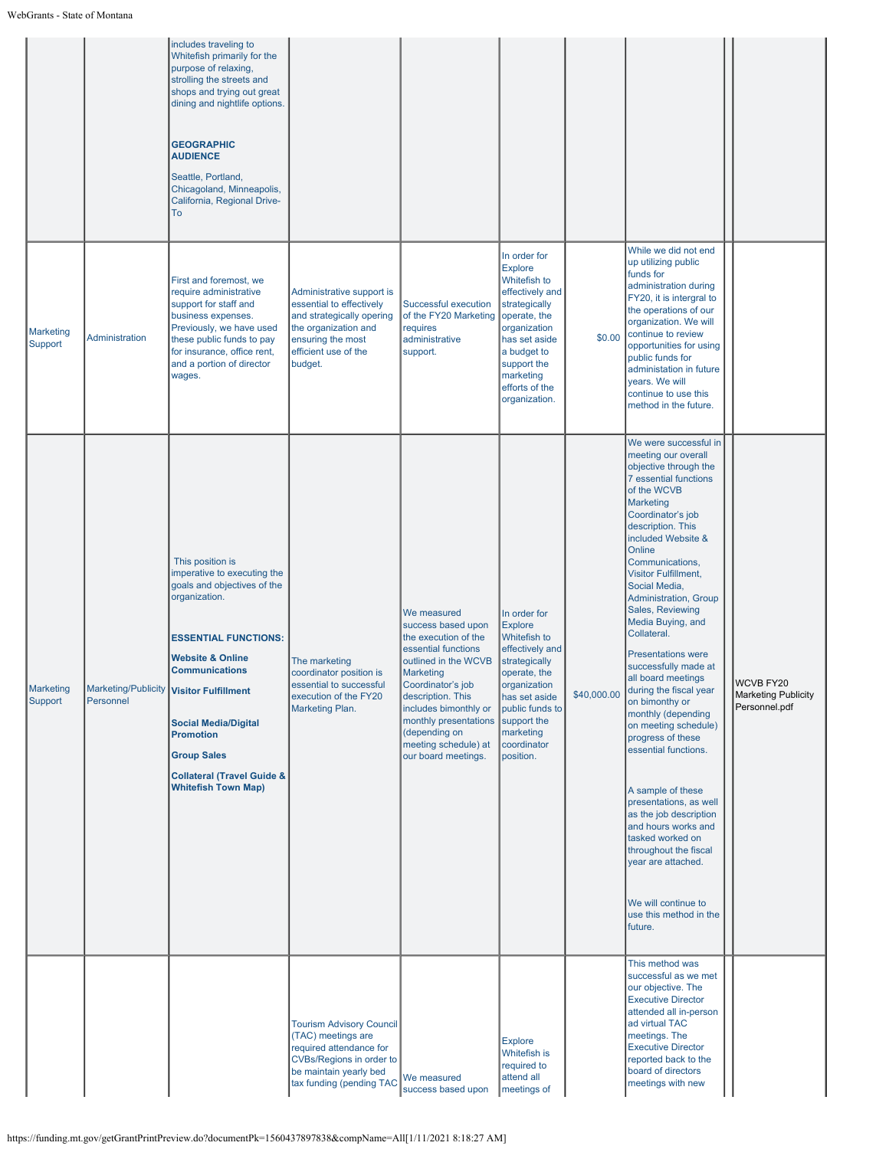|                             |                | includes traveling to<br>Whitefish primarily for the<br>purpose of relaxing,<br>strolling the streets and<br>shops and trying out great<br>dining and nightlife options.<br><b>GEOGRAPHIC</b><br><b>AUDIENCE</b><br>Seattle, Portland,<br>Chicagoland, Minneapolis,<br>California, Regional Drive-<br>To                                                                          |                                                                                                                                                                           |                                                                                                                                                                                                                                                                                   |                                                                                                                                                                                                                   |             |                                                                                                                                                                                                                                                                                                                                                                                                                                                                                                                                                                                                                                                                                                                                                                                                                  |                                                   |
|-----------------------------|----------------|-----------------------------------------------------------------------------------------------------------------------------------------------------------------------------------------------------------------------------------------------------------------------------------------------------------------------------------------------------------------------------------|---------------------------------------------------------------------------------------------------------------------------------------------------------------------------|-----------------------------------------------------------------------------------------------------------------------------------------------------------------------------------------------------------------------------------------------------------------------------------|-------------------------------------------------------------------------------------------------------------------------------------------------------------------------------------------------------------------|-------------|------------------------------------------------------------------------------------------------------------------------------------------------------------------------------------------------------------------------------------------------------------------------------------------------------------------------------------------------------------------------------------------------------------------------------------------------------------------------------------------------------------------------------------------------------------------------------------------------------------------------------------------------------------------------------------------------------------------------------------------------------------------------------------------------------------------|---------------------------------------------------|
| <b>Marketing</b><br>Support | Administration | First and foremost, we<br>require administrative<br>support for staff and<br>business expenses.<br>Previously, we have used<br>these public funds to pay<br>for insurance, office rent,<br>and a portion of director<br>wages.                                                                                                                                                    | Administrative support is<br>essential to effectively<br>and strategically opering<br>the organization and<br>ensuring the most<br>efficient use of the<br>budget.        | Successful execution<br>of the FY20 Marketing<br>requires<br>administrative<br>support.                                                                                                                                                                                           | In order for<br><b>Explore</b><br>Whitefish to<br>effectively and<br>strategically<br>operate, the<br>organization<br>has set aside<br>a budget to<br>support the<br>marketing<br>efforts of the<br>organization. | \$0.00      | While we did not end<br>up utilizing public<br>funds for<br>administration during<br>FY20, it is intergral to<br>the operations of our<br>organization. We will<br>continue to review<br>opportunities for using<br>public funds for<br>administation in future<br>years. We will<br>continue to use this<br>method in the future.                                                                                                                                                                                                                                                                                                                                                                                                                                                                               |                                                   |
| <b>Marketing</b><br>Support | Personnel      | This position is<br>imperative to executing the<br>goals and objectives of the<br>organization.<br><b>ESSENTIAL FUNCTIONS:</b><br><b>Website &amp; Online</b><br><b>Communications</b><br>Marketing/Publicity Visitor Fulfillment<br><b>Social Media/Digital</b><br><b>Promotion</b><br><b>Group Sales</b><br><b>Collateral (Travel Guide &amp;</b><br><b>Whitefish Town Map)</b> | The marketing<br>coordinator position is<br>essential to successful<br>execution of the FY20<br><b>Marketing Plan.</b>                                                    | We measured<br>success based upon<br>the execution of the<br>essential functions<br>outlined in the WCVB<br>Marketing<br>Coordinator's job<br>description. This<br>includes bimonthly or<br>monthly presentations<br>(depending on<br>meeting schedule) at<br>our board meetings. | In order for<br><b>Explore</b><br>Whitefish to<br>effectively and<br>strategically<br>operate, the<br>organization<br>has set aside<br>public funds to<br>support the<br>marketing<br>coordinator<br>position.    | \$40,000.00 | We were successful in<br>meeting our overall<br>objective through the<br>7 essential functions<br>of the WCVB<br><b>Marketing</b><br>Coordinator's job<br>description. This<br>included Website &<br>Online<br>Communications,<br><b>Visitor Fulfillment,</b><br>Social Media,<br>Administration, Group<br>Sales, Reviewing<br>Media Buying, and<br>Collateral.<br><b>Presentations were</b><br>successfully made at<br>all board meetings<br>during the fiscal year<br>on bimonthy or<br>monthly (depending<br>on meeting schedule)<br>progress of these<br>essential functions.<br>A sample of these<br>presentations, as well<br>as the job description<br>and hours works and<br>tasked worked on<br>throughout the fiscal<br>year are attached.<br>We will continue to<br>use this method in the<br>future. | WCVB FY20<br>Marketing Publicity<br>Personnel.pdf |
|                             |                |                                                                                                                                                                                                                                                                                                                                                                                   | <b>Tourism Advisory Council</b><br>(TAC) meetings are<br>required attendance for<br><b>CVBs/Regions in order to</b><br>be maintain yearly bed<br>tax funding (pending TAC | We measured<br>success based upon                                                                                                                                                                                                                                                 | <b>Explore</b><br>Whitefish is<br>required to<br>attend all<br>meetings of                                                                                                                                        |             | This method was<br>successful as we met<br>our objective. The<br><b>Executive Director</b><br>attended all in-person<br>ad virtual TAC<br>meetings. The<br><b>Executive Director</b><br>reported back to the<br>board of directors<br>meetings with new                                                                                                                                                                                                                                                                                                                                                                                                                                                                                                                                                          |                                                   |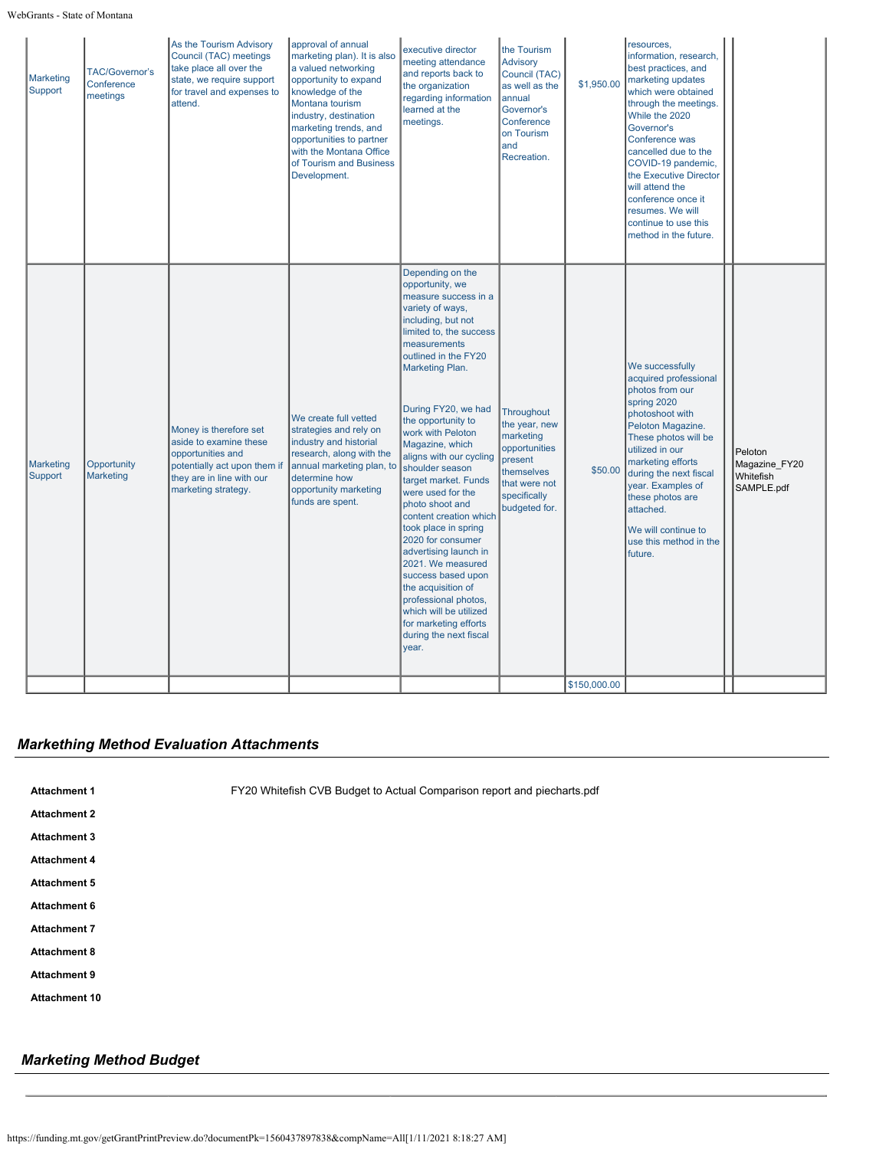### WebGrants - State of Montana

| <b>Marketing</b><br>Support | <b>TAC/Governor's</b><br>Conference<br>meetings | As the Tourism Advisory<br>Council (TAC) meetings<br>take place all over the<br>state, we require support<br>for travel and expenses to<br>attend.        | approval of annual<br>marketing plan). It is also<br>a valued networking<br>opportunity to expand<br>knowledge of the<br>Montana tourism<br>industry, destination<br>marketing trends, and<br>opportunities to partner<br>with the Montana Office<br>of Tourism and Business<br>Development. | executive director<br>meeting attendance<br>and reports back to<br>the organization<br>regarding information<br>learned at the<br>meetings.                                                                                                                                                                                                                                                                                                                                                                                                                                                                                                                                   | the Tourism<br>Advisory<br>Council (TAC)<br>as well as the<br>annual<br>Governor's<br>Conference<br>on Tourism<br>and<br>Recreation. | \$1,950.00   | resources.<br>information, research,<br>best practices, and<br>marketing updates<br>which were obtained<br>through the meetings.<br>While the 2020<br>Governor's<br>Conference was<br>cancelled due to the<br>COVID-19 pandemic,<br>the Executive Director<br>will attend the<br>conference once it<br>resumes. We will<br>continue to use this<br>method in the future. |                                                     |
|-----------------------------|-------------------------------------------------|-----------------------------------------------------------------------------------------------------------------------------------------------------------|----------------------------------------------------------------------------------------------------------------------------------------------------------------------------------------------------------------------------------------------------------------------------------------------|-------------------------------------------------------------------------------------------------------------------------------------------------------------------------------------------------------------------------------------------------------------------------------------------------------------------------------------------------------------------------------------------------------------------------------------------------------------------------------------------------------------------------------------------------------------------------------------------------------------------------------------------------------------------------------|--------------------------------------------------------------------------------------------------------------------------------------|--------------|--------------------------------------------------------------------------------------------------------------------------------------------------------------------------------------------------------------------------------------------------------------------------------------------------------------------------------------------------------------------------|-----------------------------------------------------|
| <b>Marketing</b><br>Support | Opportunity<br>Marketing                        | Money is therefore set<br>aside to examine these<br>opportunities and<br>potentially act upon them if<br>they are in line with our<br>marketing strategy. | We create full vetted<br>strategies and rely on<br>industry and historial<br>research, along with the<br>annual marketing plan, to<br>determine how<br>opportunity marketing<br>funds are spent.                                                                                             | Depending on the<br>opportunity, we<br>measure success in a<br>variety of ways,<br>including, but not<br>limited to, the success<br>measurements<br>outlined in the FY20<br>Marketing Plan.<br>During FY20, we had<br>the opportunity to<br>work with Peloton<br>Magazine, which<br>aligns with our cycling<br>shoulder season<br>target market. Funds<br>were used for the<br>photo shoot and<br>content creation which<br>took place in spring<br>2020 for consumer<br>advertising launch in<br>2021. We measured<br>success based upon<br>the acquisition of<br>professional photos,<br>which will be utilized<br>for marketing efforts<br>during the next fiscal<br>year. | Throughout<br>the year, new<br>marketing<br>opportunities<br>present<br>themselves<br>that were not<br>specifically<br>budgeted for. | \$50.00      | We successfully<br>acquired professional<br>photos from our<br>spring 2020<br>photoshoot with<br>Peloton Magazine.<br>These photos will be<br>utilized in our<br>marketing efforts<br>during the next fiscal<br>year. Examples of<br>these photos are<br>attached.<br>We will continue to<br>use this method in the<br>future.                                           | Peloton<br>Magazine_FY20<br>Whitefish<br>SAMPLE.pdf |
|                             |                                                 |                                                                                                                                                           |                                                                                                                                                                                                                                                                                              |                                                                                                                                                                                                                                                                                                                                                                                                                                                                                                                                                                                                                                                                               |                                                                                                                                      | \$150,000.00 |                                                                                                                                                                                                                                                                                                                                                                          |                                                     |

## *Markething Method Evaluation Attachments*

| миасппени            |  |
|----------------------|--|
| <b>Attachment 2</b>  |  |
| Attachment 3         |  |
| <b>Attachment 4</b>  |  |
| Attachment 5         |  |
| <b>Attachment 6</b>  |  |
| Attachment 7         |  |
| Attachment 8         |  |
| Attachment 9         |  |
| <b>Attachment 10</b> |  |

**Attachment 1** [FY20 Whitefish CVB Budget to Actual Comparison report and piecharts.pdf](https://funding.mt.gov/fileDownload.jsp?filename=1605823504992_FY20+Whitefish+CVB+Budget+to+Actual+Comparison+report+and+piecharts.pdf)

## *Marketing Method Budget*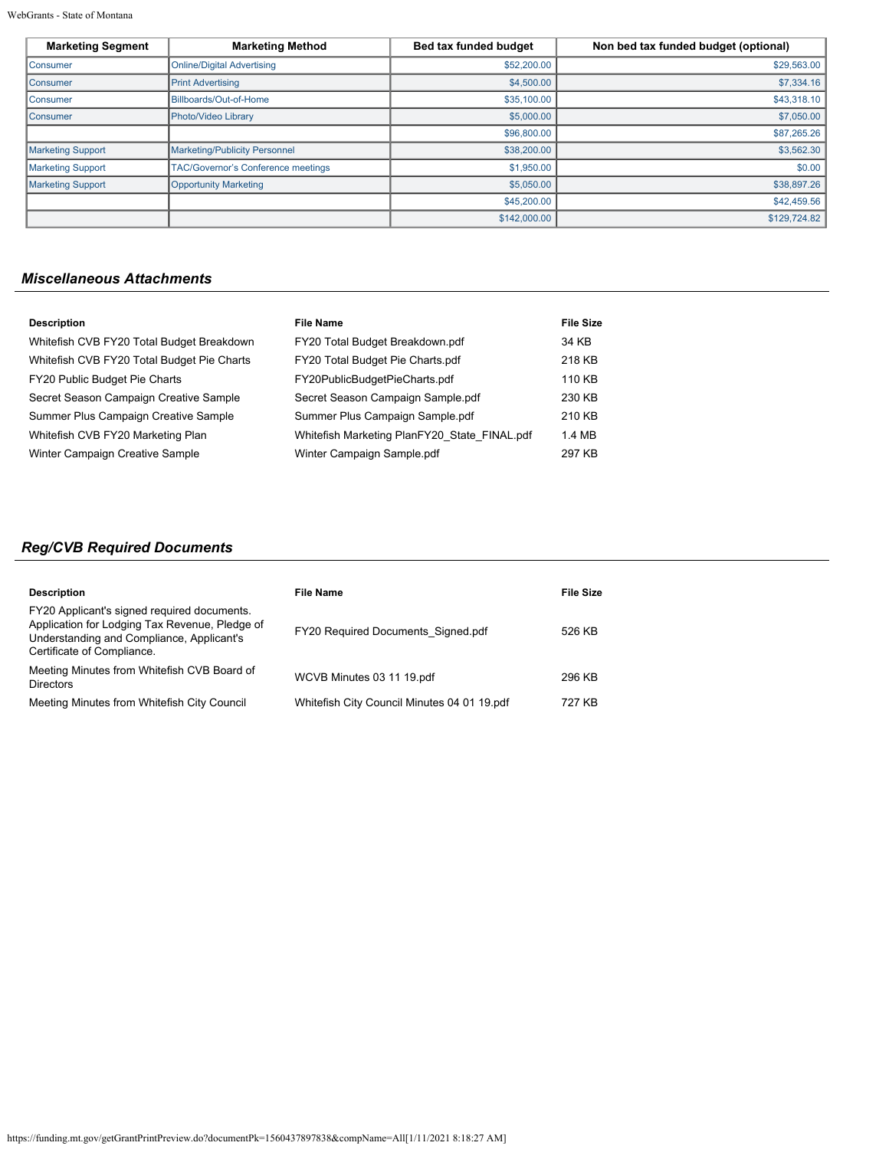WebGrants - State of Montana

| <b>Marketing Segment</b> | <b>Marketing Method</b>                   | Bed tax funded budget | Non bed tax funded budget (optional) |
|--------------------------|-------------------------------------------|-----------------------|--------------------------------------|
| <b>Consumer</b>          | <b>Online/Digital Advertising</b>         | \$52,200.00           | \$29,563.00                          |
| <b>Consumer</b>          | <b>Print Advertising</b>                  | \$4,500.00            | \$7,334.16                           |
| <b>Consumer</b>          | Billboards/Out-of-Home                    | \$35,100.00           | \$43,318.10                          |
| Consumer                 | Photo/Video Library                       | \$5,000.00            | \$7,050.00                           |
|                          |                                           | \$96,800.00           | \$87,265.26                          |
| <b>Marketing Support</b> | <b>Marketing/Publicity Personnel</b>      | \$38,200.00           | \$3,562.30                           |
| <b>Marketing Support</b> | <b>TAC/Governor's Conference meetings</b> | \$1,950.00            | \$0.00                               |
| <b>Marketing Support</b> | <b>Opportunity Marketing</b>              | \$5,050.00            | \$38,897.26                          |
|                          |                                           | \$45,200.00           | \$42,459.56                          |
|                          |                                           | \$142,000.00          | \$129,724.82                         |

## *Miscellaneous Attachments*

| <b>Description</b>                         | <b>File Name</b>                             | <b>File Size</b> |
|--------------------------------------------|----------------------------------------------|------------------|
| Whitefish CVB FY20 Total Budget Breakdown  | FY20 Total Budget Breakdown.pdf              | 34 KB            |
| Whitefish CVB FY20 Total Budget Pie Charts | FY20 Total Budget Pie Charts.pdf             | 218 KB           |
| FY20 Public Budget Pie Charts              | FY20PublicBudgetPieCharts.pdf                | 110 KB           |
| Secret Season Campaign Creative Sample     | Secret Season Campaign Sample.pdf            | 230 KB           |
| Summer Plus Campaign Creative Sample       | Summer Plus Campaign Sample.pdf              | 210 KB           |
| Whitefish CVB FY20 Marketing Plan          | Whitefish Marketing PlanFY20 State FINAL.pdf | 1.4 MB           |
| Winter Campaign Creative Sample            | Winter Campaign Sample.pdf                   | 297 KB           |

# *Reg/CVB Required Documents*

| <b>Description</b>                                                                                                                                                       | <b>File Name</b>                            | File Size |
|--------------------------------------------------------------------------------------------------------------------------------------------------------------------------|---------------------------------------------|-----------|
| FY20 Applicant's signed required documents.<br>Application for Lodging Tax Revenue, Pledge of<br>Understanding and Compliance, Applicant's<br>Certificate of Compliance. | <b>FY20 Required Documents Signed.pdf</b>   | 526 KB    |
| Meeting Minutes from Whitefish CVB Board of<br><b>Directors</b>                                                                                                          | WCVB Minutes 03 11 19.pdf                   | 296 KB    |
| Meeting Minutes from Whitefish City Council                                                                                                                              | Whitefish City Council Minutes 04 01 19.pdf | 727 KB    |